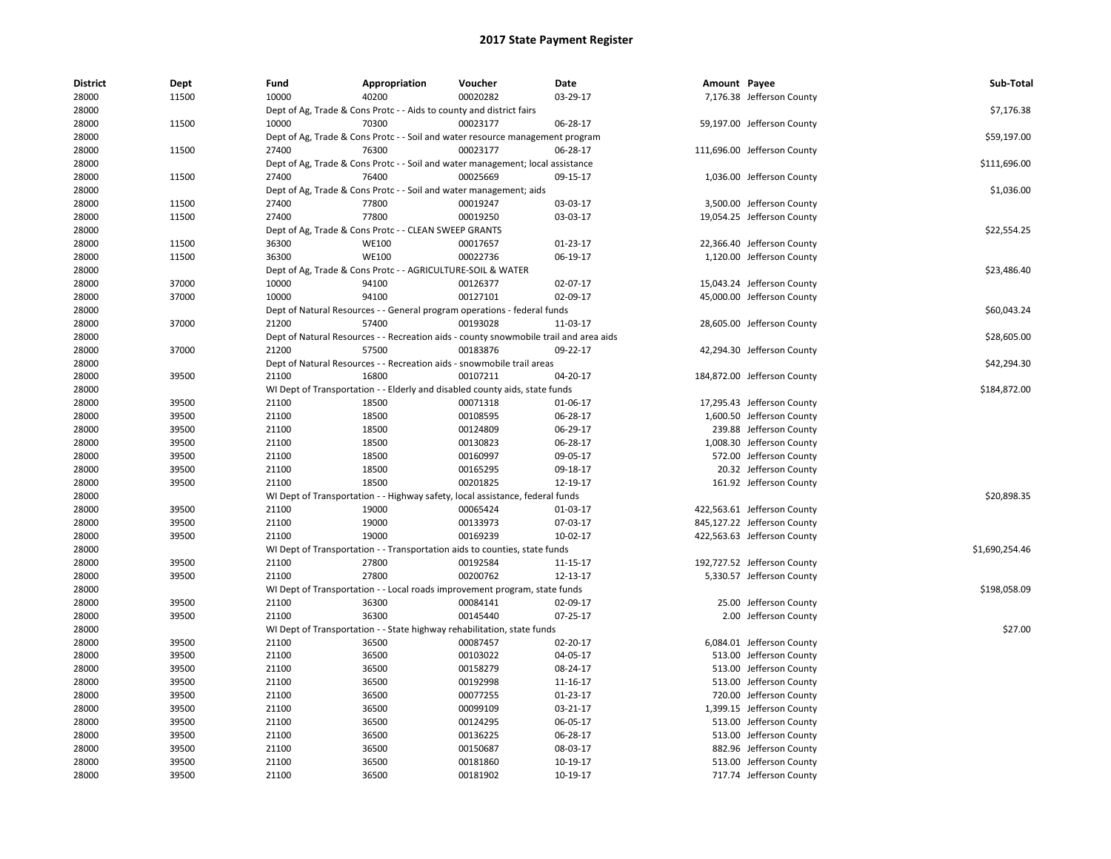| <b>District</b> | Dept  | Fund  | Appropriation                                                                         | Voucher  | Date     | Amount Payee |                             | Sub-Total      |
|-----------------|-------|-------|---------------------------------------------------------------------------------------|----------|----------|--------------|-----------------------------|----------------|
| 28000           | 11500 | 10000 | 40200                                                                                 | 00020282 | 03-29-17 |              | 7,176.38 Jefferson County   |                |
| 28000           |       |       | Dept of Ag, Trade & Cons Protc - - Aids to county and district fairs                  |          |          |              |                             | \$7,176.38     |
| 28000           | 11500 | 10000 | 70300                                                                                 | 00023177 | 06-28-17 |              | 59,197.00 Jefferson County  |                |
| 28000           |       |       | Dept of Ag, Trade & Cons Protc - - Soil and water resource management program         |          |          |              |                             | \$59,197.00    |
| 28000           | 11500 | 27400 | 76300                                                                                 | 00023177 | 06-28-17 |              | 111,696.00 Jefferson County |                |
| 28000           |       |       | Dept of Ag, Trade & Cons Protc - - Soil and water management; local assistance        |          |          |              |                             | \$111,696.00   |
| 28000           | 11500 | 27400 | 76400                                                                                 | 00025669 | 09-15-17 |              | 1,036.00 Jefferson County   |                |
| 28000           |       |       | Dept of Ag, Trade & Cons Protc - - Soil and water management; aids                    |          |          |              |                             | \$1,036.00     |
| 28000           | 11500 | 27400 | 77800                                                                                 | 00019247 | 03-03-17 |              | 3,500.00 Jefferson County   |                |
| 28000           | 11500 | 27400 | 77800                                                                                 | 00019250 | 03-03-17 |              | 19,054.25 Jefferson County  |                |
| 28000           |       |       | Dept of Ag, Trade & Cons Protc - - CLEAN SWEEP GRANTS                                 |          |          |              |                             | \$22,554.25    |
| 28000           | 11500 | 36300 | <b>WE100</b>                                                                          | 00017657 | 01-23-17 |              | 22,366.40 Jefferson County  |                |
| 28000           | 11500 | 36300 | <b>WE100</b>                                                                          | 00022736 | 06-19-17 |              | 1,120.00 Jefferson County   |                |
| 28000           |       |       | Dept of Ag, Trade & Cons Protc - - AGRICULTURE-SOIL & WATER                           |          |          |              |                             | \$23,486.40    |
| 28000           | 37000 | 10000 | 94100                                                                                 | 00126377 | 02-07-17 |              | 15,043.24 Jefferson County  |                |
| 28000           | 37000 | 10000 | 94100                                                                                 | 00127101 | 02-09-17 |              | 45,000.00 Jefferson County  |                |
| 28000           |       |       | Dept of Natural Resources - - General program operations - federal funds              |          |          |              |                             | \$60,043.24    |
| 28000           | 37000 | 21200 | 57400                                                                                 | 00193028 | 11-03-17 |              | 28,605.00 Jefferson County  |                |
| 28000           |       |       | Dept of Natural Resources - - Recreation aids - county snowmobile trail and area aids |          |          |              |                             | \$28,605.00    |
| 28000           | 37000 | 21200 | 57500                                                                                 | 00183876 | 09-22-17 |              | 42,294.30 Jefferson County  |                |
| 28000           |       |       | Dept of Natural Resources - - Recreation aids - snowmobile trail areas                |          |          |              |                             | \$42,294.30    |
| 28000           | 39500 | 21100 | 16800                                                                                 | 00107211 | 04-20-17 |              | 184,872.00 Jefferson County |                |
| 28000           |       |       | WI Dept of Transportation - - Elderly and disabled county aids, state funds           |          |          |              |                             | \$184,872.00   |
| 28000           | 39500 | 21100 | 18500                                                                                 | 00071318 | 01-06-17 |              | 17,295.43 Jefferson County  |                |
| 28000           | 39500 | 21100 | 18500                                                                                 | 00108595 | 06-28-17 |              | 1,600.50 Jefferson County   |                |
| 28000           | 39500 | 21100 | 18500                                                                                 | 00124809 | 06-29-17 |              | 239.88 Jefferson County     |                |
| 28000           | 39500 | 21100 | 18500                                                                                 | 00130823 | 06-28-17 |              | 1,008.30 Jefferson County   |                |
| 28000           | 39500 | 21100 | 18500                                                                                 | 00160997 | 09-05-17 |              | 572.00 Jefferson County     |                |
| 28000           | 39500 | 21100 | 18500                                                                                 | 00165295 | 09-18-17 |              | 20.32 Jefferson County      |                |
| 28000           | 39500 | 21100 | 18500                                                                                 | 00201825 | 12-19-17 |              | 161.92 Jefferson County     |                |
| 28000           |       |       | WI Dept of Transportation - - Highway safety, local assistance, federal funds         |          |          |              |                             | \$20,898.35    |
| 28000           | 39500 | 21100 | 19000                                                                                 | 00065424 | 01-03-17 |              | 422,563.61 Jefferson County |                |
| 28000           | 39500 | 21100 | 19000                                                                                 | 00133973 | 07-03-17 |              | 845,127.22 Jefferson County |                |
| 28000           | 39500 | 21100 | 19000                                                                                 | 00169239 | 10-02-17 |              | 422,563.63 Jefferson County |                |
| 28000           |       |       | WI Dept of Transportation - - Transportation aids to counties, state funds            |          |          |              |                             | \$1,690,254.46 |
| 28000           | 39500 | 21100 | 27800                                                                                 | 00192584 | 11-15-17 |              | 192,727.52 Jefferson County |                |
| 28000           | 39500 | 21100 | 27800                                                                                 | 00200762 | 12-13-17 |              | 5,330.57 Jefferson County   |                |
| 28000           |       |       | WI Dept of Transportation - - Local roads improvement program, state funds            |          |          |              |                             | \$198,058.09   |
| 28000           | 39500 | 21100 | 36300                                                                                 | 00084141 | 02-09-17 |              | 25.00 Jefferson County      |                |
| 28000           | 39500 | 21100 | 36300                                                                                 | 00145440 | 07-25-17 |              | 2.00 Jefferson County       |                |
| 28000           |       |       | WI Dept of Transportation - - State highway rehabilitation, state funds               |          |          |              |                             | \$27.00        |
| 28000           | 39500 | 21100 | 36500                                                                                 | 00087457 | 02-20-17 |              | 6,084.01 Jefferson County   |                |
| 28000           | 39500 | 21100 | 36500                                                                                 | 00103022 | 04-05-17 |              | 513.00 Jefferson County     |                |
| 28000           | 39500 | 21100 | 36500                                                                                 | 00158279 | 08-24-17 |              | 513.00 Jefferson County     |                |
| 28000           | 39500 | 21100 | 36500                                                                                 | 00192998 | 11-16-17 |              | 513.00 Jefferson County     |                |
| 28000           | 39500 | 21100 | 36500                                                                                 | 00077255 | 01-23-17 |              | 720.00 Jefferson County     |                |
| 28000           | 39500 | 21100 | 36500                                                                                 | 00099109 | 03-21-17 |              | 1,399.15 Jefferson County   |                |
| 28000           | 39500 | 21100 | 36500                                                                                 | 00124295 | 06-05-17 |              | 513.00 Jefferson County     |                |
| 28000           | 39500 | 21100 | 36500                                                                                 | 00136225 | 06-28-17 |              | 513.00 Jefferson County     |                |
| 28000           | 39500 | 21100 | 36500                                                                                 | 00150687 | 08-03-17 |              | 882.96 Jefferson County     |                |
| 28000           | 39500 | 21100 | 36500                                                                                 | 00181860 | 10-19-17 |              | 513.00 Jefferson County     |                |
| 28000           | 39500 | 21100 | 36500                                                                                 | 00181902 | 10-19-17 |              | 717.74 Jefferson County     |                |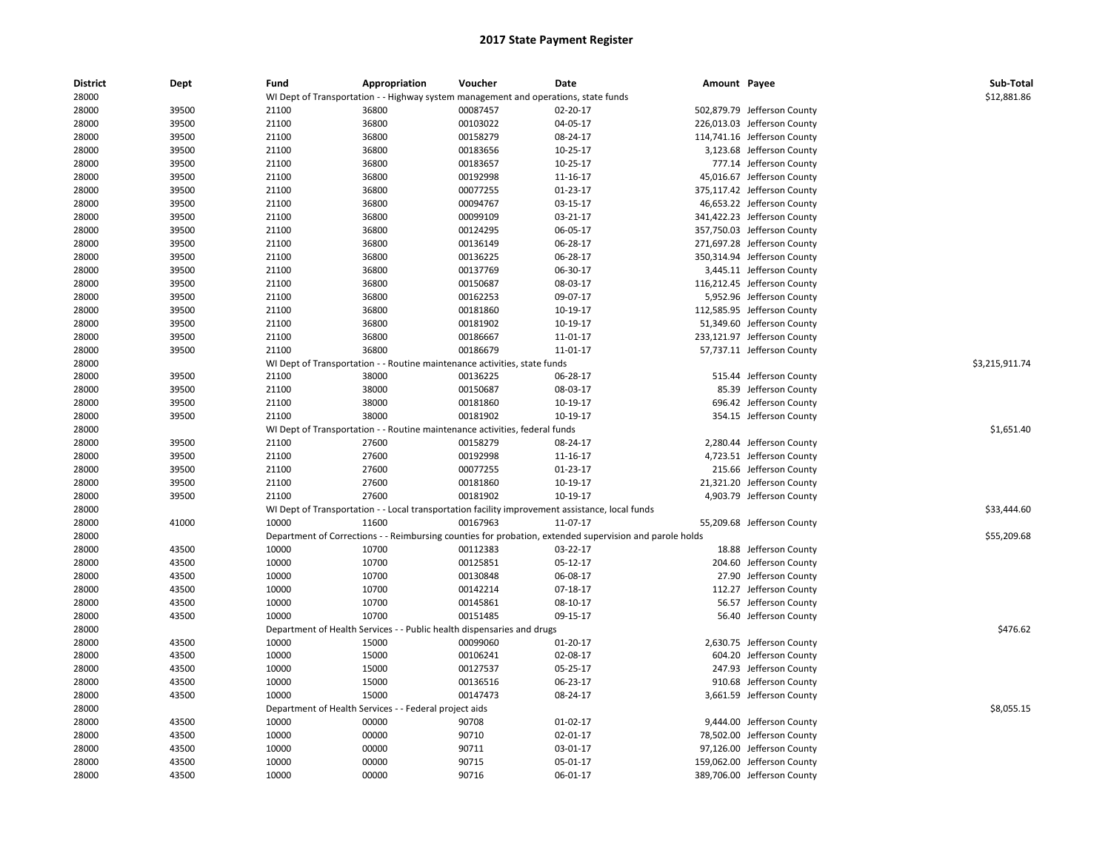| 28000<br>WI Dept of Transportation - - Highway system management and operations, state funds<br>00087457<br>28000<br>39500<br>21100<br>36800<br>02-20-17<br>502,879.79 Jefferson County<br>39500<br>00103022<br>04-05-17<br>28000<br>21100<br>36800<br>226,013.03 Jefferson County<br>28000<br>39500<br>21100<br>36800<br>00158279<br>08-24-17<br>114,741.16 Jefferson County<br>39500<br>36800<br>00183656<br>3,123.68 Jefferson County<br>28000<br>21100<br>10-25-17<br>39500<br>36800<br>00183657<br>10-25-17<br>777.14 Jefferson County<br>28000<br>21100<br>28000<br>39500<br>21100<br>36800<br>00192998<br>11-16-17<br>45,016.67 Jefferson County<br>28000<br>39500<br>21100<br>36800<br>00077255<br>01-23-17<br>375,117.42 Jefferson County<br>28000<br>39500<br>21100<br>36800<br>00094767<br>03-15-17<br>46,653.22 Jefferson County<br>00099109<br>341,422.23 Jefferson County<br>28000<br>39500<br>21100<br>36800<br>03-21-17<br>06-05-17<br>357,750.03 Jefferson County<br>28000<br>39500<br>21100<br>36800<br>00124295<br>28000<br>39500<br>21100<br>36800<br>00136149<br>06-28-17<br>271,697.28 Jefferson County<br>39500<br>36800<br>00136225<br>350,314.94 Jefferson County<br>28000<br>21100<br>06-28-17<br>28000<br>39500<br>21100<br>36800<br>00137769<br>06-30-17<br>3,445.11 Jefferson County<br>00150687<br>28000<br>39500<br>21100<br>36800<br>08-03-17<br>116,212.45 Jefferson County<br>00162253<br>5,952.96 Jefferson County<br>28000<br>39500<br>21100<br>36800<br>09-07-17<br>28000<br>39500<br>21100<br>36800<br>00181860<br>10-19-17<br>112,585.95 Jefferson County<br>00181902<br>51,349.60 Jefferson County<br>28000<br>39500<br>21100<br>36800<br>10-19-17<br>28000<br>39500<br>21100<br>36800<br>00186667<br>233,121.97 Jefferson County<br>11-01-17<br>21100<br>36800<br>00186679<br>$11 - 01 - 17$<br>57,737.11 Jefferson County<br>28000<br>39500<br>\$3,215,911.74<br>28000<br>WI Dept of Transportation - - Routine maintenance activities, state funds<br>28000<br>39500<br>21100<br>38000<br>00136225<br>06-28-17<br>515.44 Jefferson County<br>39500<br>21100<br>38000<br>00150687<br>08-03-17<br>85.39 Jefferson County<br>28000<br>39500<br>21100<br>00181860<br>696.42 Jefferson County<br>28000<br>38000<br>10-19-17<br>38000<br>00181902<br>10-19-17<br>354.15 Jefferson County<br>28000<br>39500<br>21100<br>\$1,651.40<br>28000<br>WI Dept of Transportation - - Routine maintenance activities, federal funds<br>39500<br>27600<br>00158279<br>28000<br>21100<br>08-24-17<br>2,280.44 Jefferson County<br>39500<br>21100<br>27600<br>00192998<br>4,723.51 Jefferson County<br>28000<br>11-16-17<br>215.66 Jefferson County<br>28000<br>39500<br>21100<br>27600<br>00077255<br>01-23-17<br>21100<br>27600<br>00181860<br>10-19-17<br>21,321.20 Jefferson County<br>28000<br>39500<br>27600<br>00181902<br>28000<br>39500<br>21100<br>10-19-17<br>4,903.79 Jefferson County<br>\$33,444.60<br>28000<br>WI Dept of Transportation - - Local transportation facility improvement assistance, local funds<br>41000<br>11600<br>00167963<br>11-07-17<br>55,209.68 Jefferson County<br>28000<br>10000<br>\$55,209.68<br>28000<br>Department of Corrections - - Reimbursing counties for probation, extended supervision and parole holds<br>10000<br>10700<br>28000<br>43500<br>00112383<br>03-22-17<br>18.88 Jefferson County<br>28000<br>43500<br>10000<br>10700<br>00125851<br>05-12-17<br>204.60 Jefferson County<br>28000<br>43500<br>10000<br>10700<br>00130848<br>06-08-17<br>27.90 Jefferson County<br>28000<br>43500<br>10000<br>10700<br>00142214<br>$07-18-17$<br>112.27 Jefferson County<br>00145861<br>56.57 Jefferson County<br>28000<br>43500<br>10000<br>10700<br>08-10-17<br>10000<br>10700<br>00151485<br>56.40 Jefferson County<br>28000<br>43500<br>09-15-17<br>\$476.62<br>28000<br>Department of Health Services - - Public health dispensaries and drugs<br>43500<br>10000<br>15000<br>00099060<br>2,630.75 Jefferson County<br>28000<br>01-20-17<br>28000<br>43500<br>10000<br>15000<br>00106241<br>02-08-17<br>604.20 Jefferson County<br>247.93 Jefferson County<br>28000<br>43500<br>10000<br>15000<br>00127537<br>05-25-17<br>10000<br>910.68 Jefferson County<br>28000<br>43500<br>15000<br>00136516<br>06-23-17<br>00147473<br>28000<br>43500<br>10000<br>15000<br>08-24-17<br>3,661.59 Jefferson County<br>\$8,055.15<br>28000<br>Department of Health Services - - Federal project aids<br>28000<br>43500<br>10000<br>00000<br>90708<br>$01-02-17$<br>9,444.00 Jefferson County<br>10000<br>00000<br>90710<br>78,502.00 Jefferson County<br>28000<br>43500<br>02-01-17<br>43500<br>10000<br>00000<br>90711<br>97,126.00 Jefferson County<br>28000<br>03-01-17<br>28000<br>43500<br>10000<br>00000<br>90715<br>05-01-17<br>159,062.00 Jefferson County<br>90716<br>28000<br>43500<br>10000<br>00000<br>06-01-17<br>389,706.00 Jefferson County | <b>District</b> | Dept | Fund | Appropriation | Voucher | Date | Amount Payee | Sub-Total   |
|-------------------------------------------------------------------------------------------------------------------------------------------------------------------------------------------------------------------------------------------------------------------------------------------------------------------------------------------------------------------------------------------------------------------------------------------------------------------------------------------------------------------------------------------------------------------------------------------------------------------------------------------------------------------------------------------------------------------------------------------------------------------------------------------------------------------------------------------------------------------------------------------------------------------------------------------------------------------------------------------------------------------------------------------------------------------------------------------------------------------------------------------------------------------------------------------------------------------------------------------------------------------------------------------------------------------------------------------------------------------------------------------------------------------------------------------------------------------------------------------------------------------------------------------------------------------------------------------------------------------------------------------------------------------------------------------------------------------------------------------------------------------------------------------------------------------------------------------------------------------------------------------------------------------------------------------------------------------------------------------------------------------------------------------------------------------------------------------------------------------------------------------------------------------------------------------------------------------------------------------------------------------------------------------------------------------------------------------------------------------------------------------------------------------------------------------------------------------------------------------------------------------------------------------------------------------------------------------------------------------------------------------------------------------------------------------------------------------------------------------------------------------------------------------------------------------------------------------------------------------------------------------------------------------------------------------------------------------------------------------------------------------------------------------------------------------------------------------------------------------------------------------------------------------------------------------------------------------------------------------------------------------------------------------------------------------------------------------------------------------------------------------------------------------------------------------------------------------------------------------------------------------------------------------------------------------------------------------------------------------------------------------------------------------------------------------------------------------------------------------------------------------------------------------------------------------------------------------------------------------------------------------------------------------------------------------------------------------------------------------------------------------------------------------------------------------------------------------------------------------------------------------------------------------------------------------------------------------------------------------------------------------------------------------------------------------------------------------------------------------------------------------------------------------------------------------------------------------------------------------------------------------------------------------------------------------------------------------------------------------------------------------------------------------------------------------------------------------------------------------------------------------------------------------------------------------------------------------------------------------------------------------------------------------------|-----------------|------|------|---------------|---------|------|--------------|-------------|
|                                                                                                                                                                                                                                                                                                                                                                                                                                                                                                                                                                                                                                                                                                                                                                                                                                                                                                                                                                                                                                                                                                                                                                                                                                                                                                                                                                                                                                                                                                                                                                                                                                                                                                                                                                                                                                                                                                                                                                                                                                                                                                                                                                                                                                                                                                                                                                                                                                                                                                                                                                                                                                                                                                                                                                                                                                                                                                                                                                                                                                                                                                                                                                                                                                                                                                                                                                                                                                                                                                                                                                                                                                                                                                                                                                                                                                                                                                                                                                                                                                                                                                                                                                                                                                                                                                                                                                                                                                                                                                                                                                                                                                                                                                                                                                                                                                                                                                                         |                 |      |      |               |         |      |              | \$12,881.86 |
|                                                                                                                                                                                                                                                                                                                                                                                                                                                                                                                                                                                                                                                                                                                                                                                                                                                                                                                                                                                                                                                                                                                                                                                                                                                                                                                                                                                                                                                                                                                                                                                                                                                                                                                                                                                                                                                                                                                                                                                                                                                                                                                                                                                                                                                                                                                                                                                                                                                                                                                                                                                                                                                                                                                                                                                                                                                                                                                                                                                                                                                                                                                                                                                                                                                                                                                                                                                                                                                                                                                                                                                                                                                                                                                                                                                                                                                                                                                                                                                                                                                                                                                                                                                                                                                                                                                                                                                                                                                                                                                                                                                                                                                                                                                                                                                                                                                                                                                         |                 |      |      |               |         |      |              |             |
|                                                                                                                                                                                                                                                                                                                                                                                                                                                                                                                                                                                                                                                                                                                                                                                                                                                                                                                                                                                                                                                                                                                                                                                                                                                                                                                                                                                                                                                                                                                                                                                                                                                                                                                                                                                                                                                                                                                                                                                                                                                                                                                                                                                                                                                                                                                                                                                                                                                                                                                                                                                                                                                                                                                                                                                                                                                                                                                                                                                                                                                                                                                                                                                                                                                                                                                                                                                                                                                                                                                                                                                                                                                                                                                                                                                                                                                                                                                                                                                                                                                                                                                                                                                                                                                                                                                                                                                                                                                                                                                                                                                                                                                                                                                                                                                                                                                                                                                         |                 |      |      |               |         |      |              |             |
|                                                                                                                                                                                                                                                                                                                                                                                                                                                                                                                                                                                                                                                                                                                                                                                                                                                                                                                                                                                                                                                                                                                                                                                                                                                                                                                                                                                                                                                                                                                                                                                                                                                                                                                                                                                                                                                                                                                                                                                                                                                                                                                                                                                                                                                                                                                                                                                                                                                                                                                                                                                                                                                                                                                                                                                                                                                                                                                                                                                                                                                                                                                                                                                                                                                                                                                                                                                                                                                                                                                                                                                                                                                                                                                                                                                                                                                                                                                                                                                                                                                                                                                                                                                                                                                                                                                                                                                                                                                                                                                                                                                                                                                                                                                                                                                                                                                                                                                         |                 |      |      |               |         |      |              |             |
|                                                                                                                                                                                                                                                                                                                                                                                                                                                                                                                                                                                                                                                                                                                                                                                                                                                                                                                                                                                                                                                                                                                                                                                                                                                                                                                                                                                                                                                                                                                                                                                                                                                                                                                                                                                                                                                                                                                                                                                                                                                                                                                                                                                                                                                                                                                                                                                                                                                                                                                                                                                                                                                                                                                                                                                                                                                                                                                                                                                                                                                                                                                                                                                                                                                                                                                                                                                                                                                                                                                                                                                                                                                                                                                                                                                                                                                                                                                                                                                                                                                                                                                                                                                                                                                                                                                                                                                                                                                                                                                                                                                                                                                                                                                                                                                                                                                                                                                         |                 |      |      |               |         |      |              |             |
|                                                                                                                                                                                                                                                                                                                                                                                                                                                                                                                                                                                                                                                                                                                                                                                                                                                                                                                                                                                                                                                                                                                                                                                                                                                                                                                                                                                                                                                                                                                                                                                                                                                                                                                                                                                                                                                                                                                                                                                                                                                                                                                                                                                                                                                                                                                                                                                                                                                                                                                                                                                                                                                                                                                                                                                                                                                                                                                                                                                                                                                                                                                                                                                                                                                                                                                                                                                                                                                                                                                                                                                                                                                                                                                                                                                                                                                                                                                                                                                                                                                                                                                                                                                                                                                                                                                                                                                                                                                                                                                                                                                                                                                                                                                                                                                                                                                                                                                         |                 |      |      |               |         |      |              |             |
|                                                                                                                                                                                                                                                                                                                                                                                                                                                                                                                                                                                                                                                                                                                                                                                                                                                                                                                                                                                                                                                                                                                                                                                                                                                                                                                                                                                                                                                                                                                                                                                                                                                                                                                                                                                                                                                                                                                                                                                                                                                                                                                                                                                                                                                                                                                                                                                                                                                                                                                                                                                                                                                                                                                                                                                                                                                                                                                                                                                                                                                                                                                                                                                                                                                                                                                                                                                                                                                                                                                                                                                                                                                                                                                                                                                                                                                                                                                                                                                                                                                                                                                                                                                                                                                                                                                                                                                                                                                                                                                                                                                                                                                                                                                                                                                                                                                                                                                         |                 |      |      |               |         |      |              |             |
|                                                                                                                                                                                                                                                                                                                                                                                                                                                                                                                                                                                                                                                                                                                                                                                                                                                                                                                                                                                                                                                                                                                                                                                                                                                                                                                                                                                                                                                                                                                                                                                                                                                                                                                                                                                                                                                                                                                                                                                                                                                                                                                                                                                                                                                                                                                                                                                                                                                                                                                                                                                                                                                                                                                                                                                                                                                                                                                                                                                                                                                                                                                                                                                                                                                                                                                                                                                                                                                                                                                                                                                                                                                                                                                                                                                                                                                                                                                                                                                                                                                                                                                                                                                                                                                                                                                                                                                                                                                                                                                                                                                                                                                                                                                                                                                                                                                                                                                         |                 |      |      |               |         |      |              |             |
|                                                                                                                                                                                                                                                                                                                                                                                                                                                                                                                                                                                                                                                                                                                                                                                                                                                                                                                                                                                                                                                                                                                                                                                                                                                                                                                                                                                                                                                                                                                                                                                                                                                                                                                                                                                                                                                                                                                                                                                                                                                                                                                                                                                                                                                                                                                                                                                                                                                                                                                                                                                                                                                                                                                                                                                                                                                                                                                                                                                                                                                                                                                                                                                                                                                                                                                                                                                                                                                                                                                                                                                                                                                                                                                                                                                                                                                                                                                                                                                                                                                                                                                                                                                                                                                                                                                                                                                                                                                                                                                                                                                                                                                                                                                                                                                                                                                                                                                         |                 |      |      |               |         |      |              |             |
|                                                                                                                                                                                                                                                                                                                                                                                                                                                                                                                                                                                                                                                                                                                                                                                                                                                                                                                                                                                                                                                                                                                                                                                                                                                                                                                                                                                                                                                                                                                                                                                                                                                                                                                                                                                                                                                                                                                                                                                                                                                                                                                                                                                                                                                                                                                                                                                                                                                                                                                                                                                                                                                                                                                                                                                                                                                                                                                                                                                                                                                                                                                                                                                                                                                                                                                                                                                                                                                                                                                                                                                                                                                                                                                                                                                                                                                                                                                                                                                                                                                                                                                                                                                                                                                                                                                                                                                                                                                                                                                                                                                                                                                                                                                                                                                                                                                                                                                         |                 |      |      |               |         |      |              |             |
|                                                                                                                                                                                                                                                                                                                                                                                                                                                                                                                                                                                                                                                                                                                                                                                                                                                                                                                                                                                                                                                                                                                                                                                                                                                                                                                                                                                                                                                                                                                                                                                                                                                                                                                                                                                                                                                                                                                                                                                                                                                                                                                                                                                                                                                                                                                                                                                                                                                                                                                                                                                                                                                                                                                                                                                                                                                                                                                                                                                                                                                                                                                                                                                                                                                                                                                                                                                                                                                                                                                                                                                                                                                                                                                                                                                                                                                                                                                                                                                                                                                                                                                                                                                                                                                                                                                                                                                                                                                                                                                                                                                                                                                                                                                                                                                                                                                                                                                         |                 |      |      |               |         |      |              |             |
|                                                                                                                                                                                                                                                                                                                                                                                                                                                                                                                                                                                                                                                                                                                                                                                                                                                                                                                                                                                                                                                                                                                                                                                                                                                                                                                                                                                                                                                                                                                                                                                                                                                                                                                                                                                                                                                                                                                                                                                                                                                                                                                                                                                                                                                                                                                                                                                                                                                                                                                                                                                                                                                                                                                                                                                                                                                                                                                                                                                                                                                                                                                                                                                                                                                                                                                                                                                                                                                                                                                                                                                                                                                                                                                                                                                                                                                                                                                                                                                                                                                                                                                                                                                                                                                                                                                                                                                                                                                                                                                                                                                                                                                                                                                                                                                                                                                                                                                         |                 |      |      |               |         |      |              |             |
|                                                                                                                                                                                                                                                                                                                                                                                                                                                                                                                                                                                                                                                                                                                                                                                                                                                                                                                                                                                                                                                                                                                                                                                                                                                                                                                                                                                                                                                                                                                                                                                                                                                                                                                                                                                                                                                                                                                                                                                                                                                                                                                                                                                                                                                                                                                                                                                                                                                                                                                                                                                                                                                                                                                                                                                                                                                                                                                                                                                                                                                                                                                                                                                                                                                                                                                                                                                                                                                                                                                                                                                                                                                                                                                                                                                                                                                                                                                                                                                                                                                                                                                                                                                                                                                                                                                                                                                                                                                                                                                                                                                                                                                                                                                                                                                                                                                                                                                         |                 |      |      |               |         |      |              |             |
|                                                                                                                                                                                                                                                                                                                                                                                                                                                                                                                                                                                                                                                                                                                                                                                                                                                                                                                                                                                                                                                                                                                                                                                                                                                                                                                                                                                                                                                                                                                                                                                                                                                                                                                                                                                                                                                                                                                                                                                                                                                                                                                                                                                                                                                                                                                                                                                                                                                                                                                                                                                                                                                                                                                                                                                                                                                                                                                                                                                                                                                                                                                                                                                                                                                                                                                                                                                                                                                                                                                                                                                                                                                                                                                                                                                                                                                                                                                                                                                                                                                                                                                                                                                                                                                                                                                                                                                                                                                                                                                                                                                                                                                                                                                                                                                                                                                                                                                         |                 |      |      |               |         |      |              |             |
|                                                                                                                                                                                                                                                                                                                                                                                                                                                                                                                                                                                                                                                                                                                                                                                                                                                                                                                                                                                                                                                                                                                                                                                                                                                                                                                                                                                                                                                                                                                                                                                                                                                                                                                                                                                                                                                                                                                                                                                                                                                                                                                                                                                                                                                                                                                                                                                                                                                                                                                                                                                                                                                                                                                                                                                                                                                                                                                                                                                                                                                                                                                                                                                                                                                                                                                                                                                                                                                                                                                                                                                                                                                                                                                                                                                                                                                                                                                                                                                                                                                                                                                                                                                                                                                                                                                                                                                                                                                                                                                                                                                                                                                                                                                                                                                                                                                                                                                         |                 |      |      |               |         |      |              |             |
|                                                                                                                                                                                                                                                                                                                                                                                                                                                                                                                                                                                                                                                                                                                                                                                                                                                                                                                                                                                                                                                                                                                                                                                                                                                                                                                                                                                                                                                                                                                                                                                                                                                                                                                                                                                                                                                                                                                                                                                                                                                                                                                                                                                                                                                                                                                                                                                                                                                                                                                                                                                                                                                                                                                                                                                                                                                                                                                                                                                                                                                                                                                                                                                                                                                                                                                                                                                                                                                                                                                                                                                                                                                                                                                                                                                                                                                                                                                                                                                                                                                                                                                                                                                                                                                                                                                                                                                                                                                                                                                                                                                                                                                                                                                                                                                                                                                                                                                         |                 |      |      |               |         |      |              |             |
|                                                                                                                                                                                                                                                                                                                                                                                                                                                                                                                                                                                                                                                                                                                                                                                                                                                                                                                                                                                                                                                                                                                                                                                                                                                                                                                                                                                                                                                                                                                                                                                                                                                                                                                                                                                                                                                                                                                                                                                                                                                                                                                                                                                                                                                                                                                                                                                                                                                                                                                                                                                                                                                                                                                                                                                                                                                                                                                                                                                                                                                                                                                                                                                                                                                                                                                                                                                                                                                                                                                                                                                                                                                                                                                                                                                                                                                                                                                                                                                                                                                                                                                                                                                                                                                                                                                                                                                                                                                                                                                                                                                                                                                                                                                                                                                                                                                                                                                         |                 |      |      |               |         |      |              |             |
|                                                                                                                                                                                                                                                                                                                                                                                                                                                                                                                                                                                                                                                                                                                                                                                                                                                                                                                                                                                                                                                                                                                                                                                                                                                                                                                                                                                                                                                                                                                                                                                                                                                                                                                                                                                                                                                                                                                                                                                                                                                                                                                                                                                                                                                                                                                                                                                                                                                                                                                                                                                                                                                                                                                                                                                                                                                                                                                                                                                                                                                                                                                                                                                                                                                                                                                                                                                                                                                                                                                                                                                                                                                                                                                                                                                                                                                                                                                                                                                                                                                                                                                                                                                                                                                                                                                                                                                                                                                                                                                                                                                                                                                                                                                                                                                                                                                                                                                         |                 |      |      |               |         |      |              |             |
|                                                                                                                                                                                                                                                                                                                                                                                                                                                                                                                                                                                                                                                                                                                                                                                                                                                                                                                                                                                                                                                                                                                                                                                                                                                                                                                                                                                                                                                                                                                                                                                                                                                                                                                                                                                                                                                                                                                                                                                                                                                                                                                                                                                                                                                                                                                                                                                                                                                                                                                                                                                                                                                                                                                                                                                                                                                                                                                                                                                                                                                                                                                                                                                                                                                                                                                                                                                                                                                                                                                                                                                                                                                                                                                                                                                                                                                                                                                                                                                                                                                                                                                                                                                                                                                                                                                                                                                                                                                                                                                                                                                                                                                                                                                                                                                                                                                                                                                         |                 |      |      |               |         |      |              |             |
|                                                                                                                                                                                                                                                                                                                                                                                                                                                                                                                                                                                                                                                                                                                                                                                                                                                                                                                                                                                                                                                                                                                                                                                                                                                                                                                                                                                                                                                                                                                                                                                                                                                                                                                                                                                                                                                                                                                                                                                                                                                                                                                                                                                                                                                                                                                                                                                                                                                                                                                                                                                                                                                                                                                                                                                                                                                                                                                                                                                                                                                                                                                                                                                                                                                                                                                                                                                                                                                                                                                                                                                                                                                                                                                                                                                                                                                                                                                                                                                                                                                                                                                                                                                                                                                                                                                                                                                                                                                                                                                                                                                                                                                                                                                                                                                                                                                                                                                         |                 |      |      |               |         |      |              |             |
|                                                                                                                                                                                                                                                                                                                                                                                                                                                                                                                                                                                                                                                                                                                                                                                                                                                                                                                                                                                                                                                                                                                                                                                                                                                                                                                                                                                                                                                                                                                                                                                                                                                                                                                                                                                                                                                                                                                                                                                                                                                                                                                                                                                                                                                                                                                                                                                                                                                                                                                                                                                                                                                                                                                                                                                                                                                                                                                                                                                                                                                                                                                                                                                                                                                                                                                                                                                                                                                                                                                                                                                                                                                                                                                                                                                                                                                                                                                                                                                                                                                                                                                                                                                                                                                                                                                                                                                                                                                                                                                                                                                                                                                                                                                                                                                                                                                                                                                         |                 |      |      |               |         |      |              |             |
|                                                                                                                                                                                                                                                                                                                                                                                                                                                                                                                                                                                                                                                                                                                                                                                                                                                                                                                                                                                                                                                                                                                                                                                                                                                                                                                                                                                                                                                                                                                                                                                                                                                                                                                                                                                                                                                                                                                                                                                                                                                                                                                                                                                                                                                                                                                                                                                                                                                                                                                                                                                                                                                                                                                                                                                                                                                                                                                                                                                                                                                                                                                                                                                                                                                                                                                                                                                                                                                                                                                                                                                                                                                                                                                                                                                                                                                                                                                                                                                                                                                                                                                                                                                                                                                                                                                                                                                                                                                                                                                                                                                                                                                                                                                                                                                                                                                                                                                         |                 |      |      |               |         |      |              |             |
|                                                                                                                                                                                                                                                                                                                                                                                                                                                                                                                                                                                                                                                                                                                                                                                                                                                                                                                                                                                                                                                                                                                                                                                                                                                                                                                                                                                                                                                                                                                                                                                                                                                                                                                                                                                                                                                                                                                                                                                                                                                                                                                                                                                                                                                                                                                                                                                                                                                                                                                                                                                                                                                                                                                                                                                                                                                                                                                                                                                                                                                                                                                                                                                                                                                                                                                                                                                                                                                                                                                                                                                                                                                                                                                                                                                                                                                                                                                                                                                                                                                                                                                                                                                                                                                                                                                                                                                                                                                                                                                                                                                                                                                                                                                                                                                                                                                                                                                         |                 |      |      |               |         |      |              |             |
|                                                                                                                                                                                                                                                                                                                                                                                                                                                                                                                                                                                                                                                                                                                                                                                                                                                                                                                                                                                                                                                                                                                                                                                                                                                                                                                                                                                                                                                                                                                                                                                                                                                                                                                                                                                                                                                                                                                                                                                                                                                                                                                                                                                                                                                                                                                                                                                                                                                                                                                                                                                                                                                                                                                                                                                                                                                                                                                                                                                                                                                                                                                                                                                                                                                                                                                                                                                                                                                                                                                                                                                                                                                                                                                                                                                                                                                                                                                                                                                                                                                                                                                                                                                                                                                                                                                                                                                                                                                                                                                                                                                                                                                                                                                                                                                                                                                                                                                         |                 |      |      |               |         |      |              |             |
|                                                                                                                                                                                                                                                                                                                                                                                                                                                                                                                                                                                                                                                                                                                                                                                                                                                                                                                                                                                                                                                                                                                                                                                                                                                                                                                                                                                                                                                                                                                                                                                                                                                                                                                                                                                                                                                                                                                                                                                                                                                                                                                                                                                                                                                                                                                                                                                                                                                                                                                                                                                                                                                                                                                                                                                                                                                                                                                                                                                                                                                                                                                                                                                                                                                                                                                                                                                                                                                                                                                                                                                                                                                                                                                                                                                                                                                                                                                                                                                                                                                                                                                                                                                                                                                                                                                                                                                                                                                                                                                                                                                                                                                                                                                                                                                                                                                                                                                         |                 |      |      |               |         |      |              |             |
|                                                                                                                                                                                                                                                                                                                                                                                                                                                                                                                                                                                                                                                                                                                                                                                                                                                                                                                                                                                                                                                                                                                                                                                                                                                                                                                                                                                                                                                                                                                                                                                                                                                                                                                                                                                                                                                                                                                                                                                                                                                                                                                                                                                                                                                                                                                                                                                                                                                                                                                                                                                                                                                                                                                                                                                                                                                                                                                                                                                                                                                                                                                                                                                                                                                                                                                                                                                                                                                                                                                                                                                                                                                                                                                                                                                                                                                                                                                                                                                                                                                                                                                                                                                                                                                                                                                                                                                                                                                                                                                                                                                                                                                                                                                                                                                                                                                                                                                         |                 |      |      |               |         |      |              |             |
|                                                                                                                                                                                                                                                                                                                                                                                                                                                                                                                                                                                                                                                                                                                                                                                                                                                                                                                                                                                                                                                                                                                                                                                                                                                                                                                                                                                                                                                                                                                                                                                                                                                                                                                                                                                                                                                                                                                                                                                                                                                                                                                                                                                                                                                                                                                                                                                                                                                                                                                                                                                                                                                                                                                                                                                                                                                                                                                                                                                                                                                                                                                                                                                                                                                                                                                                                                                                                                                                                                                                                                                                                                                                                                                                                                                                                                                                                                                                                                                                                                                                                                                                                                                                                                                                                                                                                                                                                                                                                                                                                                                                                                                                                                                                                                                                                                                                                                                         |                 |      |      |               |         |      |              |             |
|                                                                                                                                                                                                                                                                                                                                                                                                                                                                                                                                                                                                                                                                                                                                                                                                                                                                                                                                                                                                                                                                                                                                                                                                                                                                                                                                                                                                                                                                                                                                                                                                                                                                                                                                                                                                                                                                                                                                                                                                                                                                                                                                                                                                                                                                                                                                                                                                                                                                                                                                                                                                                                                                                                                                                                                                                                                                                                                                                                                                                                                                                                                                                                                                                                                                                                                                                                                                                                                                                                                                                                                                                                                                                                                                                                                                                                                                                                                                                                                                                                                                                                                                                                                                                                                                                                                                                                                                                                                                                                                                                                                                                                                                                                                                                                                                                                                                                                                         |                 |      |      |               |         |      |              |             |
|                                                                                                                                                                                                                                                                                                                                                                                                                                                                                                                                                                                                                                                                                                                                                                                                                                                                                                                                                                                                                                                                                                                                                                                                                                                                                                                                                                                                                                                                                                                                                                                                                                                                                                                                                                                                                                                                                                                                                                                                                                                                                                                                                                                                                                                                                                                                                                                                                                                                                                                                                                                                                                                                                                                                                                                                                                                                                                                                                                                                                                                                                                                                                                                                                                                                                                                                                                                                                                                                                                                                                                                                                                                                                                                                                                                                                                                                                                                                                                                                                                                                                                                                                                                                                                                                                                                                                                                                                                                                                                                                                                                                                                                                                                                                                                                                                                                                                                                         |                 |      |      |               |         |      |              |             |
|                                                                                                                                                                                                                                                                                                                                                                                                                                                                                                                                                                                                                                                                                                                                                                                                                                                                                                                                                                                                                                                                                                                                                                                                                                                                                                                                                                                                                                                                                                                                                                                                                                                                                                                                                                                                                                                                                                                                                                                                                                                                                                                                                                                                                                                                                                                                                                                                                                                                                                                                                                                                                                                                                                                                                                                                                                                                                                                                                                                                                                                                                                                                                                                                                                                                                                                                                                                                                                                                                                                                                                                                                                                                                                                                                                                                                                                                                                                                                                                                                                                                                                                                                                                                                                                                                                                                                                                                                                                                                                                                                                                                                                                                                                                                                                                                                                                                                                                         |                 |      |      |               |         |      |              |             |
|                                                                                                                                                                                                                                                                                                                                                                                                                                                                                                                                                                                                                                                                                                                                                                                                                                                                                                                                                                                                                                                                                                                                                                                                                                                                                                                                                                                                                                                                                                                                                                                                                                                                                                                                                                                                                                                                                                                                                                                                                                                                                                                                                                                                                                                                                                                                                                                                                                                                                                                                                                                                                                                                                                                                                                                                                                                                                                                                                                                                                                                                                                                                                                                                                                                                                                                                                                                                                                                                                                                                                                                                                                                                                                                                                                                                                                                                                                                                                                                                                                                                                                                                                                                                                                                                                                                                                                                                                                                                                                                                                                                                                                                                                                                                                                                                                                                                                                                         |                 |      |      |               |         |      |              |             |
|                                                                                                                                                                                                                                                                                                                                                                                                                                                                                                                                                                                                                                                                                                                                                                                                                                                                                                                                                                                                                                                                                                                                                                                                                                                                                                                                                                                                                                                                                                                                                                                                                                                                                                                                                                                                                                                                                                                                                                                                                                                                                                                                                                                                                                                                                                                                                                                                                                                                                                                                                                                                                                                                                                                                                                                                                                                                                                                                                                                                                                                                                                                                                                                                                                                                                                                                                                                                                                                                                                                                                                                                                                                                                                                                                                                                                                                                                                                                                                                                                                                                                                                                                                                                                                                                                                                                                                                                                                                                                                                                                                                                                                                                                                                                                                                                                                                                                                                         |                 |      |      |               |         |      |              |             |
|                                                                                                                                                                                                                                                                                                                                                                                                                                                                                                                                                                                                                                                                                                                                                                                                                                                                                                                                                                                                                                                                                                                                                                                                                                                                                                                                                                                                                                                                                                                                                                                                                                                                                                                                                                                                                                                                                                                                                                                                                                                                                                                                                                                                                                                                                                                                                                                                                                                                                                                                                                                                                                                                                                                                                                                                                                                                                                                                                                                                                                                                                                                                                                                                                                                                                                                                                                                                                                                                                                                                                                                                                                                                                                                                                                                                                                                                                                                                                                                                                                                                                                                                                                                                                                                                                                                                                                                                                                                                                                                                                                                                                                                                                                                                                                                                                                                                                                                         |                 |      |      |               |         |      |              |             |
|                                                                                                                                                                                                                                                                                                                                                                                                                                                                                                                                                                                                                                                                                                                                                                                                                                                                                                                                                                                                                                                                                                                                                                                                                                                                                                                                                                                                                                                                                                                                                                                                                                                                                                                                                                                                                                                                                                                                                                                                                                                                                                                                                                                                                                                                                                                                                                                                                                                                                                                                                                                                                                                                                                                                                                                                                                                                                                                                                                                                                                                                                                                                                                                                                                                                                                                                                                                                                                                                                                                                                                                                                                                                                                                                                                                                                                                                                                                                                                                                                                                                                                                                                                                                                                                                                                                                                                                                                                                                                                                                                                                                                                                                                                                                                                                                                                                                                                                         |                 |      |      |               |         |      |              |             |
|                                                                                                                                                                                                                                                                                                                                                                                                                                                                                                                                                                                                                                                                                                                                                                                                                                                                                                                                                                                                                                                                                                                                                                                                                                                                                                                                                                                                                                                                                                                                                                                                                                                                                                                                                                                                                                                                                                                                                                                                                                                                                                                                                                                                                                                                                                                                                                                                                                                                                                                                                                                                                                                                                                                                                                                                                                                                                                                                                                                                                                                                                                                                                                                                                                                                                                                                                                                                                                                                                                                                                                                                                                                                                                                                                                                                                                                                                                                                                                                                                                                                                                                                                                                                                                                                                                                                                                                                                                                                                                                                                                                                                                                                                                                                                                                                                                                                                                                         |                 |      |      |               |         |      |              |             |
|                                                                                                                                                                                                                                                                                                                                                                                                                                                                                                                                                                                                                                                                                                                                                                                                                                                                                                                                                                                                                                                                                                                                                                                                                                                                                                                                                                                                                                                                                                                                                                                                                                                                                                                                                                                                                                                                                                                                                                                                                                                                                                                                                                                                                                                                                                                                                                                                                                                                                                                                                                                                                                                                                                                                                                                                                                                                                                                                                                                                                                                                                                                                                                                                                                                                                                                                                                                                                                                                                                                                                                                                                                                                                                                                                                                                                                                                                                                                                                                                                                                                                                                                                                                                                                                                                                                                                                                                                                                                                                                                                                                                                                                                                                                                                                                                                                                                                                                         |                 |      |      |               |         |      |              |             |
|                                                                                                                                                                                                                                                                                                                                                                                                                                                                                                                                                                                                                                                                                                                                                                                                                                                                                                                                                                                                                                                                                                                                                                                                                                                                                                                                                                                                                                                                                                                                                                                                                                                                                                                                                                                                                                                                                                                                                                                                                                                                                                                                                                                                                                                                                                                                                                                                                                                                                                                                                                                                                                                                                                                                                                                                                                                                                                                                                                                                                                                                                                                                                                                                                                                                                                                                                                                                                                                                                                                                                                                                                                                                                                                                                                                                                                                                                                                                                                                                                                                                                                                                                                                                                                                                                                                                                                                                                                                                                                                                                                                                                                                                                                                                                                                                                                                                                                                         |                 |      |      |               |         |      |              |             |
|                                                                                                                                                                                                                                                                                                                                                                                                                                                                                                                                                                                                                                                                                                                                                                                                                                                                                                                                                                                                                                                                                                                                                                                                                                                                                                                                                                                                                                                                                                                                                                                                                                                                                                                                                                                                                                                                                                                                                                                                                                                                                                                                                                                                                                                                                                                                                                                                                                                                                                                                                                                                                                                                                                                                                                                                                                                                                                                                                                                                                                                                                                                                                                                                                                                                                                                                                                                                                                                                                                                                                                                                                                                                                                                                                                                                                                                                                                                                                                                                                                                                                                                                                                                                                                                                                                                                                                                                                                                                                                                                                                                                                                                                                                                                                                                                                                                                                                                         |                 |      |      |               |         |      |              |             |
|                                                                                                                                                                                                                                                                                                                                                                                                                                                                                                                                                                                                                                                                                                                                                                                                                                                                                                                                                                                                                                                                                                                                                                                                                                                                                                                                                                                                                                                                                                                                                                                                                                                                                                                                                                                                                                                                                                                                                                                                                                                                                                                                                                                                                                                                                                                                                                                                                                                                                                                                                                                                                                                                                                                                                                                                                                                                                                                                                                                                                                                                                                                                                                                                                                                                                                                                                                                                                                                                                                                                                                                                                                                                                                                                                                                                                                                                                                                                                                                                                                                                                                                                                                                                                                                                                                                                                                                                                                                                                                                                                                                                                                                                                                                                                                                                                                                                                                                         |                 |      |      |               |         |      |              |             |
|                                                                                                                                                                                                                                                                                                                                                                                                                                                                                                                                                                                                                                                                                                                                                                                                                                                                                                                                                                                                                                                                                                                                                                                                                                                                                                                                                                                                                                                                                                                                                                                                                                                                                                                                                                                                                                                                                                                                                                                                                                                                                                                                                                                                                                                                                                                                                                                                                                                                                                                                                                                                                                                                                                                                                                                                                                                                                                                                                                                                                                                                                                                                                                                                                                                                                                                                                                                                                                                                                                                                                                                                                                                                                                                                                                                                                                                                                                                                                                                                                                                                                                                                                                                                                                                                                                                                                                                                                                                                                                                                                                                                                                                                                                                                                                                                                                                                                                                         |                 |      |      |               |         |      |              |             |
|                                                                                                                                                                                                                                                                                                                                                                                                                                                                                                                                                                                                                                                                                                                                                                                                                                                                                                                                                                                                                                                                                                                                                                                                                                                                                                                                                                                                                                                                                                                                                                                                                                                                                                                                                                                                                                                                                                                                                                                                                                                                                                                                                                                                                                                                                                                                                                                                                                                                                                                                                                                                                                                                                                                                                                                                                                                                                                                                                                                                                                                                                                                                                                                                                                                                                                                                                                                                                                                                                                                                                                                                                                                                                                                                                                                                                                                                                                                                                                                                                                                                                                                                                                                                                                                                                                                                                                                                                                                                                                                                                                                                                                                                                                                                                                                                                                                                                                                         |                 |      |      |               |         |      |              |             |
|                                                                                                                                                                                                                                                                                                                                                                                                                                                                                                                                                                                                                                                                                                                                                                                                                                                                                                                                                                                                                                                                                                                                                                                                                                                                                                                                                                                                                                                                                                                                                                                                                                                                                                                                                                                                                                                                                                                                                                                                                                                                                                                                                                                                                                                                                                                                                                                                                                                                                                                                                                                                                                                                                                                                                                                                                                                                                                                                                                                                                                                                                                                                                                                                                                                                                                                                                                                                                                                                                                                                                                                                                                                                                                                                                                                                                                                                                                                                                                                                                                                                                                                                                                                                                                                                                                                                                                                                                                                                                                                                                                                                                                                                                                                                                                                                                                                                                                                         |                 |      |      |               |         |      |              |             |
|                                                                                                                                                                                                                                                                                                                                                                                                                                                                                                                                                                                                                                                                                                                                                                                                                                                                                                                                                                                                                                                                                                                                                                                                                                                                                                                                                                                                                                                                                                                                                                                                                                                                                                                                                                                                                                                                                                                                                                                                                                                                                                                                                                                                                                                                                                                                                                                                                                                                                                                                                                                                                                                                                                                                                                                                                                                                                                                                                                                                                                                                                                                                                                                                                                                                                                                                                                                                                                                                                                                                                                                                                                                                                                                                                                                                                                                                                                                                                                                                                                                                                                                                                                                                                                                                                                                                                                                                                                                                                                                                                                                                                                                                                                                                                                                                                                                                                                                         |                 |      |      |               |         |      |              |             |
|                                                                                                                                                                                                                                                                                                                                                                                                                                                                                                                                                                                                                                                                                                                                                                                                                                                                                                                                                                                                                                                                                                                                                                                                                                                                                                                                                                                                                                                                                                                                                                                                                                                                                                                                                                                                                                                                                                                                                                                                                                                                                                                                                                                                                                                                                                                                                                                                                                                                                                                                                                                                                                                                                                                                                                                                                                                                                                                                                                                                                                                                                                                                                                                                                                                                                                                                                                                                                                                                                                                                                                                                                                                                                                                                                                                                                                                                                                                                                                                                                                                                                                                                                                                                                                                                                                                                                                                                                                                                                                                                                                                                                                                                                                                                                                                                                                                                                                                         |                 |      |      |               |         |      |              |             |
|                                                                                                                                                                                                                                                                                                                                                                                                                                                                                                                                                                                                                                                                                                                                                                                                                                                                                                                                                                                                                                                                                                                                                                                                                                                                                                                                                                                                                                                                                                                                                                                                                                                                                                                                                                                                                                                                                                                                                                                                                                                                                                                                                                                                                                                                                                                                                                                                                                                                                                                                                                                                                                                                                                                                                                                                                                                                                                                                                                                                                                                                                                                                                                                                                                                                                                                                                                                                                                                                                                                                                                                                                                                                                                                                                                                                                                                                                                                                                                                                                                                                                                                                                                                                                                                                                                                                                                                                                                                                                                                                                                                                                                                                                                                                                                                                                                                                                                                         |                 |      |      |               |         |      |              |             |
|                                                                                                                                                                                                                                                                                                                                                                                                                                                                                                                                                                                                                                                                                                                                                                                                                                                                                                                                                                                                                                                                                                                                                                                                                                                                                                                                                                                                                                                                                                                                                                                                                                                                                                                                                                                                                                                                                                                                                                                                                                                                                                                                                                                                                                                                                                                                                                                                                                                                                                                                                                                                                                                                                                                                                                                                                                                                                                                                                                                                                                                                                                                                                                                                                                                                                                                                                                                                                                                                                                                                                                                                                                                                                                                                                                                                                                                                                                                                                                                                                                                                                                                                                                                                                                                                                                                                                                                                                                                                                                                                                                                                                                                                                                                                                                                                                                                                                                                         |                 |      |      |               |         |      |              |             |
|                                                                                                                                                                                                                                                                                                                                                                                                                                                                                                                                                                                                                                                                                                                                                                                                                                                                                                                                                                                                                                                                                                                                                                                                                                                                                                                                                                                                                                                                                                                                                                                                                                                                                                                                                                                                                                                                                                                                                                                                                                                                                                                                                                                                                                                                                                                                                                                                                                                                                                                                                                                                                                                                                                                                                                                                                                                                                                                                                                                                                                                                                                                                                                                                                                                                                                                                                                                                                                                                                                                                                                                                                                                                                                                                                                                                                                                                                                                                                                                                                                                                                                                                                                                                                                                                                                                                                                                                                                                                                                                                                                                                                                                                                                                                                                                                                                                                                                                         |                 |      |      |               |         |      |              |             |
|                                                                                                                                                                                                                                                                                                                                                                                                                                                                                                                                                                                                                                                                                                                                                                                                                                                                                                                                                                                                                                                                                                                                                                                                                                                                                                                                                                                                                                                                                                                                                                                                                                                                                                                                                                                                                                                                                                                                                                                                                                                                                                                                                                                                                                                                                                                                                                                                                                                                                                                                                                                                                                                                                                                                                                                                                                                                                                                                                                                                                                                                                                                                                                                                                                                                                                                                                                                                                                                                                                                                                                                                                                                                                                                                                                                                                                                                                                                                                                                                                                                                                                                                                                                                                                                                                                                                                                                                                                                                                                                                                                                                                                                                                                                                                                                                                                                                                                                         |                 |      |      |               |         |      |              |             |
|                                                                                                                                                                                                                                                                                                                                                                                                                                                                                                                                                                                                                                                                                                                                                                                                                                                                                                                                                                                                                                                                                                                                                                                                                                                                                                                                                                                                                                                                                                                                                                                                                                                                                                                                                                                                                                                                                                                                                                                                                                                                                                                                                                                                                                                                                                                                                                                                                                                                                                                                                                                                                                                                                                                                                                                                                                                                                                                                                                                                                                                                                                                                                                                                                                                                                                                                                                                                                                                                                                                                                                                                                                                                                                                                                                                                                                                                                                                                                                                                                                                                                                                                                                                                                                                                                                                                                                                                                                                                                                                                                                                                                                                                                                                                                                                                                                                                                                                         |                 |      |      |               |         |      |              |             |
|                                                                                                                                                                                                                                                                                                                                                                                                                                                                                                                                                                                                                                                                                                                                                                                                                                                                                                                                                                                                                                                                                                                                                                                                                                                                                                                                                                                                                                                                                                                                                                                                                                                                                                                                                                                                                                                                                                                                                                                                                                                                                                                                                                                                                                                                                                                                                                                                                                                                                                                                                                                                                                                                                                                                                                                                                                                                                                                                                                                                                                                                                                                                                                                                                                                                                                                                                                                                                                                                                                                                                                                                                                                                                                                                                                                                                                                                                                                                                                                                                                                                                                                                                                                                                                                                                                                                                                                                                                                                                                                                                                                                                                                                                                                                                                                                                                                                                                                         |                 |      |      |               |         |      |              |             |
|                                                                                                                                                                                                                                                                                                                                                                                                                                                                                                                                                                                                                                                                                                                                                                                                                                                                                                                                                                                                                                                                                                                                                                                                                                                                                                                                                                                                                                                                                                                                                                                                                                                                                                                                                                                                                                                                                                                                                                                                                                                                                                                                                                                                                                                                                                                                                                                                                                                                                                                                                                                                                                                                                                                                                                                                                                                                                                                                                                                                                                                                                                                                                                                                                                                                                                                                                                                                                                                                                                                                                                                                                                                                                                                                                                                                                                                                                                                                                                                                                                                                                                                                                                                                                                                                                                                                                                                                                                                                                                                                                                                                                                                                                                                                                                                                                                                                                                                         |                 |      |      |               |         |      |              |             |
|                                                                                                                                                                                                                                                                                                                                                                                                                                                                                                                                                                                                                                                                                                                                                                                                                                                                                                                                                                                                                                                                                                                                                                                                                                                                                                                                                                                                                                                                                                                                                                                                                                                                                                                                                                                                                                                                                                                                                                                                                                                                                                                                                                                                                                                                                                                                                                                                                                                                                                                                                                                                                                                                                                                                                                                                                                                                                                                                                                                                                                                                                                                                                                                                                                                                                                                                                                                                                                                                                                                                                                                                                                                                                                                                                                                                                                                                                                                                                                                                                                                                                                                                                                                                                                                                                                                                                                                                                                                                                                                                                                                                                                                                                                                                                                                                                                                                                                                         |                 |      |      |               |         |      |              |             |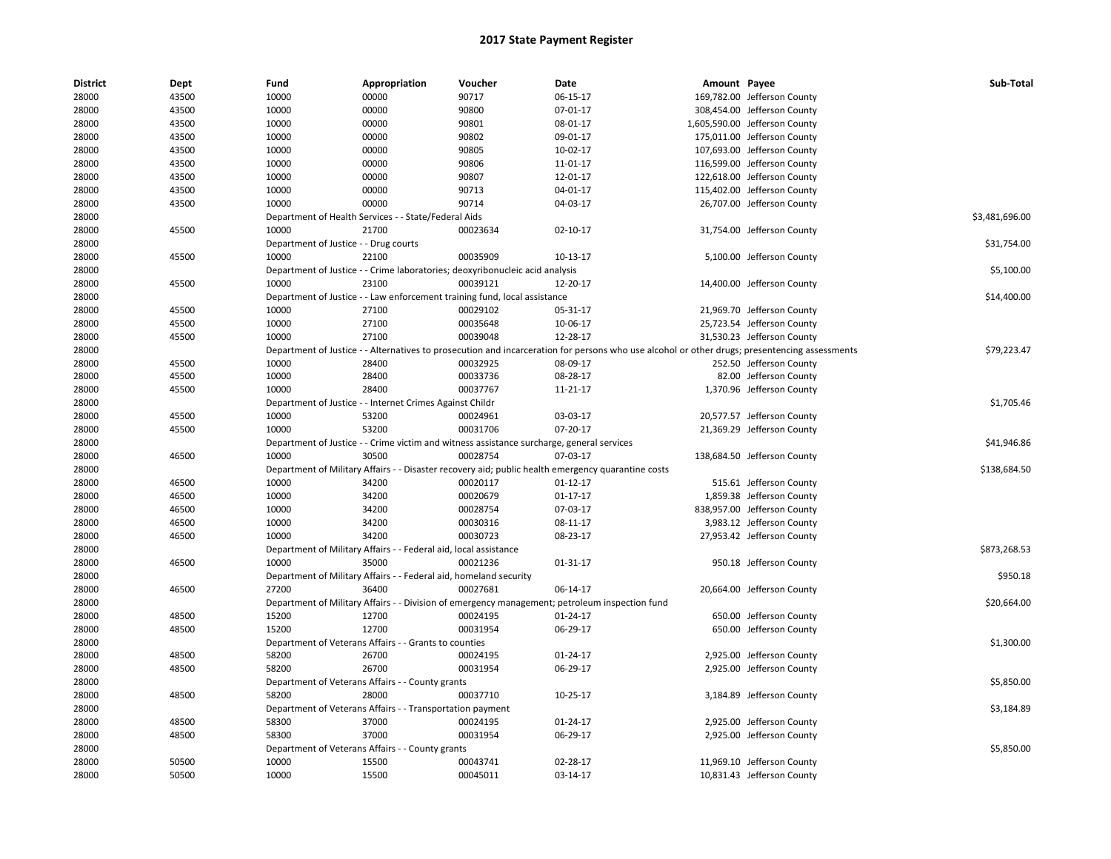| <b>District</b> | Dept  | Fund                                  | Appropriation                                                     | Voucher                                                                                               | Date                                                                                                                                          | Amount Payee |                               | Sub-Total      |
|-----------------|-------|---------------------------------------|-------------------------------------------------------------------|-------------------------------------------------------------------------------------------------------|-----------------------------------------------------------------------------------------------------------------------------------------------|--------------|-------------------------------|----------------|
| 28000           | 43500 | 10000                                 | 00000                                                             | 90717                                                                                                 | 06-15-17                                                                                                                                      |              | 169,782.00 Jefferson County   |                |
| 28000           | 43500 | 10000                                 | 00000                                                             | 90800                                                                                                 | 07-01-17                                                                                                                                      |              | 308,454.00 Jefferson County   |                |
| 28000           | 43500 | 10000                                 | 00000                                                             | 90801                                                                                                 | 08-01-17                                                                                                                                      |              | 1,605,590.00 Jefferson County |                |
| 28000           | 43500 | 10000                                 | 00000                                                             | 90802                                                                                                 | 09-01-17                                                                                                                                      |              | 175,011.00 Jefferson County   |                |
| 28000           | 43500 | 10000                                 | 00000                                                             | 90805                                                                                                 | 10-02-17                                                                                                                                      |              | 107,693.00 Jefferson County   |                |
| 28000           | 43500 | 10000                                 | 00000                                                             | 90806                                                                                                 | 11-01-17                                                                                                                                      |              | 116,599.00 Jefferson County   |                |
| 28000           | 43500 | 10000                                 | 00000                                                             | 90807                                                                                                 | 12-01-17                                                                                                                                      |              | 122,618.00 Jefferson County   |                |
| 28000           | 43500 | 10000                                 | 00000                                                             | 90713                                                                                                 | 04-01-17                                                                                                                                      |              | 115,402.00 Jefferson County   |                |
| 28000           | 43500 | 10000                                 | 00000                                                             | 90714                                                                                                 | 04-03-17                                                                                                                                      |              | 26,707.00 Jefferson County    |                |
| 28000           |       |                                       | Department of Health Services - - State/Federal Aids              |                                                                                                       |                                                                                                                                               |              |                               | \$3,481,696.00 |
| 28000           | 45500 | 10000                                 | 21700                                                             | 00023634                                                                                              | $02 - 10 - 17$                                                                                                                                |              | 31,754.00 Jefferson County    |                |
| 28000           |       | Department of Justice - - Drug courts |                                                                   |                                                                                                       |                                                                                                                                               |              |                               | \$31,754.00    |
| 28000           | 45500 | 10000                                 | 22100                                                             | 00035909                                                                                              | 10-13-17                                                                                                                                      |              | 5,100.00 Jefferson County     |                |
| 28000           |       |                                       |                                                                   | Department of Justice - - Crime laboratories; deoxyribonucleic acid analysis                          |                                                                                                                                               |              |                               | \$5,100.00     |
| 28000           | 45500 | 10000                                 | 23100                                                             | 00039121                                                                                              | 12-20-17                                                                                                                                      |              | 14,400.00 Jefferson County    |                |
| 28000           |       |                                       |                                                                   | Department of Justice - - Law enforcement training fund, local assistance                             |                                                                                                                                               |              |                               | \$14,400.00    |
| 28000           | 45500 | 10000                                 | 27100                                                             | 00029102                                                                                              | 05-31-17                                                                                                                                      |              | 21,969.70 Jefferson County    |                |
| 28000           | 45500 | 10000                                 | 27100                                                             | 00035648                                                                                              | 10-06-17                                                                                                                                      |              | 25,723.54 Jefferson County    |                |
| 28000           | 45500 | 10000                                 | 27100                                                             | 00039048                                                                                              | 12-28-17                                                                                                                                      |              | 31,530.23 Jefferson County    |                |
| 28000           |       |                                       |                                                                   |                                                                                                       | Department of Justice - - Alternatives to prosecution and incarceration for persons who use alcohol or other drugs; presentencing assessments |              |                               | \$79,223.47    |
| 28000           | 45500 | 10000                                 | 28400                                                             | 00032925                                                                                              | 08-09-17                                                                                                                                      |              | 252.50 Jefferson County       |                |
| 28000           | 45500 | 10000                                 | 28400                                                             | 00033736                                                                                              | 08-28-17                                                                                                                                      |              | 82.00 Jefferson County        |                |
| 28000           | 45500 | 10000                                 | 28400                                                             | 00037767                                                                                              | 11-21-17                                                                                                                                      |              | 1,370.96 Jefferson County     |                |
| 28000           |       |                                       | Department of Justice - - Internet Crimes Against Childr          |                                                                                                       |                                                                                                                                               |              |                               | \$1,705.46     |
| 28000           | 45500 | 10000                                 | 53200                                                             | 00024961                                                                                              | 03-03-17                                                                                                                                      |              | 20,577.57 Jefferson County    |                |
| 28000           | 45500 | 10000                                 | 53200                                                             | 00031706                                                                                              | 07-20-17                                                                                                                                      |              | 21,369.29 Jefferson County    |                |
|                 |       |                                       |                                                                   |                                                                                                       |                                                                                                                                               |              |                               |                |
| 28000           |       | 10000                                 | 30500                                                             | Department of Justice - - Crime victim and witness assistance surcharge, general services<br>00028754 | 07-03-17                                                                                                                                      |              |                               | \$41,946.86    |
| 28000           | 46500 |                                       |                                                                   |                                                                                                       |                                                                                                                                               |              | 138,684.50 Jefferson County   |                |
| 28000           |       | 10000                                 | 34200                                                             |                                                                                                       | Department of Military Affairs - - Disaster recovery aid; public health emergency quarantine costs                                            |              |                               | \$138,684.50   |
| 28000           | 46500 |                                       |                                                                   | 00020117                                                                                              | 01-12-17                                                                                                                                      |              | 515.61 Jefferson County       |                |
| 28000           | 46500 | 10000                                 | 34200                                                             | 00020679                                                                                              | 01-17-17                                                                                                                                      |              | 1,859.38 Jefferson County     |                |
| 28000           | 46500 | 10000                                 | 34200                                                             | 00028754                                                                                              | 07-03-17                                                                                                                                      |              | 838,957.00 Jefferson County   |                |
| 28000           | 46500 | 10000                                 | 34200                                                             | 00030316                                                                                              | 08-11-17                                                                                                                                      |              | 3,983.12 Jefferson County     |                |
| 28000           | 46500 | 10000                                 | 34200                                                             | 00030723                                                                                              | 08-23-17                                                                                                                                      |              | 27,953.42 Jefferson County    |                |
| 28000           |       |                                       | Department of Military Affairs - - Federal aid, local assistance  |                                                                                                       |                                                                                                                                               |              |                               | \$873,268.53   |
| 28000           | 46500 | 10000                                 | 35000                                                             | 00021236                                                                                              | 01-31-17                                                                                                                                      |              | 950.18 Jefferson County       |                |
| 28000           |       |                                       | Department of Military Affairs - - Federal aid, homeland security |                                                                                                       |                                                                                                                                               |              |                               | \$950.18       |
| 28000           | 46500 | 27200                                 | 36400                                                             | 00027681                                                                                              | 06-14-17                                                                                                                                      |              | 20,664.00 Jefferson County    |                |
| 28000           |       |                                       |                                                                   |                                                                                                       | Department of Military Affairs - - Division of emergency management; petroleum inspection fund                                                |              |                               | \$20,664.00    |
| 28000           | 48500 | 15200                                 | 12700                                                             | 00024195                                                                                              | 01-24-17                                                                                                                                      |              | 650.00 Jefferson County       |                |
| 28000           | 48500 | 15200                                 | 12700                                                             | 00031954                                                                                              | 06-29-17                                                                                                                                      |              | 650.00 Jefferson County       |                |
| 28000           |       |                                       | Department of Veterans Affairs - - Grants to counties             |                                                                                                       |                                                                                                                                               |              |                               | \$1,300.00     |
| 28000           | 48500 | 58200                                 | 26700                                                             | 00024195                                                                                              | 01-24-17                                                                                                                                      |              | 2,925.00 Jefferson County     |                |
| 28000           | 48500 | 58200                                 | 26700                                                             | 00031954                                                                                              | 06-29-17                                                                                                                                      |              | 2,925.00 Jefferson County     |                |
| 28000           |       |                                       | Department of Veterans Affairs - - County grants                  |                                                                                                       |                                                                                                                                               |              |                               | \$5,850.00     |
| 28000           | 48500 | 58200                                 | 28000                                                             | 00037710                                                                                              | 10-25-17                                                                                                                                      |              | 3,184.89 Jefferson County     |                |
| 28000           |       |                                       | Department of Veterans Affairs - - Transportation payment         |                                                                                                       |                                                                                                                                               |              |                               | \$3,184.89     |
| 28000           | 48500 | 58300                                 | 37000                                                             | 00024195                                                                                              | 01-24-17                                                                                                                                      |              | 2,925.00 Jefferson County     |                |
| 28000           | 48500 | 58300                                 | 37000                                                             | 00031954                                                                                              | 06-29-17                                                                                                                                      |              | 2,925.00 Jefferson County     |                |
| 28000           |       |                                       | Department of Veterans Affairs - - County grants                  |                                                                                                       |                                                                                                                                               |              |                               | \$5,850.00     |
| 28000           | 50500 | 10000                                 | 15500                                                             | 00043741                                                                                              | 02-28-17                                                                                                                                      |              | 11,969.10 Jefferson County    |                |
| 28000           | 50500 | 10000                                 | 15500                                                             | 00045011                                                                                              | 03-14-17                                                                                                                                      |              | 10,831.43 Jefferson County    |                |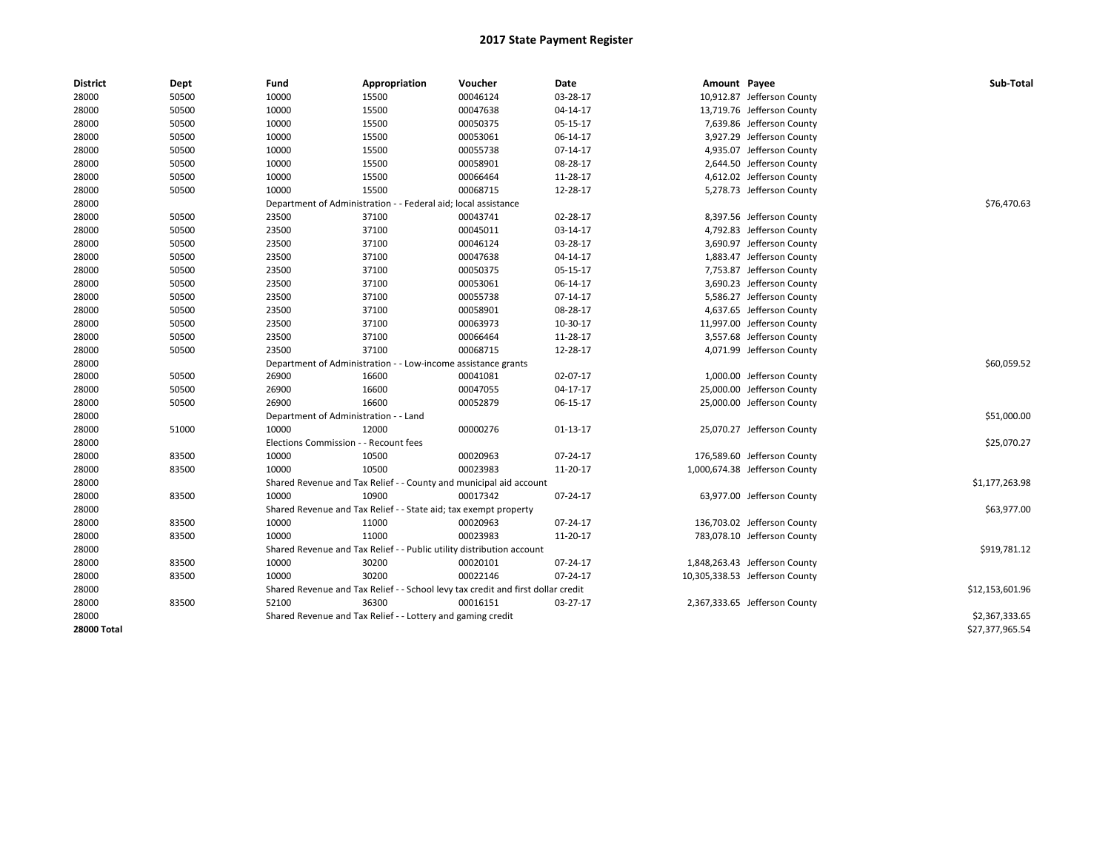| <b>District</b> | Dept  | Fund                                  | Appropriation                                                                    | Voucher                         | Date       | Amount Payee |                                | Sub-Total       |
|-----------------|-------|---------------------------------------|----------------------------------------------------------------------------------|---------------------------------|------------|--------------|--------------------------------|-----------------|
| 28000           | 50500 | 10000                                 | 15500                                                                            | 00046124                        | 03-28-17   |              | 10,912.87 Jefferson County     |                 |
| 28000           | 50500 | 10000                                 | 15500                                                                            | 00047638                        | 04-14-17   |              | 13,719.76 Jefferson County     |                 |
| 28000           | 50500 | 10000                                 | 15500                                                                            | 00050375                        | 05-15-17   |              | 7,639.86 Jefferson County      |                 |
| 28000           | 50500 | 10000                                 | 15500                                                                            | 00053061                        | 06-14-17   |              | 3,927.29 Jefferson County      |                 |
| 28000           | 50500 | 10000                                 | 15500                                                                            | 00055738                        | 07-14-17   |              | 4,935.07 Jefferson County      |                 |
| 28000           | 50500 | 10000                                 | 15500                                                                            | 00058901                        | 08-28-17   |              | 2,644.50 Jefferson County      |                 |
| 28000           | 50500 | 10000                                 | 15500                                                                            | 00066464                        | 11-28-17   |              | 4,612.02 Jefferson County      |                 |
| 28000           | 50500 | 10000                                 | 15500                                                                            | 00068715                        | 12-28-17   |              | 5,278.73 Jefferson County      |                 |
| 28000           |       | Department of Administration          |                                                                                  | - Federal aid; local assistance |            |              |                                | \$76,470.63     |
| 28000           | 50500 | 23500                                 | 37100                                                                            | 00043741                        | 02-28-17   |              | 8,397.56 Jefferson County      |                 |
| 28000           | 50500 | 23500                                 | 37100                                                                            | 00045011                        | 03-14-17   |              | 4,792.83 Jefferson County      |                 |
| 28000           | 50500 | 23500                                 | 37100                                                                            | 00046124                        | 03-28-17   |              | 3,690.97 Jefferson County      |                 |
| 28000           | 50500 | 23500                                 | 37100                                                                            | 00047638                        | 04-14-17   |              | 1,883.47 Jefferson County      |                 |
| 28000           | 50500 | 23500                                 | 37100                                                                            | 00050375                        | 05-15-17   |              | 7,753.87 Jefferson County      |                 |
| 28000           | 50500 | 23500                                 | 37100                                                                            | 00053061                        | 06-14-17   |              | 3,690.23 Jefferson County      |                 |
| 28000           | 50500 | 23500                                 | 37100                                                                            | 00055738                        | $07-14-17$ |              | 5,586.27 Jefferson County      |                 |
| 28000           | 50500 | 23500                                 | 37100                                                                            | 00058901                        | 08-28-17   |              | 4,637.65 Jefferson County      |                 |
| 28000           | 50500 | 23500                                 | 37100                                                                            | 00063973                        | 10-30-17   |              | 11,997.00 Jefferson County     |                 |
| 28000           | 50500 | 23500                                 | 37100                                                                            | 00066464                        | 11-28-17   |              | 3,557.68 Jefferson County      |                 |
| 28000           | 50500 | 23500                                 | 37100                                                                            | 00068715                        | 12-28-17   |              | 4,071.99 Jefferson County      |                 |
| 28000           |       |                                       | Department of Administration - - Low-income assistance grants                    |                                 |            |              |                                | \$60,059.52     |
| 28000           | 50500 | 26900                                 | 16600                                                                            | 00041081                        | 02-07-17   |              | 1,000.00 Jefferson County      |                 |
| 28000           | 50500 | 26900                                 | 16600                                                                            | 00047055                        | 04-17-17   |              | 25,000.00 Jefferson County     |                 |
| 28000           | 50500 | 26900                                 | 16600                                                                            | 00052879                        | 06-15-17   |              | 25,000.00 Jefferson County     |                 |
| 28000           |       | Department of Administration - - Land |                                                                                  |                                 |            |              |                                | \$51,000.00     |
| 28000           | 51000 | 10000                                 | 12000                                                                            | 00000276                        | 01-13-17   |              | 25,070.27 Jefferson County     |                 |
| 28000           |       | Elections Commission - - Recount fees |                                                                                  |                                 |            |              |                                | \$25,070.27     |
| 28000           | 83500 | 10000                                 | 10500                                                                            | 00020963                        | 07-24-17   |              | 176,589.60 Jefferson County    |                 |
| 28000           | 83500 | 10000                                 | 10500                                                                            | 00023983                        | 11-20-17   |              | 1,000,674.38 Jefferson County  |                 |
| 28000           |       |                                       | Shared Revenue and Tax Relief - - County and municipal aid account               |                                 |            |              |                                | \$1,177,263.98  |
| 28000           | 83500 | 10000                                 | 10900                                                                            | 00017342                        | 07-24-17   |              | 63,977.00 Jefferson County     |                 |
| 28000           |       |                                       | Shared Revenue and Tax Relief - - State aid; tax exempt property                 |                                 |            |              |                                | \$63,977.00     |
| 28000           | 83500 | 10000                                 | 11000                                                                            | 00020963                        | 07-24-17   |              | 136,703.02 Jefferson County    |                 |
| 28000           | 83500 | 10000                                 | 11000                                                                            | 00023983                        | 11-20-17   |              | 783,078.10 Jefferson County    |                 |
| 28000           |       |                                       | Shared Revenue and Tax Relief - - Public utility distribution account            |                                 |            |              |                                | \$919,781.12    |
| 28000           | 83500 | 10000                                 | 30200                                                                            | 00020101                        | 07-24-17   |              | 1,848,263.43 Jefferson County  |                 |
| 28000           | 83500 | 10000                                 | 30200                                                                            | 00022146                        | 07-24-17   |              | 10,305,338.53 Jefferson County |                 |
| 28000           |       |                                       | Shared Revenue and Tax Relief - - School levy tax credit and first dollar credit |                                 |            |              |                                | \$12,153,601.96 |
| 28000           | 83500 | 52100                                 | 36300                                                                            | 00016151                        | 03-27-17   |              | 2,367,333.65 Jefferson County  |                 |
| 28000           |       |                                       | Shared Revenue and Tax Relief - - Lottery and gaming credit                      |                                 |            |              |                                | \$2,367,333.65  |
| 28000 Total     |       |                                       |                                                                                  |                                 |            |              |                                | \$27,377,965.54 |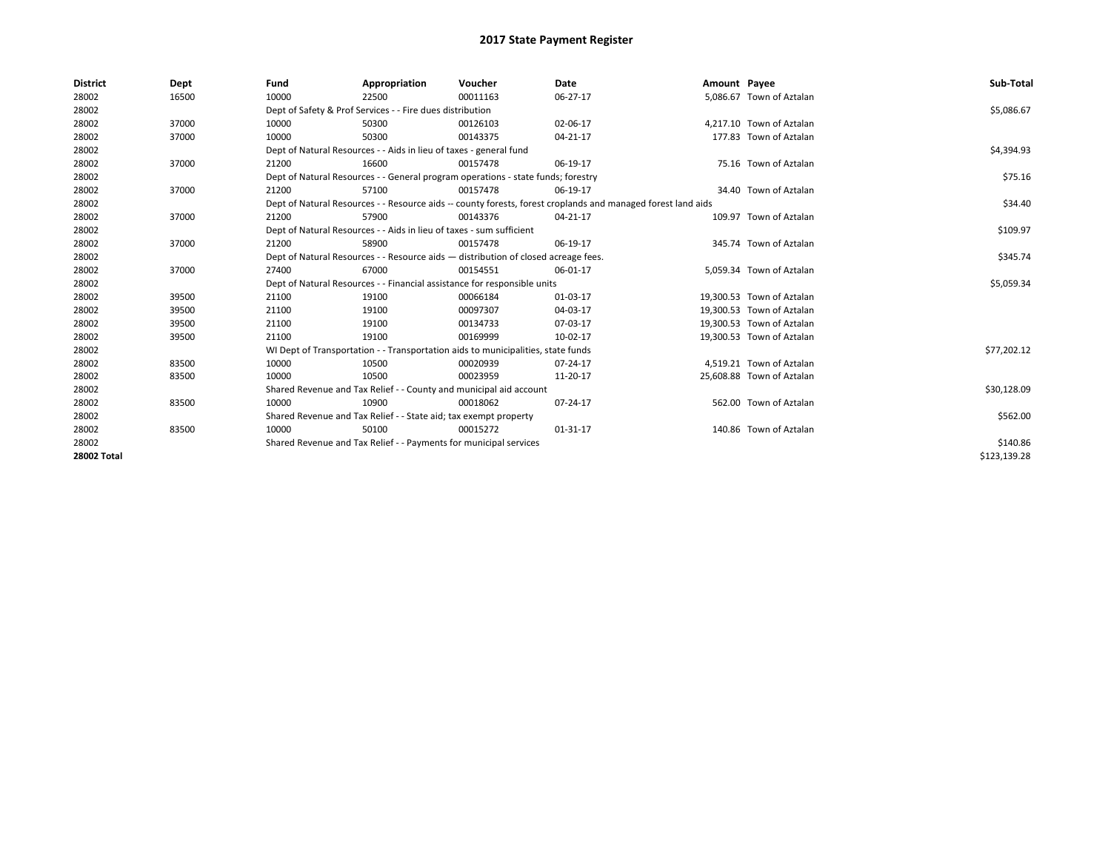| <b>District</b>    | Dept  | Fund  | Appropriation                                                                                                | Voucher  | Date     | Amount Payee |                           | Sub-Total    |  |  |
|--------------------|-------|-------|--------------------------------------------------------------------------------------------------------------|----------|----------|--------------|---------------------------|--------------|--|--|
| 28002              | 16500 | 10000 | 22500                                                                                                        | 00011163 | 06-27-17 |              | 5,086.67 Town of Aztalan  |              |  |  |
| 28002              |       |       | Dept of Safety & Prof Services - - Fire dues distribution                                                    |          |          |              |                           | \$5,086.67   |  |  |
| 28002              | 37000 | 10000 | 50300                                                                                                        | 00126103 | 02-06-17 |              | 4.217.10 Town of Aztalan  |              |  |  |
| 28002              | 37000 | 10000 | 50300                                                                                                        | 00143375 | 04-21-17 |              | 177.83 Town of Aztalan    |              |  |  |
| 28002              |       |       | Dept of Natural Resources - - Aids in lieu of taxes - general fund                                           |          |          |              |                           | \$4,394.93   |  |  |
| 28002              | 37000 | 21200 | 16600                                                                                                        | 00157478 | 06-19-17 |              | 75.16 Town of Aztalan     |              |  |  |
| 28002              |       |       | Dept of Natural Resources - - General program operations - state funds; forestry                             |          |          |              |                           | \$75.16      |  |  |
| 28002              | 37000 | 21200 | 57100                                                                                                        | 00157478 | 06-19-17 |              | 34.40 Town of Aztalan     |              |  |  |
| 28002              |       |       | Dept of Natural Resources - - Resource aids -- county forests, forest croplands and managed forest land aids |          |          |              |                           | \$34.40      |  |  |
| 28002              | 37000 | 21200 | 57900                                                                                                        | 00143376 | 04-21-17 |              | 109.97 Town of Aztalan    |              |  |  |
| 28002              |       |       | Dept of Natural Resources - - Aids in lieu of taxes - sum sufficient                                         |          |          |              |                           | \$109.97     |  |  |
| 28002              | 37000 | 21200 | 58900                                                                                                        | 00157478 | 06-19-17 |              | 345.74 Town of Aztalan    |              |  |  |
| 28002              |       |       | Dept of Natural Resources - - Resource aids - distribution of closed acreage fees.                           |          |          |              |                           |              |  |  |
| 28002              | 37000 | 27400 | 67000                                                                                                        | 00154551 | 06-01-17 |              | 5,059.34 Town of Aztalan  |              |  |  |
| 28002              |       |       | Dept of Natural Resources - - Financial assistance for responsible units                                     |          |          |              |                           | \$5,059.34   |  |  |
| 28002              | 39500 | 21100 | 19100                                                                                                        | 00066184 | 01-03-17 |              | 19,300.53 Town of Aztalan |              |  |  |
| 28002              | 39500 | 21100 | 19100                                                                                                        | 00097307 | 04-03-17 |              | 19.300.53 Town of Aztalan |              |  |  |
| 28002              | 39500 | 21100 | 19100                                                                                                        | 00134733 | 07-03-17 |              | 19,300.53 Town of Aztalan |              |  |  |
| 28002              | 39500 | 21100 | 19100                                                                                                        | 00169999 | 10-02-17 |              | 19,300.53 Town of Aztalan |              |  |  |
| 28002              |       |       | WI Dept of Transportation - - Transportation aids to municipalities, state funds                             |          |          |              |                           | \$77,202.12  |  |  |
| 28002              | 83500 | 10000 | 10500                                                                                                        | 00020939 | 07-24-17 |              | 4,519.21 Town of Aztalan  |              |  |  |
| 28002              | 83500 | 10000 | 10500                                                                                                        | 00023959 | 11-20-17 |              | 25,608.88 Town of Aztalan |              |  |  |
| 28002              |       |       | Shared Revenue and Tax Relief - - County and municipal aid account                                           |          |          |              |                           | \$30,128.09  |  |  |
| 28002              | 83500 | 10000 | 10900                                                                                                        | 00018062 | 07-24-17 |              | 562.00 Town of Aztalan    |              |  |  |
| 28002              |       |       | Shared Revenue and Tax Relief - - State aid; tax exempt property                                             |          |          |              |                           | \$562.00     |  |  |
| 28002              | 83500 | 10000 | 50100                                                                                                        | 00015272 | 01-31-17 |              | 140.86 Town of Aztalan    |              |  |  |
| 28002              |       |       | Shared Revenue and Tax Relief - - Payments for municipal services                                            |          |          |              |                           | \$140.86     |  |  |
| <b>28002 Total</b> |       |       |                                                                                                              |          |          |              |                           | \$123,139.28 |  |  |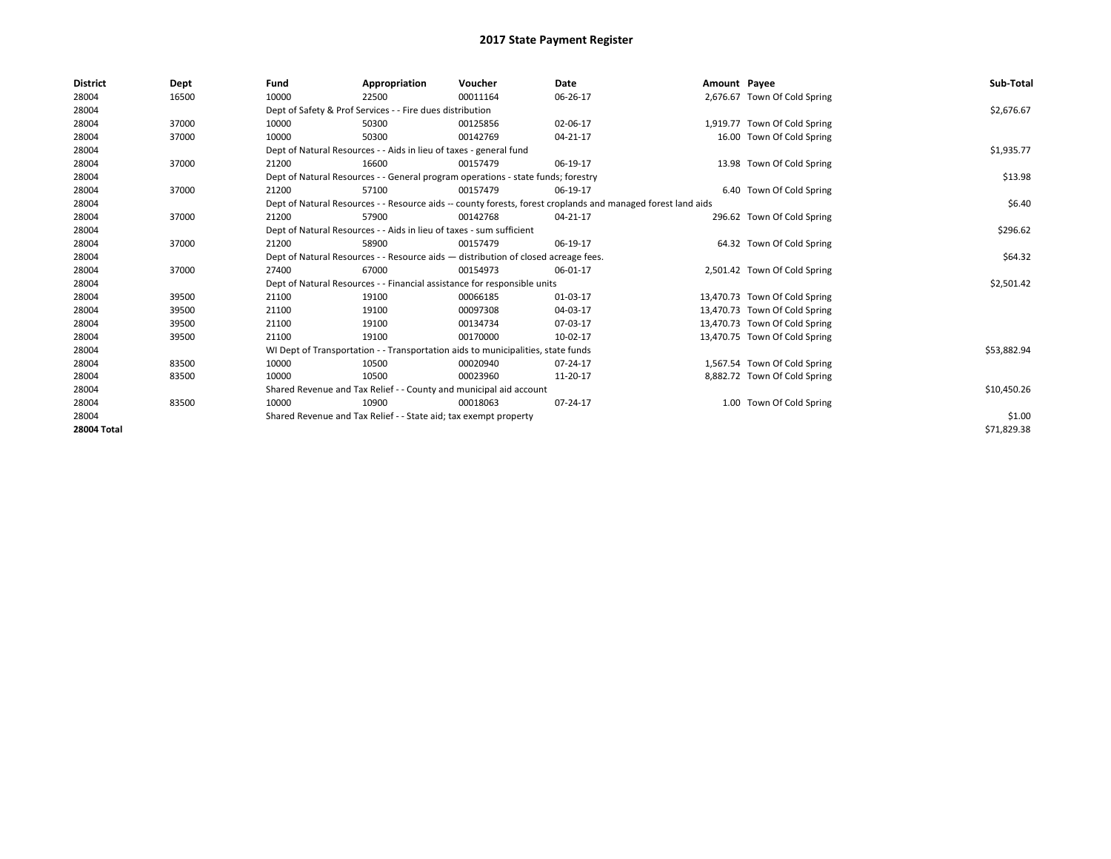| <b>District</b>    | Dept  | Fund                                                               | Appropriation                                                                      | Voucher     | Date                                                                                                         | Amount Payee |                               | Sub-Total   |  |  |
|--------------------|-------|--------------------------------------------------------------------|------------------------------------------------------------------------------------|-------------|--------------------------------------------------------------------------------------------------------------|--------------|-------------------------------|-------------|--|--|
| 28004              | 16500 | 10000                                                              | 22500                                                                              | 00011164    | 06-26-17                                                                                                     |              | 2,676.67 Town Of Cold Spring  |             |  |  |
| 28004              |       |                                                                    | Dept of Safety & Prof Services - - Fire dues distribution                          |             |                                                                                                              |              |                               | \$2,676.67  |  |  |
| 28004              | 37000 | 10000                                                              | 50300                                                                              | 00125856    | 02-06-17                                                                                                     |              | 1,919.77 Town Of Cold Spring  |             |  |  |
| 28004              | 37000 | 10000                                                              | 50300                                                                              | 00142769    | 04-21-17                                                                                                     |              | 16.00 Town Of Cold Spring     |             |  |  |
| 28004              |       |                                                                    | Dept of Natural Resources - - Aids in lieu of taxes - general fund                 |             |                                                                                                              |              |                               | \$1,935.77  |  |  |
| 28004              | 37000 | 21200                                                              | 16600                                                                              | 00157479    | 06-19-17                                                                                                     |              | 13.98 Town Of Cold Spring     |             |  |  |
| 28004              |       |                                                                    | Dept of Natural Resources - - General program operations - state funds; forestry   |             |                                                                                                              |              |                               | \$13.98     |  |  |
| 28004              | 37000 | 21200                                                              | 57100                                                                              | 00157479    | 06-19-17                                                                                                     |              | 6.40 Town Of Cold Spring      |             |  |  |
| 28004              |       |                                                                    |                                                                                    |             | Dept of Natural Resources - - Resource aids -- county forests, forest croplands and managed forest land aids |              |                               | \$6.40      |  |  |
| 28004              | 37000 | 21200                                                              | 57900                                                                              | 00142768    | 04-21-17                                                                                                     |              | 296.62 Town Of Cold Spring    |             |  |  |
| 28004              |       |                                                                    | Dept of Natural Resources - - Aids in lieu of taxes - sum sufficient               |             |                                                                                                              |              |                               | \$296.62    |  |  |
| 28004              | 37000 | 21200                                                              | 58900                                                                              | 00157479    | 06-19-17                                                                                                     |              | 64.32 Town Of Cold Spring     |             |  |  |
| 28004              |       |                                                                    | Dept of Natural Resources - - Resource aids - distribution of closed acreage fees. |             |                                                                                                              |              |                               |             |  |  |
| 28004              | 37000 | 27400                                                              | 67000                                                                              | 00154973    | 06-01-17                                                                                                     |              | 2,501.42 Town Of Cold Spring  |             |  |  |
| 28004              |       |                                                                    | Dept of Natural Resources - - Financial assistance for responsible units           |             |                                                                                                              |              |                               | \$2,501.42  |  |  |
| 28004              | 39500 | 21100                                                              | 19100                                                                              | 00066185    | 01-03-17                                                                                                     |              | 13,470.73 Town Of Cold Spring |             |  |  |
| 28004              | 39500 | 21100                                                              | 19100                                                                              | 00097308    | 04-03-17                                                                                                     |              | 13,470.73 Town Of Cold Spring |             |  |  |
| 28004              | 39500 | 21100                                                              | 19100                                                                              | 00134734    | 07-03-17                                                                                                     |              | 13,470.73 Town Of Cold Spring |             |  |  |
| 28004              | 39500 | 21100                                                              | 19100                                                                              | 00170000    | 10-02-17                                                                                                     |              | 13,470.75 Town Of Cold Spring |             |  |  |
| 28004              |       |                                                                    | WI Dept of Transportation - - Transportation aids to municipalities, state funds   |             |                                                                                                              |              |                               | \$53,882.94 |  |  |
| 28004              | 83500 | 10000                                                              | 10500                                                                              | 00020940    | 07-24-17                                                                                                     |              | 1,567.54 Town Of Cold Spring  |             |  |  |
| 28004              | 83500 | 10000                                                              | 10500                                                                              | 00023960    | 11-20-17                                                                                                     |              | 8,882.72 Town Of Cold Spring  |             |  |  |
| 28004              |       | Shared Revenue and Tax Relief - - County and municipal aid account |                                                                                    | \$10,450.26 |                                                                                                              |              |                               |             |  |  |
| 28004              | 83500 | 10000                                                              | 10900                                                                              | 00018063    | 07-24-17                                                                                                     |              | 1.00 Town Of Cold Spring      |             |  |  |
| 28004              |       | Shared Revenue and Tax Relief - - State aid; tax exempt property   |                                                                                    | \$1.00      |                                                                                                              |              |                               |             |  |  |
| <b>28004 Total</b> |       |                                                                    |                                                                                    |             |                                                                                                              |              |                               | \$71,829.38 |  |  |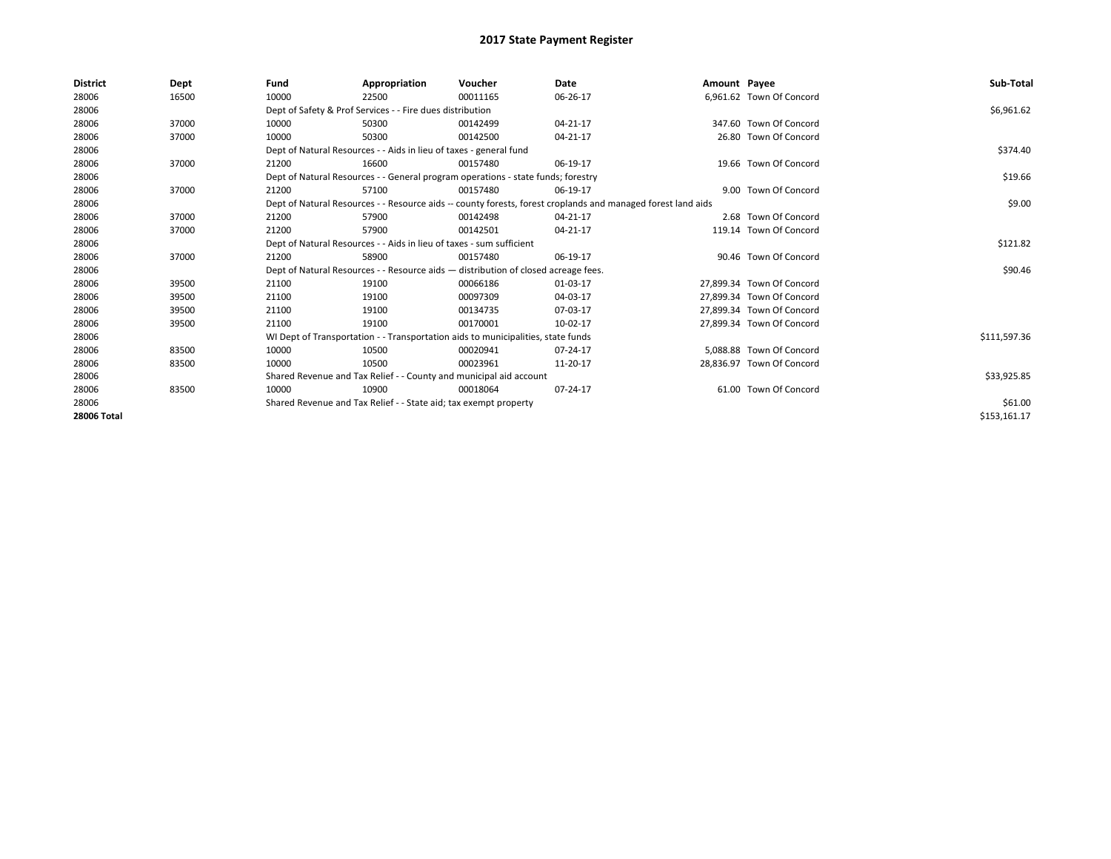| <b>District</b> | Dept  | Fund                                                                             | Appropriation                                                                      | Voucher     | Date                                                                                                         | Amount Payee |                           | Sub-Total    |
|-----------------|-------|----------------------------------------------------------------------------------|------------------------------------------------------------------------------------|-------------|--------------------------------------------------------------------------------------------------------------|--------------|---------------------------|--------------|
| 28006           | 16500 | 10000                                                                            | 22500                                                                              | 00011165    | 06-26-17                                                                                                     |              | 6,961.62 Town Of Concord  |              |
| 28006           |       |                                                                                  | Dept of Safety & Prof Services - - Fire dues distribution                          |             |                                                                                                              |              |                           | \$6,961.62   |
| 28006           | 37000 | 10000                                                                            | 50300                                                                              | 00142499    | 04-21-17                                                                                                     |              | 347.60 Town Of Concord    |              |
| 28006           | 37000 | 10000                                                                            | 50300                                                                              | 00142500    | 04-21-17                                                                                                     |              | 26.80 Town Of Concord     |              |
| 28006           |       |                                                                                  | Dept of Natural Resources - - Aids in lieu of taxes - general fund                 |             |                                                                                                              |              |                           | \$374.40     |
| 28006           | 37000 | 21200                                                                            | 16600                                                                              | 00157480    | 06-19-17                                                                                                     |              | 19.66 Town Of Concord     |              |
| 28006           |       | Dept of Natural Resources - - General program operations - state funds; forestry |                                                                                    | \$19.66     |                                                                                                              |              |                           |              |
| 28006           | 37000 | 21200                                                                            | 57100                                                                              | 00157480    | 06-19-17                                                                                                     |              | 9.00 Town Of Concord      |              |
| 28006           |       |                                                                                  |                                                                                    |             | Dept of Natural Resources - - Resource aids -- county forests, forest croplands and managed forest land aids |              |                           | \$9.00       |
| 28006           | 37000 | 21200                                                                            | 57900                                                                              | 00142498    | 04-21-17                                                                                                     |              | 2.68 Town Of Concord      |              |
| 28006           | 37000 | 21200                                                                            | 57900                                                                              | 00142501    | 04-21-17                                                                                                     |              | 119.14 Town Of Concord    |              |
| 28006           |       | Dept of Natural Resources - - Aids in lieu of taxes - sum sufficient             |                                                                                    | \$121.82    |                                                                                                              |              |                           |              |
| 28006           | 37000 | 21200                                                                            | 58900                                                                              | 00157480    | 06-19-17                                                                                                     |              | 90.46 Town Of Concord     |              |
| 28006           |       |                                                                                  | Dept of Natural Resources - - Resource aids - distribution of closed acreage fees. |             |                                                                                                              |              |                           | \$90.46      |
| 28006           | 39500 | 21100                                                                            | 19100                                                                              | 00066186    | 01-03-17                                                                                                     |              | 27.899.34 Town Of Concord |              |
| 28006           | 39500 | 21100                                                                            | 19100                                                                              | 00097309    | 04-03-17                                                                                                     |              | 27,899.34 Town Of Concord |              |
| 28006           | 39500 | 21100                                                                            | 19100                                                                              | 00134735    | 07-03-17                                                                                                     |              | 27,899.34 Town Of Concord |              |
| 28006           | 39500 | 21100                                                                            | 19100                                                                              | 00170001    | 10-02-17                                                                                                     |              | 27,899.34 Town Of Concord |              |
| 28006           |       |                                                                                  | WI Dept of Transportation - - Transportation aids to municipalities, state funds   |             |                                                                                                              |              |                           | \$111,597.36 |
| 28006           | 83500 | 10000                                                                            | 10500                                                                              | 00020941    | $07 - 24 - 17$                                                                                               |              | 5,088.88 Town Of Concord  |              |
| 28006           | 83500 | 10000                                                                            | 10500                                                                              | 00023961    | 11-20-17                                                                                                     |              | 28.836.97 Town Of Concord |              |
| 28006           |       | Shared Revenue and Tax Relief - - County and municipal aid account               |                                                                                    | \$33,925.85 |                                                                                                              |              |                           |              |
| 28006           | 83500 | 10000                                                                            | 10900                                                                              | 00018064    | 07-24-17                                                                                                     |              | 61.00 Town Of Concord     |              |
| 28006           |       |                                                                                  | Shared Revenue and Tax Relief - - State aid; tax exempt property                   |             |                                                                                                              |              |                           | \$61.00      |
| 28006 Total     |       |                                                                                  |                                                                                    |             |                                                                                                              |              |                           | \$153,161.17 |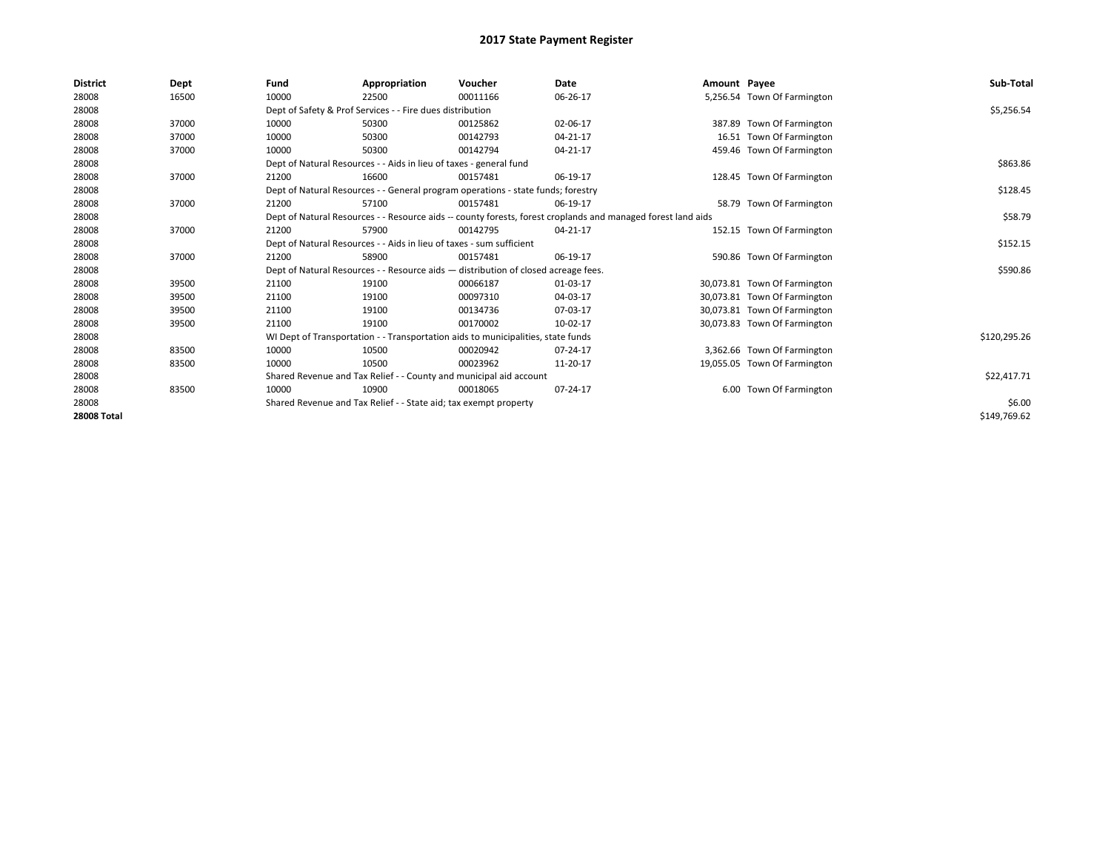| <b>District</b>    | Dept  | Fund                                                                 | Appropriation                                                      | Voucher                                                                            | Date                                                                                                         | Amount Payee |                              | Sub-Total    |
|--------------------|-------|----------------------------------------------------------------------|--------------------------------------------------------------------|------------------------------------------------------------------------------------|--------------------------------------------------------------------------------------------------------------|--------------|------------------------------|--------------|
| 28008              | 16500 | 10000                                                                | 22500                                                              | 00011166                                                                           | 06-26-17                                                                                                     |              | 5,256.54 Town Of Farmington  |              |
| 28008              |       |                                                                      | Dept of Safety & Prof Services - - Fire dues distribution          |                                                                                    |                                                                                                              |              |                              | \$5,256.54   |
| 28008              | 37000 | 10000                                                                | 50300                                                              | 00125862                                                                           | 02-06-17                                                                                                     |              | 387.89 Town Of Farmington    |              |
| 28008              | 37000 | 10000                                                                | 50300                                                              | 00142793                                                                           | 04-21-17                                                                                                     |              | 16.51 Town Of Farmington     |              |
| 28008              | 37000 | 10000                                                                | 50300                                                              | 00142794                                                                           | 04-21-17                                                                                                     |              | 459.46 Town Of Farmington    |              |
| 28008              |       |                                                                      | Dept of Natural Resources - - Aids in lieu of taxes - general fund |                                                                                    |                                                                                                              |              |                              | \$863.86     |
| 28008              | 37000 | 21200                                                                | 16600                                                              | 00157481                                                                           | 06-19-17                                                                                                     |              | 128.45 Town Of Farmington    |              |
| 28008              |       |                                                                      |                                                                    | Dept of Natural Resources - - General program operations - state funds; forestry   |                                                                                                              |              |                              | \$128.45     |
| 28008              | 37000 | 21200                                                                | 57100                                                              | 00157481                                                                           | 06-19-17                                                                                                     |              | 58.79 Town Of Farmington     |              |
| 28008              |       |                                                                      |                                                                    |                                                                                    | Dept of Natural Resources - - Resource aids -- county forests, forest croplands and managed forest land aids |              |                              | \$58.79      |
| 28008              | 37000 | 21200                                                                | 57900                                                              | 00142795                                                                           | 04-21-17                                                                                                     |              | 152.15 Town Of Farmington    |              |
| 28008              |       | Dept of Natural Resources - - Aids in lieu of taxes - sum sufficient |                                                                    | \$152.15                                                                           |                                                                                                              |              |                              |              |
| 28008              | 37000 | 21200                                                                | 58900                                                              | 00157481                                                                           | 06-19-17                                                                                                     |              | 590.86 Town Of Farmington    |              |
| 28008              |       |                                                                      |                                                                    | Dept of Natural Resources - - Resource aids - distribution of closed acreage fees. |                                                                                                              |              |                              | \$590.86     |
| 28008              | 39500 | 21100                                                                | 19100                                                              | 00066187                                                                           | 01-03-17                                                                                                     |              | 30,073.81 Town Of Farmington |              |
| 28008              | 39500 | 21100                                                                | 19100                                                              | 00097310                                                                           | 04-03-17                                                                                                     |              | 30,073.81 Town Of Farmington |              |
| 28008              | 39500 | 21100                                                                | 19100                                                              | 00134736                                                                           | 07-03-17                                                                                                     |              | 30,073.81 Town Of Farmington |              |
| 28008              | 39500 | 21100                                                                | 19100                                                              | 00170002                                                                           | 10-02-17                                                                                                     |              | 30,073.83 Town Of Farmington |              |
| 28008              |       |                                                                      |                                                                    | WI Dept of Transportation - - Transportation aids to municipalities, state funds   |                                                                                                              |              |                              | \$120,295.26 |
| 28008              | 83500 | 10000                                                                | 10500                                                              | 00020942                                                                           | $07 - 24 - 17$                                                                                               |              | 3,362.66 Town Of Farmington  |              |
| 28008              | 83500 | 10000                                                                | 10500                                                              | 00023962                                                                           | 11-20-17                                                                                                     |              | 19,055.05 Town Of Farmington |              |
| 28008              |       | Shared Revenue and Tax Relief - - County and municipal aid account   |                                                                    |                                                                                    |                                                                                                              |              |                              | \$22,417.71  |
| 28008              | 83500 | 10000                                                                | 10900                                                              | 00018065                                                                           | 07-24-17                                                                                                     |              | 6.00 Town Of Farmington      |              |
| 28008              |       |                                                                      | Shared Revenue and Tax Relief - - State aid; tax exempt property   |                                                                                    |                                                                                                              |              |                              | \$6.00       |
| <b>28008 Total</b> |       |                                                                      |                                                                    |                                                                                    |                                                                                                              |              |                              | \$149,769.62 |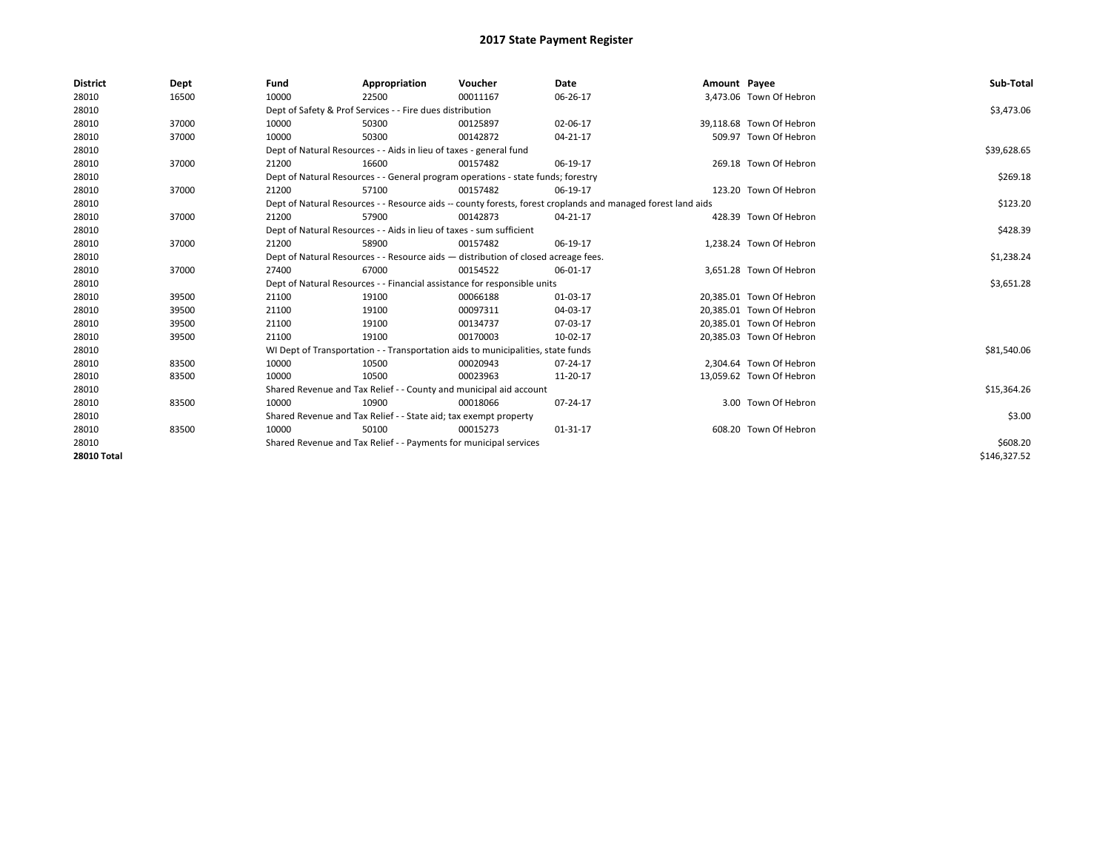| <b>District</b>    | Dept  | Fund                                                                                                         | Appropriation                                                        | Voucher                                                                          | Date     | Amount Payee |                          | Sub-Total    |
|--------------------|-------|--------------------------------------------------------------------------------------------------------------|----------------------------------------------------------------------|----------------------------------------------------------------------------------|----------|--------------|--------------------------|--------------|
| 28010              | 16500 | 10000                                                                                                        | 22500                                                                | 00011167                                                                         | 06-26-17 |              | 3,473.06 Town Of Hebron  |              |
| 28010              |       |                                                                                                              | Dept of Safety & Prof Services - - Fire dues distribution            |                                                                                  |          |              |                          | \$3,473.06   |
| 28010              | 37000 | 10000                                                                                                        | 50300                                                                | 00125897                                                                         | 02-06-17 |              | 39,118.68 Town Of Hebron |              |
| 28010              | 37000 | 10000                                                                                                        | 50300                                                                | 00142872                                                                         | 04-21-17 |              | 509.97 Town Of Hebron    |              |
| 28010              |       | Dept of Natural Resources - - Aids in lieu of taxes - general fund                                           |                                                                      | \$39,628.65                                                                      |          |              |                          |              |
| 28010              | 37000 | 21200                                                                                                        | 16600                                                                | 00157482                                                                         | 06-19-17 |              | 269.18 Town Of Hebron    |              |
| 28010              |       | Dept of Natural Resources - - General program operations - state funds; forestry                             |                                                                      | \$269.18                                                                         |          |              |                          |              |
| 28010              | 37000 | 21200                                                                                                        | 57100                                                                | 00157482                                                                         | 06-19-17 |              | 123.20 Town Of Hebron    |              |
| 28010              |       | Dept of Natural Resources - - Resource aids -- county forests, forest croplands and managed forest land aids |                                                                      | \$123.20                                                                         |          |              |                          |              |
| 28010              | 37000 | 21200                                                                                                        | 57900                                                                | 00142873                                                                         | 04-21-17 |              | 428.39 Town Of Hebron    |              |
| 28010              |       |                                                                                                              | Dept of Natural Resources - - Aids in lieu of taxes - sum sufficient |                                                                                  |          |              |                          | \$428.39     |
| 28010              | 37000 | 21200                                                                                                        | 58900                                                                | 00157482                                                                         | 06-19-17 |              | 1,238.24 Town Of Hebron  |              |
| 28010              |       | Dept of Natural Resources - - Resource aids - distribution of closed acreage fees.                           |                                                                      | \$1,238.24                                                                       |          |              |                          |              |
| 28010              | 37000 | 27400                                                                                                        | 67000                                                                | 00154522                                                                         | 06-01-17 |              | 3.651.28 Town Of Hebron  |              |
| 28010              |       |                                                                                                              |                                                                      | Dept of Natural Resources - - Financial assistance for responsible units         |          |              |                          | \$3,651.28   |
| 28010              | 39500 | 21100                                                                                                        | 19100                                                                | 00066188                                                                         | 01-03-17 |              | 20.385.01 Town Of Hebron |              |
| 28010              | 39500 | 21100                                                                                                        | 19100                                                                | 00097311                                                                         | 04-03-17 |              | 20,385.01 Town Of Hebron |              |
| 28010              | 39500 | 21100                                                                                                        | 19100                                                                | 00134737                                                                         | 07-03-17 |              | 20,385.01 Town Of Hebron |              |
| 28010              | 39500 | 21100                                                                                                        | 19100                                                                | 00170003                                                                         | 10-02-17 |              | 20,385.03 Town Of Hebron |              |
| 28010              |       |                                                                                                              |                                                                      | WI Dept of Transportation - - Transportation aids to municipalities, state funds |          |              |                          | \$81,540.06  |
| 28010              | 83500 | 10000                                                                                                        | 10500                                                                | 00020943                                                                         | 07-24-17 |              | 2.304.64 Town Of Hebron  |              |
| 28010              | 83500 | 10000                                                                                                        | 10500                                                                | 00023963                                                                         | 11-20-17 |              | 13,059.62 Town Of Hebron |              |
| 28010              |       |                                                                                                              |                                                                      | Shared Revenue and Tax Relief - - County and municipal aid account               |          |              |                          | \$15,364.26  |
| 28010              | 83500 | 10000                                                                                                        | 10900                                                                | 00018066                                                                         | 07-24-17 |              | 3.00 Town Of Hebron      |              |
| 28010              |       |                                                                                                              | Shared Revenue and Tax Relief - - State aid; tax exempt property     |                                                                                  |          |              |                          | \$3.00       |
| 28010              | 83500 | 10000                                                                                                        | 50100                                                                | 00015273                                                                         | 01-31-17 |              | 608.20 Town Of Hebron    |              |
| 28010              |       |                                                                                                              | Shared Revenue and Tax Relief - - Payments for municipal services    |                                                                                  |          |              |                          | \$608.20     |
| <b>28010 Total</b> |       |                                                                                                              |                                                                      |                                                                                  |          |              |                          | \$146.327.52 |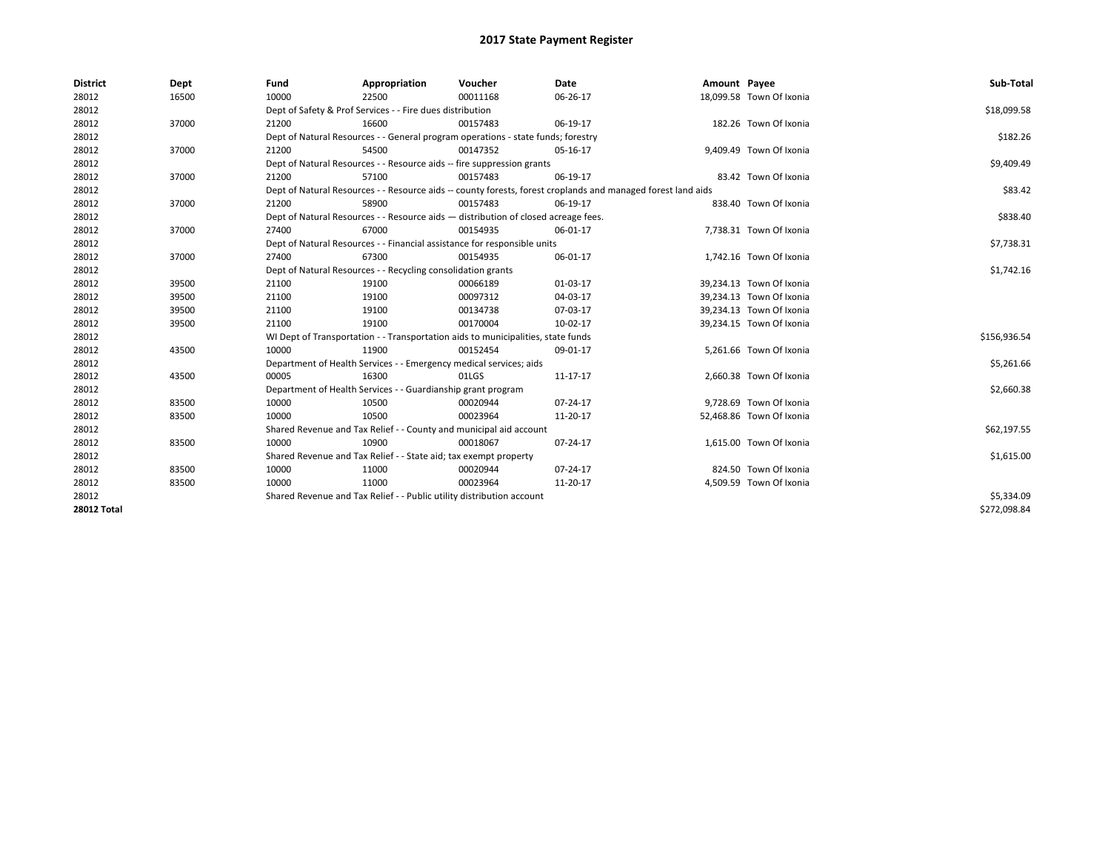| <b>District</b>    | Dept  | Fund                                                                  | Appropriation                                                                      | Voucher    | Date                                                                                                         | Amount Payee |                          | Sub-Total    |  |  |
|--------------------|-------|-----------------------------------------------------------------------|------------------------------------------------------------------------------------|------------|--------------------------------------------------------------------------------------------------------------|--------------|--------------------------|--------------|--|--|
| 28012              | 16500 | 10000                                                                 | 22500                                                                              | 00011168   | 06-26-17                                                                                                     |              | 18,099.58 Town Of Ixonia |              |  |  |
| 28012              |       |                                                                       | Dept of Safety & Prof Services - - Fire dues distribution                          |            |                                                                                                              |              |                          | \$18,099.58  |  |  |
| 28012              | 37000 | 21200                                                                 | 16600                                                                              | 00157483   | 06-19-17                                                                                                     |              | 182.26 Town Of Ixonia    |              |  |  |
| 28012              |       |                                                                       | Dept of Natural Resources - - General program operations - state funds; forestry   |            |                                                                                                              |              |                          | \$182.26     |  |  |
| 28012              | 37000 | 21200                                                                 | 54500                                                                              | 00147352   | 05-16-17                                                                                                     |              | 9,409.49 Town Of Ixonia  |              |  |  |
| 28012              |       |                                                                       | Dept of Natural Resources - - Resource aids -- fire suppression grants             |            |                                                                                                              |              |                          | \$9,409.49   |  |  |
| 28012              | 37000 | 21200                                                                 | 57100                                                                              | 00157483   | 06-19-17                                                                                                     |              | 83.42 Town Of Ixonia     |              |  |  |
| 28012              |       |                                                                       |                                                                                    |            | Dept of Natural Resources - - Resource aids -- county forests, forest croplands and managed forest land aids |              |                          | \$83.42      |  |  |
| 28012              | 37000 | 21200                                                                 | 58900                                                                              | 00157483   | 06-19-17                                                                                                     |              | 838.40 Town Of Ixonia    |              |  |  |
| 28012              |       |                                                                       | Dept of Natural Resources - - Resource aids - distribution of closed acreage fees. |            |                                                                                                              |              |                          | \$838.40     |  |  |
| 28012              | 37000 | 27400                                                                 | 67000                                                                              | 00154935   | 06-01-17                                                                                                     |              | 7,738.31 Town Of Ixonia  |              |  |  |
| 28012              |       |                                                                       | Dept of Natural Resources - - Financial assistance for responsible units           |            |                                                                                                              |              |                          | \$7,738.31   |  |  |
| 28012              | 37000 | 27400                                                                 | 67300                                                                              | 00154935   | 06-01-17                                                                                                     |              | 1,742.16 Town Of Ixonia  |              |  |  |
| 28012              |       |                                                                       | Dept of Natural Resources - - Recycling consolidation grants                       |            |                                                                                                              |              |                          |              |  |  |
| 28012              | 39500 | 21100                                                                 | 19100                                                                              | 00066189   | 01-03-17                                                                                                     |              | 39,234.13 Town Of Ixonia |              |  |  |
| 28012              | 39500 | 21100                                                                 | 19100                                                                              | 00097312   | 04-03-17                                                                                                     |              | 39.234.13 Town Of Ixonia |              |  |  |
| 28012              | 39500 | 21100                                                                 | 19100                                                                              | 00134738   | 07-03-17                                                                                                     |              | 39,234.13 Town Of Ixonia |              |  |  |
| 28012              | 39500 | 21100                                                                 | 19100                                                                              | 00170004   | 10-02-17                                                                                                     |              | 39,234.15 Town Of Ixonia |              |  |  |
| 28012              |       |                                                                       | WI Dept of Transportation - - Transportation aids to municipalities, state funds   |            |                                                                                                              |              |                          | \$156,936.54 |  |  |
| 28012              | 43500 | 10000                                                                 | 11900                                                                              | 00152454   | 09-01-17                                                                                                     |              | 5,261.66 Town Of Ixonia  |              |  |  |
| 28012              |       |                                                                       | Department of Health Services - - Emergency medical services; aids                 |            |                                                                                                              |              |                          | \$5,261.66   |  |  |
| 28012              | 43500 | 00005                                                                 | 16300                                                                              | 01LGS      | 11-17-17                                                                                                     |              | 2,660.38 Town Of Ixonia  |              |  |  |
| 28012              |       |                                                                       | Department of Health Services - - Guardianship grant program                       |            |                                                                                                              |              |                          | \$2,660.38   |  |  |
| 28012              | 83500 | 10000                                                                 | 10500                                                                              | 00020944   | 07-24-17                                                                                                     |              | 9,728.69 Town Of Ixonia  |              |  |  |
| 28012              | 83500 | 10000                                                                 | 10500                                                                              | 00023964   | 11-20-17                                                                                                     |              | 52,468.86 Town Of Ixonia |              |  |  |
| 28012              |       |                                                                       | Shared Revenue and Tax Relief - - County and municipal aid account                 |            |                                                                                                              |              |                          | \$62,197.55  |  |  |
| 28012              | 83500 | 10000                                                                 | 10900                                                                              | 00018067   | 07-24-17                                                                                                     |              | 1,615.00 Town Of Ixonia  |              |  |  |
| 28012              |       | Shared Revenue and Tax Relief - - State aid; tax exempt property      |                                                                                    | \$1,615.00 |                                                                                                              |              |                          |              |  |  |
| 28012              | 83500 | 10000                                                                 | 11000                                                                              | 00020944   | 07-24-17                                                                                                     |              | 824.50 Town Of Ixonia    |              |  |  |
| 28012              | 83500 | 10000                                                                 | 11000                                                                              | 00023964   | 11-20-17                                                                                                     |              | 4,509.59 Town Of Ixonia  |              |  |  |
| 28012              |       | Shared Revenue and Tax Relief - - Public utility distribution account |                                                                                    | \$5,334.09 |                                                                                                              |              |                          |              |  |  |
| <b>28012 Total</b> |       |                                                                       |                                                                                    |            |                                                                                                              |              |                          | \$272,098.84 |  |  |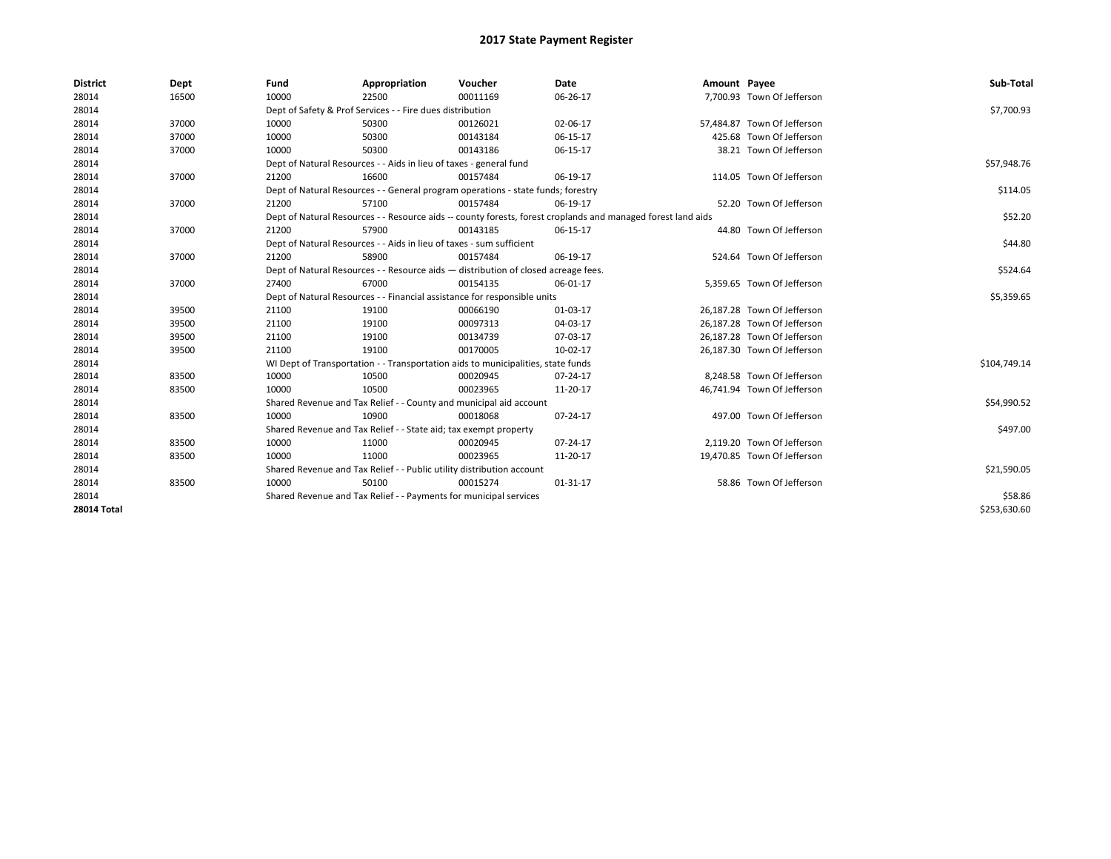| <b>District</b>    | Dept  | Fund                                                               | Appropriation                                                         | Voucher                                                                            | Date                                                                                                         | Amount Payee |                             | Sub-Total    |
|--------------------|-------|--------------------------------------------------------------------|-----------------------------------------------------------------------|------------------------------------------------------------------------------------|--------------------------------------------------------------------------------------------------------------|--------------|-----------------------------|--------------|
| 28014              | 16500 | 10000                                                              | 22500                                                                 | 00011169                                                                           | 06-26-17                                                                                                     |              | 7,700.93 Town Of Jefferson  |              |
| 28014              |       |                                                                    | Dept of Safety & Prof Services - - Fire dues distribution             |                                                                                    |                                                                                                              |              |                             | \$7,700.93   |
| 28014              | 37000 | 10000                                                              | 50300                                                                 | 00126021                                                                           | 02-06-17                                                                                                     |              | 57,484.87 Town Of Jefferson |              |
| 28014              | 37000 | 10000                                                              | 50300                                                                 | 00143184                                                                           | 06-15-17                                                                                                     |              | 425.68 Town Of Jefferson    |              |
| 28014              | 37000 | 10000                                                              | 50300                                                                 | 00143186                                                                           | 06-15-17                                                                                                     |              | 38.21 Town Of Jefferson     |              |
| 28014              |       | Dept of Natural Resources - - Aids in lieu of taxes - general fund |                                                                       | \$57,948.76                                                                        |                                                                                                              |              |                             |              |
| 28014              | 37000 | 21200                                                              | 16600                                                                 | 00157484                                                                           | 06-19-17                                                                                                     |              | 114.05 Town Of Jefferson    |              |
| 28014              |       |                                                                    |                                                                       | Dept of Natural Resources - - General program operations - state funds; forestry   |                                                                                                              |              |                             | \$114.05     |
| 28014              | 37000 | 21200                                                              | 57100                                                                 | 00157484                                                                           | 06-19-17                                                                                                     |              | 52.20 Town Of Jefferson     |              |
| 28014              |       |                                                                    |                                                                       |                                                                                    | Dept of Natural Resources - - Resource aids -- county forests, forest croplands and managed forest land aids |              |                             | \$52.20      |
| 28014              | 37000 | 21200                                                              | 57900                                                                 | 00143185                                                                           | 06-15-17                                                                                                     |              | 44.80 Town Of Jefferson     |              |
| 28014              |       |                                                                    | Dept of Natural Resources - - Aids in lieu of taxes - sum sufficient  |                                                                                    |                                                                                                              |              |                             | \$44.80      |
| 28014              | 37000 | 21200                                                              | 58900                                                                 | 00157484                                                                           | 06-19-17                                                                                                     |              | 524.64 Town Of Jefferson    |              |
| 28014              |       |                                                                    |                                                                       | Dept of Natural Resources - - Resource aids - distribution of closed acreage fees. |                                                                                                              |              |                             | \$524.64     |
| 28014              | 37000 | 27400                                                              | 67000                                                                 | 00154135                                                                           | 06-01-17                                                                                                     |              | 5,359.65 Town Of Jefferson  |              |
| 28014              |       |                                                                    |                                                                       | Dept of Natural Resources - - Financial assistance for responsible units           |                                                                                                              |              |                             | \$5,359.65   |
| 28014              | 39500 | 21100                                                              | 19100                                                                 | 00066190                                                                           | 01-03-17                                                                                                     |              | 26,187.28 Town Of Jefferson |              |
| 28014              | 39500 | 21100                                                              | 19100                                                                 | 00097313                                                                           | 04-03-17                                                                                                     |              | 26,187.28 Town Of Jefferson |              |
| 28014              | 39500 | 21100                                                              | 19100                                                                 | 00134739                                                                           | 07-03-17                                                                                                     |              | 26,187.28 Town Of Jefferson |              |
| 28014              | 39500 | 21100                                                              | 19100                                                                 | 00170005                                                                           | 10-02-17                                                                                                     |              | 26,187.30 Town Of Jefferson |              |
| 28014              |       |                                                                    |                                                                       | WI Dept of Transportation - - Transportation aids to municipalities, state funds   |                                                                                                              |              |                             | \$104,749.14 |
| 28014              | 83500 | 10000                                                              | 10500                                                                 | 00020945                                                                           | 07-24-17                                                                                                     |              | 8,248.58 Town Of Jefferson  |              |
| 28014              | 83500 | 10000                                                              | 10500                                                                 | 00023965                                                                           | 11-20-17                                                                                                     |              | 46,741.94 Town Of Jefferson |              |
| 28014              |       |                                                                    | Shared Revenue and Tax Relief - - County and municipal aid account    |                                                                                    |                                                                                                              |              |                             | \$54,990.52  |
| 28014              | 83500 | 10000                                                              | 10900                                                                 | 00018068                                                                           | 07-24-17                                                                                                     |              | 497.00 Town Of Jefferson    |              |
| 28014              |       |                                                                    | Shared Revenue and Tax Relief - - State aid; tax exempt property      |                                                                                    |                                                                                                              |              |                             | \$497.00     |
| 28014              | 83500 | 10000                                                              | 11000                                                                 | 00020945                                                                           | 07-24-17                                                                                                     |              | 2.119.20 Town Of Jefferson  |              |
| 28014              | 83500 | 10000                                                              | 11000                                                                 | 00023965                                                                           | 11-20-17                                                                                                     |              | 19,470.85 Town Of Jefferson |              |
| 28014              |       |                                                                    | Shared Revenue and Tax Relief - - Public utility distribution account |                                                                                    |                                                                                                              |              |                             | \$21,590.05  |
| 28014              | 83500 | 10000                                                              | 50100                                                                 | 00015274                                                                           | 01-31-17                                                                                                     |              | 58.86 Town Of Jefferson     |              |
| 28014              |       |                                                                    | Shared Revenue and Tax Relief - - Payments for municipal services     |                                                                                    |                                                                                                              |              |                             | \$58.86      |
| <b>28014 Total</b> |       |                                                                    |                                                                       |                                                                                    |                                                                                                              |              |                             | \$253,630.60 |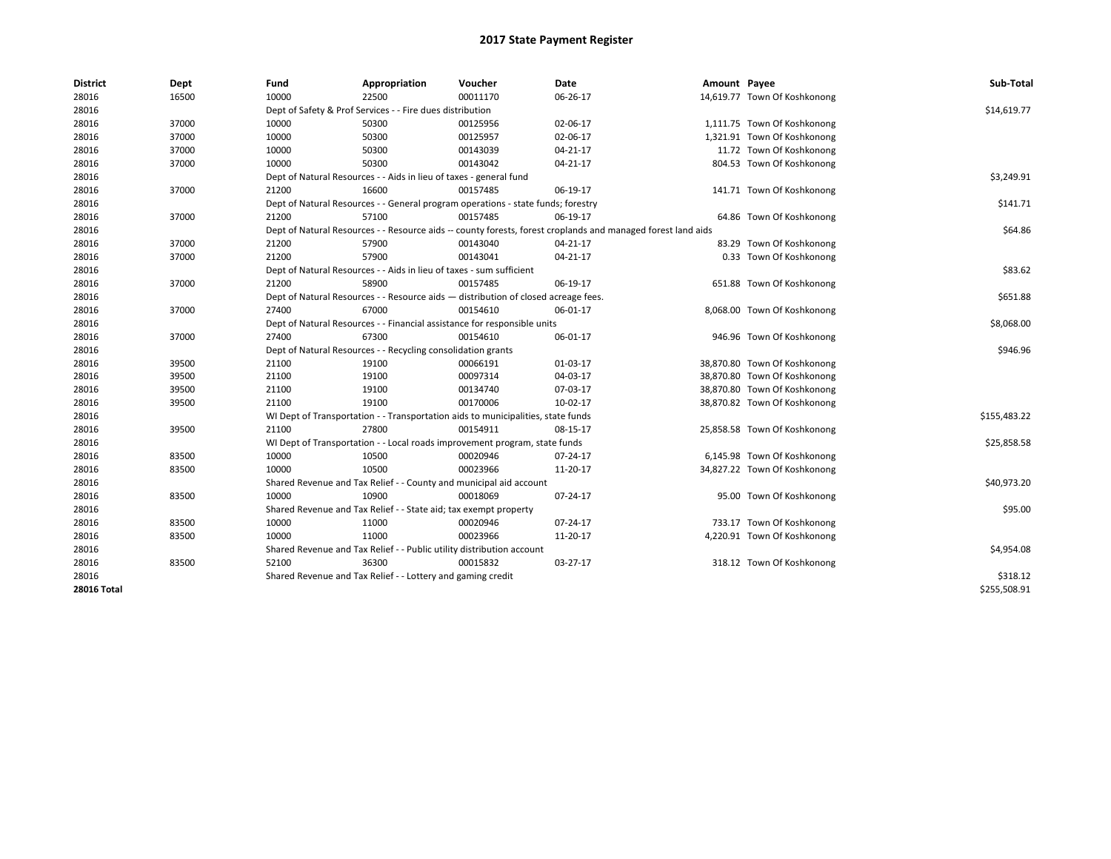| <b>District</b>    | Dept  | Fund  | Appropriation                                                                      | Voucher  | Date                                                                                                         | Amount Payee |                              | Sub-Total    |  |  |
|--------------------|-------|-------|------------------------------------------------------------------------------------|----------|--------------------------------------------------------------------------------------------------------------|--------------|------------------------------|--------------|--|--|
| 28016              | 16500 | 10000 | 22500                                                                              | 00011170 | 06-26-17                                                                                                     |              | 14,619.77 Town Of Koshkonong |              |  |  |
| 28016              |       |       | Dept of Safety & Prof Services - - Fire dues distribution                          |          |                                                                                                              |              |                              | \$14,619.77  |  |  |
| 28016              | 37000 | 10000 | 50300                                                                              | 00125956 | 02-06-17                                                                                                     |              | 1,111.75 Town Of Koshkonong  |              |  |  |
| 28016              | 37000 | 10000 | 50300                                                                              | 00125957 | 02-06-17                                                                                                     |              | 1,321.91 Town Of Koshkonong  |              |  |  |
| 28016              | 37000 | 10000 | 50300                                                                              | 00143039 | 04-21-17                                                                                                     |              | 11.72 Town Of Koshkonong     |              |  |  |
| 28016              | 37000 | 10000 | 50300                                                                              | 00143042 | 04-21-17                                                                                                     |              | 804.53 Town Of Koshkonong    |              |  |  |
| 28016              |       |       | Dept of Natural Resources - - Aids in lieu of taxes - general fund                 |          |                                                                                                              |              |                              | \$3,249.91   |  |  |
| 28016              | 37000 | 21200 | 16600                                                                              | 00157485 | 06-19-17                                                                                                     |              | 141.71 Town Of Koshkonong    |              |  |  |
| 28016              |       |       | Dept of Natural Resources - - General program operations - state funds; forestry   |          |                                                                                                              |              |                              | \$141.71     |  |  |
| 28016              | 37000 | 21200 | 57100                                                                              | 00157485 | 06-19-17                                                                                                     |              | 64.86 Town Of Koshkonong     |              |  |  |
| 28016              |       |       |                                                                                    |          | Dept of Natural Resources - - Resource aids -- county forests, forest croplands and managed forest land aids |              |                              | \$64.86      |  |  |
| 28016              | 37000 | 21200 | 57900                                                                              | 00143040 | 04-21-17                                                                                                     |              | 83.29 Town Of Koshkonong     |              |  |  |
| 28016              | 37000 | 21200 | 57900                                                                              | 00143041 | 04-21-17                                                                                                     |              | 0.33 Town Of Koshkonong      |              |  |  |
| 28016              |       |       | Dept of Natural Resources - - Aids in lieu of taxes - sum sufficient               |          |                                                                                                              |              |                              | \$83.62      |  |  |
| 28016              | 37000 | 21200 | 58900                                                                              | 00157485 | 06-19-17                                                                                                     |              | 651.88 Town Of Koshkonong    |              |  |  |
| 28016              |       |       | Dept of Natural Resources - - Resource aids - distribution of closed acreage fees. |          |                                                                                                              |              |                              | \$651.88     |  |  |
| 28016              | 37000 | 27400 | 67000                                                                              | 00154610 | 06-01-17                                                                                                     |              | 8,068.00 Town Of Koshkonong  |              |  |  |
| 28016              |       |       | Dept of Natural Resources - - Financial assistance for responsible units           |          |                                                                                                              |              |                              |              |  |  |
| 28016              | 37000 | 27400 | 67300                                                                              | 00154610 | 06-01-17                                                                                                     |              | 946.96 Town Of Koshkonong    |              |  |  |
| 28016              |       |       | Dept of Natural Resources - - Recycling consolidation grants                       |          |                                                                                                              |              |                              | \$946.96     |  |  |
| 28016              | 39500 | 21100 | 19100                                                                              | 00066191 | 01-03-17                                                                                                     |              | 38,870.80 Town Of Koshkonong |              |  |  |
| 28016              | 39500 | 21100 | 19100                                                                              | 00097314 | 04-03-17                                                                                                     |              | 38,870.80 Town Of Koshkonong |              |  |  |
| 28016              | 39500 | 21100 | 19100                                                                              | 00134740 | 07-03-17                                                                                                     |              | 38,870.80 Town Of Koshkonong |              |  |  |
| 28016              | 39500 | 21100 | 19100                                                                              | 00170006 | 10-02-17                                                                                                     |              | 38,870.82 Town Of Koshkonong |              |  |  |
| 28016              |       |       | WI Dept of Transportation - - Transportation aids to municipalities, state funds   |          |                                                                                                              |              |                              | \$155,483.22 |  |  |
| 28016              | 39500 | 21100 | 27800                                                                              | 00154911 | 08-15-17                                                                                                     |              | 25,858.58 Town Of Koshkonong |              |  |  |
| 28016              |       |       | WI Dept of Transportation - - Local roads improvement program, state funds         |          |                                                                                                              |              |                              | \$25,858.58  |  |  |
| 28016              | 83500 | 10000 | 10500                                                                              | 00020946 | 07-24-17                                                                                                     |              | 6,145.98 Town Of Koshkonong  |              |  |  |
| 28016              | 83500 | 10000 | 10500                                                                              | 00023966 | 11-20-17                                                                                                     |              | 34,827.22 Town Of Koshkonong |              |  |  |
| 28016              |       |       | Shared Revenue and Tax Relief - - County and municipal aid account                 |          |                                                                                                              |              |                              | \$40,973.20  |  |  |
| 28016              | 83500 | 10000 | 10900                                                                              | 00018069 | 07-24-17                                                                                                     |              | 95.00 Town Of Koshkonong     |              |  |  |
| 28016              |       |       | Shared Revenue and Tax Relief - - State aid; tax exempt property                   |          |                                                                                                              |              |                              | \$95.00      |  |  |
| 28016              | 83500 | 10000 | 11000                                                                              | 00020946 | 07-24-17                                                                                                     |              | 733.17 Town Of Koshkonong    |              |  |  |
| 28016              | 83500 | 10000 | 11000                                                                              | 00023966 | 11-20-17                                                                                                     |              | 4,220.91 Town Of Koshkonong  |              |  |  |
| 28016              |       |       | Shared Revenue and Tax Relief - - Public utility distribution account              |          |                                                                                                              |              |                              | \$4,954.08   |  |  |
| 28016              | 83500 | 52100 | 36300                                                                              | 00015832 | 03-27-17                                                                                                     |              | 318.12 Town Of Koshkonong    |              |  |  |
| 28016              |       |       | Shared Revenue and Tax Relief - - Lottery and gaming credit                        |          |                                                                                                              |              |                              | \$318.12     |  |  |
| <b>28016 Total</b> |       |       |                                                                                    |          |                                                                                                              |              |                              | \$255,508.91 |  |  |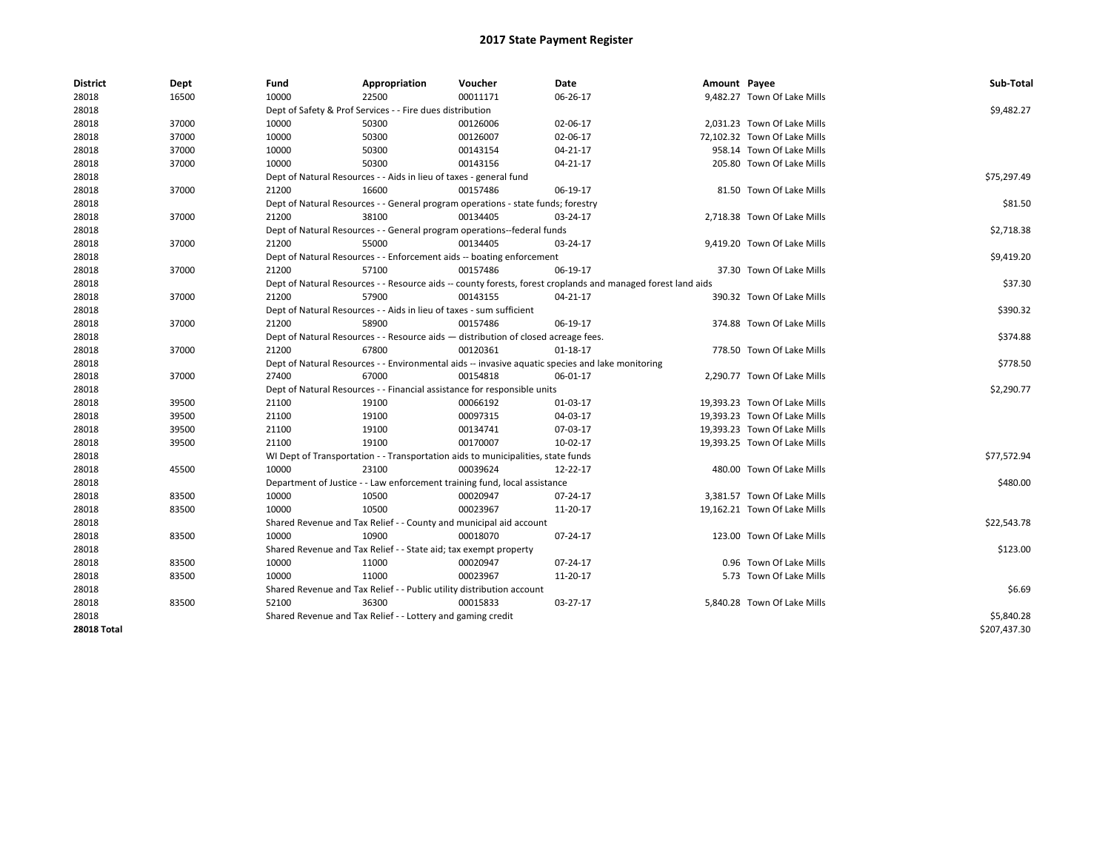| <b>District</b>    | Dept  | Fund  | Appropriation                                                                      | Voucher  | Date                                                                                                         | Amount Payee |                              | Sub-Total    |
|--------------------|-------|-------|------------------------------------------------------------------------------------|----------|--------------------------------------------------------------------------------------------------------------|--------------|------------------------------|--------------|
| 28018              | 16500 | 10000 | 22500                                                                              | 00011171 | 06-26-17                                                                                                     |              | 9,482.27 Town Of Lake Mills  |              |
| 28018              |       |       | Dept of Safety & Prof Services - - Fire dues distribution                          |          |                                                                                                              |              |                              | \$9,482.27   |
| 28018              | 37000 | 10000 | 50300                                                                              | 00126006 | 02-06-17                                                                                                     |              | 2,031.23 Town Of Lake Mills  |              |
| 28018              | 37000 | 10000 | 50300                                                                              | 00126007 | 02-06-17                                                                                                     |              | 72,102.32 Town Of Lake Mills |              |
| 28018              | 37000 | 10000 | 50300                                                                              | 00143154 | 04-21-17                                                                                                     |              | 958.14 Town Of Lake Mills    |              |
| 28018              | 37000 | 10000 | 50300                                                                              | 00143156 | 04-21-17                                                                                                     |              | 205.80 Town Of Lake Mills    |              |
| 28018              |       |       | Dept of Natural Resources - - Aids in lieu of taxes - general fund                 |          |                                                                                                              |              |                              | \$75,297.49  |
| 28018              | 37000 | 21200 | 16600                                                                              | 00157486 | 06-19-17                                                                                                     |              | 81.50 Town Of Lake Mills     |              |
| 28018              |       |       | Dept of Natural Resources - - General program operations - state funds; forestry   |          |                                                                                                              |              |                              | \$81.50      |
| 28018              | 37000 | 21200 | 38100                                                                              | 00134405 | 03-24-17                                                                                                     |              | 2,718.38 Town Of Lake Mills  |              |
| 28018              |       |       | Dept of Natural Resources - - General program operations--federal funds            |          |                                                                                                              |              |                              | \$2,718.38   |
| 28018              | 37000 | 21200 | 55000                                                                              | 00134405 | 03-24-17                                                                                                     |              | 9,419.20 Town Of Lake Mills  |              |
| 28018              |       |       | Dept of Natural Resources - - Enforcement aids -- boating enforcement              |          |                                                                                                              |              |                              | \$9,419.20   |
| 28018              | 37000 | 21200 | 57100                                                                              | 00157486 | 06-19-17                                                                                                     |              | 37.30 Town Of Lake Mills     |              |
| 28018              |       |       |                                                                                    |          | Dept of Natural Resources - - Resource aids -- county forests, forest croplands and managed forest land aids |              |                              | \$37.30      |
| 28018              | 37000 | 21200 | 57900                                                                              | 00143155 | 04-21-17                                                                                                     |              | 390.32 Town Of Lake Mills    |              |
| 28018              |       |       | Dept of Natural Resources - - Aids in lieu of taxes - sum sufficient               |          |                                                                                                              |              |                              | \$390.32     |
| 28018              | 37000 | 21200 | 58900                                                                              | 00157486 | 06-19-17                                                                                                     |              | 374.88 Town Of Lake Mills    |              |
| 28018              |       |       | Dept of Natural Resources - - Resource aids - distribution of closed acreage fees. |          |                                                                                                              |              |                              | \$374.88     |
| 28018              | 37000 | 21200 | 67800                                                                              | 00120361 | $01 - 18 - 17$                                                                                               |              | 778.50 Town Of Lake Mills    |              |
| 28018              |       |       |                                                                                    |          | Dept of Natural Resources - - Environmental aids -- invasive aquatic species and lake monitoring             |              |                              | \$778.50     |
| 28018              | 37000 | 27400 | 67000                                                                              | 00154818 | 06-01-17                                                                                                     |              | 2,290.77 Town Of Lake Mills  |              |
| 28018              |       |       | Dept of Natural Resources - - Financial assistance for responsible units           |          |                                                                                                              |              |                              | \$2,290.77   |
| 28018              | 39500 | 21100 | 19100                                                                              | 00066192 | 01-03-17                                                                                                     |              | 19,393.23 Town Of Lake Mills |              |
| 28018              | 39500 | 21100 | 19100                                                                              | 00097315 | 04-03-17                                                                                                     |              | 19,393.23 Town Of Lake Mills |              |
| 28018              | 39500 | 21100 | 19100                                                                              | 00134741 | 07-03-17                                                                                                     |              | 19,393.23 Town Of Lake Mills |              |
| 28018              | 39500 | 21100 | 19100                                                                              | 00170007 | 10-02-17                                                                                                     |              | 19,393.25 Town Of Lake Mills |              |
| 28018              |       |       | WI Dept of Transportation - - Transportation aids to municipalities, state funds   |          |                                                                                                              |              |                              | \$77,572.94  |
| 28018              | 45500 | 10000 | 23100                                                                              | 00039624 | 12-22-17                                                                                                     |              | 480.00 Town Of Lake Mills    |              |
| 28018              |       |       | Department of Justice - - Law enforcement training fund, local assistance          |          |                                                                                                              |              |                              | \$480.00     |
| 28018              | 83500 | 10000 | 10500                                                                              | 00020947 | 07-24-17                                                                                                     |              | 3,381.57 Town Of Lake Mills  |              |
| 28018              | 83500 | 10000 | 10500                                                                              | 00023967 | 11-20-17                                                                                                     |              | 19,162.21 Town Of Lake Mills |              |
| 28018              |       |       | Shared Revenue and Tax Relief - - County and municipal aid account                 |          |                                                                                                              |              |                              | \$22,543.78  |
| 28018              | 83500 | 10000 | 10900                                                                              | 00018070 | $07 - 24 - 17$                                                                                               |              | 123.00 Town Of Lake Mills    |              |
| 28018              |       |       | Shared Revenue and Tax Relief - - State aid; tax exempt property                   |          |                                                                                                              |              |                              | \$123.00     |
| 28018              | 83500 | 10000 | 11000                                                                              | 00020947 | 07-24-17                                                                                                     |              | 0.96 Town Of Lake Mills      |              |
| 28018              | 83500 | 10000 | 11000                                                                              | 00023967 | 11-20-17                                                                                                     |              | 5.73 Town Of Lake Mills      |              |
| 28018              |       |       | Shared Revenue and Tax Relief - - Public utility distribution account              |          |                                                                                                              |              |                              | \$6.69       |
| 28018              | 83500 | 52100 | 36300                                                                              | 00015833 | 03-27-17                                                                                                     |              | 5,840.28 Town Of Lake Mills  |              |
| 28018              |       |       | Shared Revenue and Tax Relief - - Lottery and gaming credit                        |          |                                                                                                              |              |                              | \$5,840.28   |
| <b>28018 Total</b> |       |       |                                                                                    |          |                                                                                                              |              |                              | \$207,437.30 |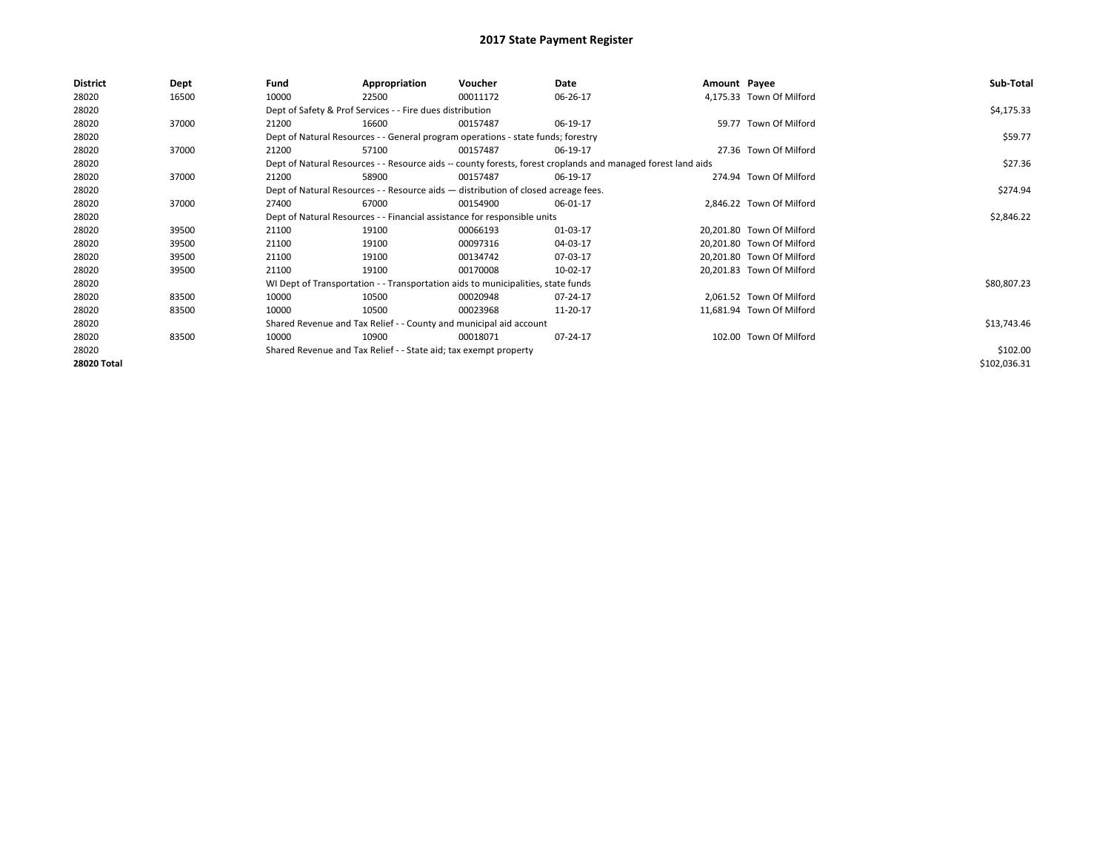| <b>District</b> | Dept  | Fund  | Appropriation                                                                      | Voucher  | Date                                                                                                         | Amount Payee |                           | Sub-Total    |
|-----------------|-------|-------|------------------------------------------------------------------------------------|----------|--------------------------------------------------------------------------------------------------------------|--------------|---------------------------|--------------|
| 28020           | 16500 | 10000 | 22500                                                                              | 00011172 | 06-26-17                                                                                                     |              | 4,175.33 Town Of Milford  |              |
| 28020           |       |       | Dept of Safety & Prof Services - - Fire dues distribution                          |          |                                                                                                              |              |                           | \$4,175.33   |
| 28020           | 37000 | 21200 | 16600                                                                              | 00157487 | 06-19-17                                                                                                     |              | 59.77 Town Of Milford     |              |
| 28020           |       |       | Dept of Natural Resources - - General program operations - state funds; forestry   |          |                                                                                                              |              |                           | \$59.77      |
| 28020           | 37000 | 21200 | 57100                                                                              | 00157487 | 06-19-17                                                                                                     |              | 27.36 Town Of Milford     |              |
| 28020           |       |       |                                                                                    |          | Dept of Natural Resources - - Resource aids -- county forests, forest croplands and managed forest land aids |              |                           | \$27.36      |
| 28020           | 37000 | 21200 | 58900                                                                              | 00157487 | 06-19-17                                                                                                     |              | 274.94 Town Of Milford    |              |
| 28020           |       |       | Dept of Natural Resources - - Resource aids - distribution of closed acreage fees. |          |                                                                                                              |              |                           | \$274.94     |
| 28020           | 37000 | 27400 | 67000                                                                              | 00154900 | 06-01-17                                                                                                     |              | 2,846.22 Town Of Milford  |              |
| 28020           |       |       | Dept of Natural Resources - - Financial assistance for responsible units           |          |                                                                                                              |              |                           | \$2,846.22   |
| 28020           | 39500 | 21100 | 19100                                                                              | 00066193 | 01-03-17                                                                                                     |              | 20,201.80 Town Of Milford |              |
| 28020           | 39500 | 21100 | 19100                                                                              | 00097316 | 04-03-17                                                                                                     |              | 20,201.80 Town Of Milford |              |
| 28020           | 39500 | 21100 | 19100                                                                              | 00134742 | 07-03-17                                                                                                     |              | 20,201.80 Town Of Milford |              |
| 28020           | 39500 | 21100 | 19100                                                                              | 00170008 | 10-02-17                                                                                                     |              | 20,201.83 Town Of Milford |              |
| 28020           |       |       | WI Dept of Transportation - - Transportation aids to municipalities, state funds   |          |                                                                                                              |              |                           | \$80,807.23  |
| 28020           | 83500 | 10000 | 10500                                                                              | 00020948 | 07-24-17                                                                                                     |              | 2,061.52 Town Of Milford  |              |
| 28020           | 83500 | 10000 | 10500                                                                              | 00023968 | 11-20-17                                                                                                     |              | 11,681.94 Town Of Milford |              |
| 28020           |       |       | Shared Revenue and Tax Relief - - County and municipal aid account                 |          |                                                                                                              |              |                           | \$13,743.46  |
| 28020           | 83500 | 10000 | 10900                                                                              | 00018071 | 07-24-17                                                                                                     |              | 102.00 Town Of Milford    |              |
| 28020           |       |       | Shared Revenue and Tax Relief - - State aid; tax exempt property                   |          |                                                                                                              |              |                           | \$102.00     |
| 28020 Total     |       |       |                                                                                    |          |                                                                                                              |              |                           | \$102,036.31 |
|                 |       |       |                                                                                    |          |                                                                                                              |              |                           |              |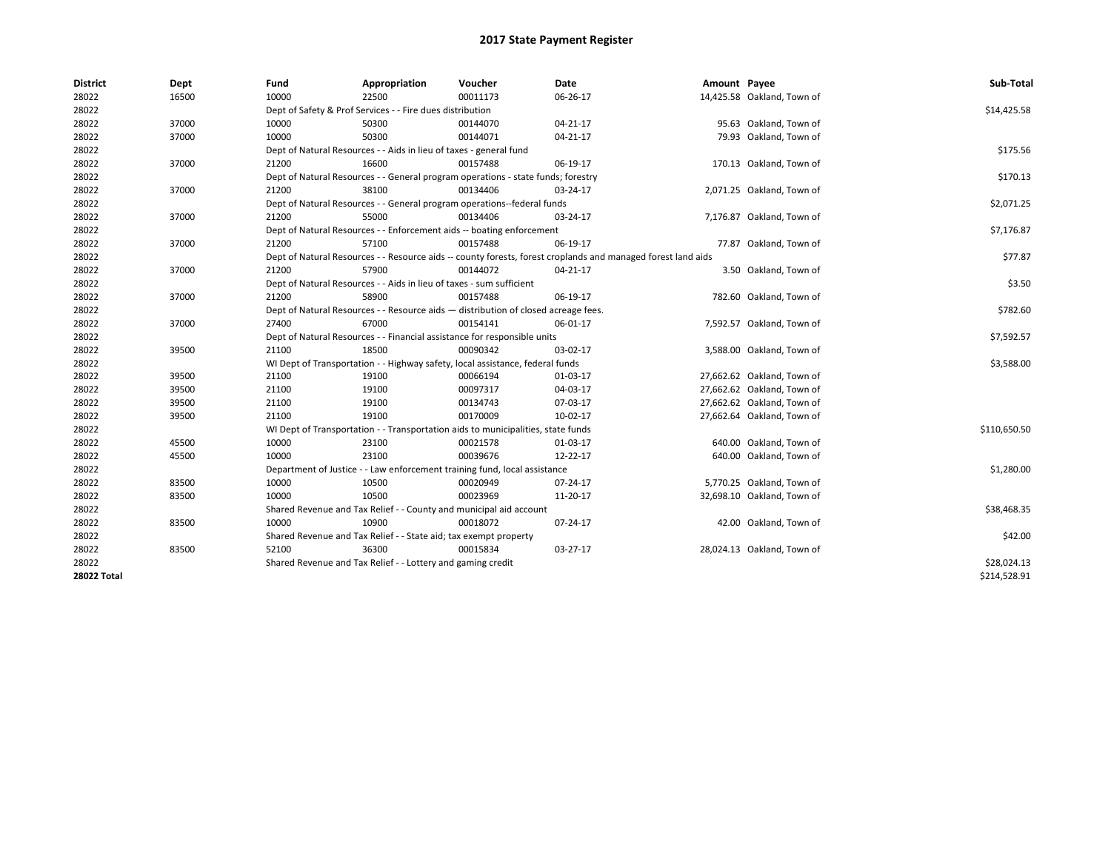| <b>District</b> | Dept  | Fund  | Appropriation                                                                      | Voucher  | Date                                                                                                         | Amount Payee |                            | Sub-Total    |
|-----------------|-------|-------|------------------------------------------------------------------------------------|----------|--------------------------------------------------------------------------------------------------------------|--------------|----------------------------|--------------|
| 28022           | 16500 | 10000 | 22500                                                                              | 00011173 | 06-26-17                                                                                                     |              | 14,425.58 Oakland, Town of |              |
| 28022           |       |       | Dept of Safety & Prof Services - - Fire dues distribution                          |          |                                                                                                              |              |                            | \$14,425.58  |
| 28022           | 37000 | 10000 | 50300                                                                              | 00144070 | 04-21-17                                                                                                     |              | 95.63 Oakland, Town of     |              |
| 28022           | 37000 | 10000 | 50300                                                                              | 00144071 | 04-21-17                                                                                                     |              | 79.93 Oakland, Town of     |              |
| 28022           |       |       | Dept of Natural Resources - - Aids in lieu of taxes - general fund                 |          |                                                                                                              |              |                            | \$175.56     |
| 28022           | 37000 | 21200 | 16600                                                                              | 00157488 | 06-19-17                                                                                                     |              | 170.13 Oakland, Town of    |              |
| 28022           |       |       | Dept of Natural Resources - - General program operations - state funds; forestry   |          |                                                                                                              |              |                            | \$170.13     |
| 28022           | 37000 | 21200 | 38100                                                                              | 00134406 | 03-24-17                                                                                                     |              | 2,071.25 Oakland, Town of  |              |
| 28022           |       |       | Dept of Natural Resources - - General program operations--federal funds            |          |                                                                                                              |              |                            | \$2,071.25   |
| 28022           | 37000 | 21200 | 55000                                                                              | 00134406 | 03-24-17                                                                                                     |              | 7,176.87 Oakland, Town of  |              |
| 28022           |       |       | Dept of Natural Resources - - Enforcement aids -- boating enforcement              |          |                                                                                                              |              |                            | \$7,176.87   |
| 28022           | 37000 | 21200 | 57100                                                                              | 00157488 | 06-19-17                                                                                                     |              | 77.87 Oakland, Town of     |              |
| 28022           |       |       |                                                                                    |          | Dept of Natural Resources - - Resource aids -- county forests, forest croplands and managed forest land aids |              |                            | \$77.87      |
| 28022           | 37000 | 21200 | 57900                                                                              | 00144072 | 04-21-17                                                                                                     |              | 3.50 Oakland, Town of      |              |
| 28022           |       |       | Dept of Natural Resources - - Aids in lieu of taxes - sum sufficient               |          |                                                                                                              |              |                            | \$3.50       |
| 28022           | 37000 | 21200 | 58900                                                                              | 00157488 | 06-19-17                                                                                                     |              | 782.60 Oakland, Town of    |              |
| 28022           |       |       | Dept of Natural Resources - - Resource aids - distribution of closed acreage fees. |          |                                                                                                              |              |                            | \$782.60     |
| 28022           | 37000 | 27400 | 67000                                                                              | 00154141 | 06-01-17                                                                                                     |              | 7,592.57 Oakland, Town of  |              |
| 28022           |       |       | Dept of Natural Resources - - Financial assistance for responsible units           |          |                                                                                                              |              |                            | \$7,592.57   |
| 28022           | 39500 | 21100 | 18500                                                                              | 00090342 | 03-02-17                                                                                                     |              | 3,588.00 Oakland, Town of  |              |
| 28022           |       |       | WI Dept of Transportation - - Highway safety, local assistance, federal funds      |          |                                                                                                              |              |                            | \$3,588.00   |
| 28022           | 39500 | 21100 | 19100                                                                              | 00066194 | 01-03-17                                                                                                     |              | 27,662.62 Oakland, Town of |              |
| 28022           | 39500 | 21100 | 19100                                                                              | 00097317 | 04-03-17                                                                                                     |              | 27,662.62 Oakland, Town of |              |
| 28022           | 39500 | 21100 | 19100                                                                              | 00134743 | 07-03-17                                                                                                     |              | 27,662.62 Oakland, Town of |              |
| 28022           | 39500 | 21100 | 19100                                                                              | 00170009 | 10-02-17                                                                                                     |              | 27,662.64 Oakland, Town of |              |
| 28022           |       |       | WI Dept of Transportation - - Transportation aids to municipalities, state funds   |          |                                                                                                              |              |                            | \$110,650.50 |
| 28022           | 45500 | 10000 | 23100                                                                              | 00021578 | 01-03-17                                                                                                     |              | 640.00 Oakland, Town of    |              |
| 28022           | 45500 | 10000 | 23100                                                                              | 00039676 | 12-22-17                                                                                                     |              | 640.00 Oakland, Town of    |              |
| 28022           |       |       | Department of Justice - - Law enforcement training fund, local assistance          |          |                                                                                                              |              |                            | \$1,280.00   |
| 28022           | 83500 | 10000 | 10500                                                                              | 00020949 | 07-24-17                                                                                                     |              | 5,770.25 Oakland, Town of  |              |
| 28022           | 83500 | 10000 | 10500                                                                              | 00023969 | 11-20-17                                                                                                     |              | 32,698.10 Oakland, Town of |              |
| 28022           |       |       | Shared Revenue and Tax Relief - - County and municipal aid account                 |          |                                                                                                              |              |                            | \$38,468.35  |
| 28022           | 83500 | 10000 | 10900                                                                              | 00018072 | 07-24-17                                                                                                     |              | 42.00 Oakland, Town of     |              |
| 28022           |       |       | Shared Revenue and Tax Relief - - State aid; tax exempt property                   |          |                                                                                                              |              |                            | \$42.00      |
| 28022           | 83500 | 52100 | 36300                                                                              | 00015834 | 03-27-17                                                                                                     |              | 28,024.13 Oakland, Town of |              |
| 28022           |       |       | Shared Revenue and Tax Relief - - Lottery and gaming credit                        |          |                                                                                                              |              |                            | \$28,024.13  |
| 28022 Total     |       |       |                                                                                    |          |                                                                                                              |              |                            | \$214.528.91 |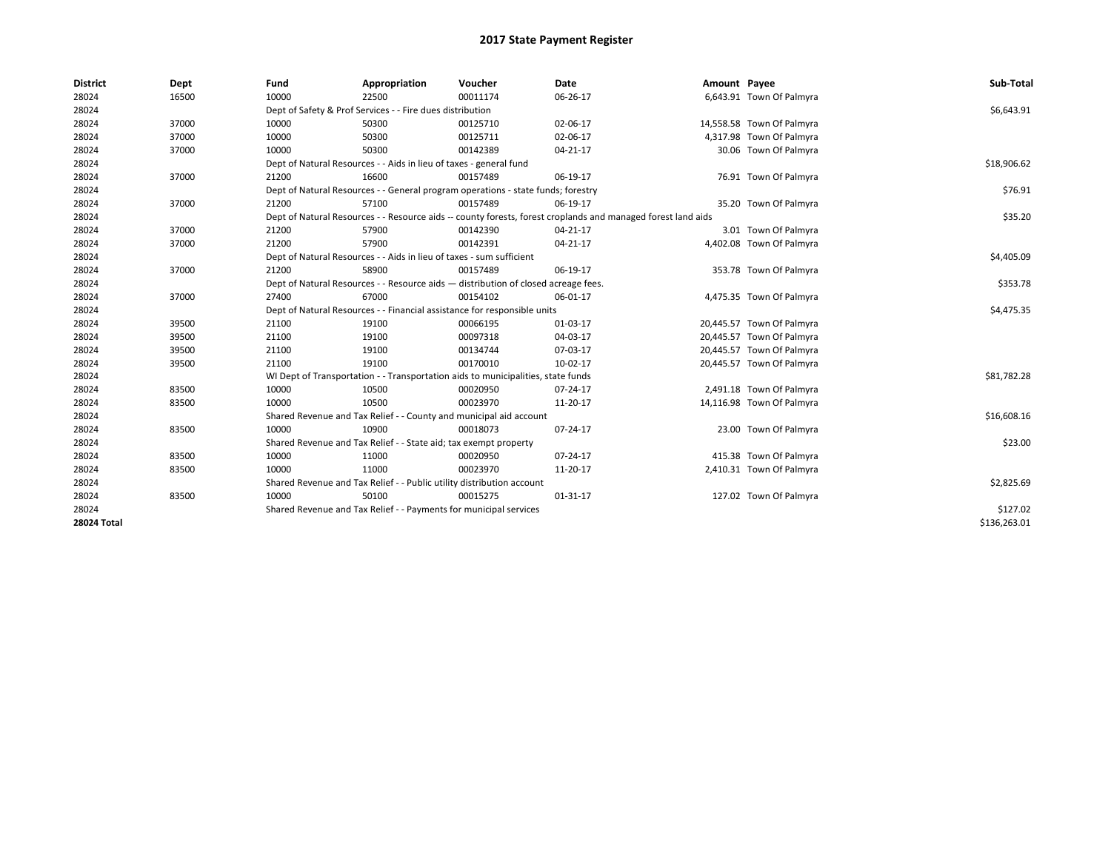| <b>District</b>    | Dept  | Fund  | Appropriation                                                         | Voucher                                                                            | <b>Date</b>                                                                                                  | Amount Payee |                           | Sub-Total    |
|--------------------|-------|-------|-----------------------------------------------------------------------|------------------------------------------------------------------------------------|--------------------------------------------------------------------------------------------------------------|--------------|---------------------------|--------------|
| 28024              | 16500 | 10000 | 22500                                                                 | 00011174                                                                           | 06-26-17                                                                                                     |              | 6,643.91 Town Of Palmyra  |              |
| 28024              |       |       | Dept of Safety & Prof Services - - Fire dues distribution             |                                                                                    |                                                                                                              |              |                           | \$6,643.91   |
| 28024              | 37000 | 10000 | 50300                                                                 | 00125710                                                                           | 02-06-17                                                                                                     |              | 14,558.58 Town Of Palmyra |              |
| 28024              | 37000 | 10000 | 50300                                                                 | 00125711                                                                           | 02-06-17                                                                                                     |              | 4,317.98 Town Of Palmyra  |              |
| 28024              | 37000 | 10000 | 50300                                                                 | 00142389                                                                           | 04-21-17                                                                                                     |              | 30.06 Town Of Palmyra     |              |
| 28024              |       |       | Dept of Natural Resources - - Aids in lieu of taxes - general fund    |                                                                                    |                                                                                                              |              |                           | \$18,906.62  |
| 28024              | 37000 | 21200 | 16600                                                                 | 00157489                                                                           | 06-19-17                                                                                                     |              | 76.91 Town Of Palmyra     |              |
| 28024              |       |       |                                                                       | Dept of Natural Resources - - General program operations - state funds; forestry   |                                                                                                              |              |                           | \$76.91      |
| 28024              | 37000 | 21200 | 57100                                                                 | 00157489                                                                           | 06-19-17                                                                                                     |              | 35.20 Town Of Palmyra     |              |
| 28024              |       |       |                                                                       |                                                                                    | Dept of Natural Resources - - Resource aids -- county forests, forest croplands and managed forest land aids |              |                           | \$35.20      |
| 28024              | 37000 | 21200 | 57900                                                                 | 00142390                                                                           | 04-21-17                                                                                                     |              | 3.01 Town Of Palmyra      |              |
| 28024              | 37000 | 21200 | 57900                                                                 | 00142391                                                                           | 04-21-17                                                                                                     |              | 4,402.08 Town Of Palmyra  |              |
| 28024              |       |       | Dept of Natural Resources - - Aids in lieu of taxes - sum sufficient  |                                                                                    |                                                                                                              |              |                           | \$4,405.09   |
| 28024              | 37000 | 21200 | 58900                                                                 | 00157489                                                                           | 06-19-17                                                                                                     |              | 353.78 Town Of Palmyra    |              |
| 28024              |       |       |                                                                       | Dept of Natural Resources - - Resource aids - distribution of closed acreage fees. |                                                                                                              |              |                           | \$353.78     |
| 28024              | 37000 | 27400 | 67000                                                                 | 00154102                                                                           | 06-01-17                                                                                                     |              | 4,475.35 Town Of Palmyra  |              |
| 28024              |       |       |                                                                       | Dept of Natural Resources - - Financial assistance for responsible units           |                                                                                                              |              |                           | \$4,475.35   |
| 28024              | 39500 | 21100 | 19100                                                                 | 00066195                                                                           | 01-03-17                                                                                                     |              | 20,445.57 Town Of Palmyra |              |
| 28024              | 39500 | 21100 | 19100                                                                 | 00097318                                                                           | 04-03-17                                                                                                     |              | 20,445.57 Town Of Palmyra |              |
| 28024              | 39500 | 21100 | 19100                                                                 | 00134744                                                                           | 07-03-17                                                                                                     |              | 20,445.57 Town Of Palmyra |              |
| 28024              | 39500 | 21100 | 19100                                                                 | 00170010                                                                           | 10-02-17                                                                                                     |              | 20,445.57 Town Of Palmyra |              |
| 28024              |       |       |                                                                       | WI Dept of Transportation - - Transportation aids to municipalities, state funds   |                                                                                                              |              |                           | \$81,782.28  |
| 28024              | 83500 | 10000 | 10500                                                                 | 00020950                                                                           | 07-24-17                                                                                                     |              | 2,491.18 Town Of Palmyra  |              |
| 28024              | 83500 | 10000 | 10500                                                                 | 00023970                                                                           | 11-20-17                                                                                                     |              | 14,116.98 Town Of Palmyra |              |
| 28024              |       |       |                                                                       | Shared Revenue and Tax Relief - - County and municipal aid account                 |                                                                                                              |              |                           | \$16,608.16  |
| 28024              | 83500 | 10000 | 10900                                                                 | 00018073                                                                           | 07-24-17                                                                                                     |              | 23.00 Town Of Palmyra     |              |
| 28024              |       |       | Shared Revenue and Tax Relief - - State aid; tax exempt property      |                                                                                    |                                                                                                              |              |                           | \$23.00      |
| 28024              | 83500 | 10000 | 11000                                                                 | 00020950                                                                           | 07-24-17                                                                                                     |              | 415.38 Town Of Palmyra    |              |
| 28024              | 83500 | 10000 | 11000                                                                 | 00023970                                                                           | 11-20-17                                                                                                     |              | 2,410.31 Town Of Palmyra  |              |
| 28024              |       |       | Shared Revenue and Tax Relief - - Public utility distribution account |                                                                                    |                                                                                                              |              |                           | \$2,825.69   |
| 28024              | 83500 | 10000 | 50100                                                                 | 00015275                                                                           | 01-31-17                                                                                                     |              | 127.02 Town Of Palmyra    |              |
| 28024              |       |       | Shared Revenue and Tax Relief - - Payments for municipal services     |                                                                                    |                                                                                                              |              |                           | \$127.02     |
| <b>28024 Total</b> |       |       |                                                                       |                                                                                    |                                                                                                              |              |                           | \$136,263.01 |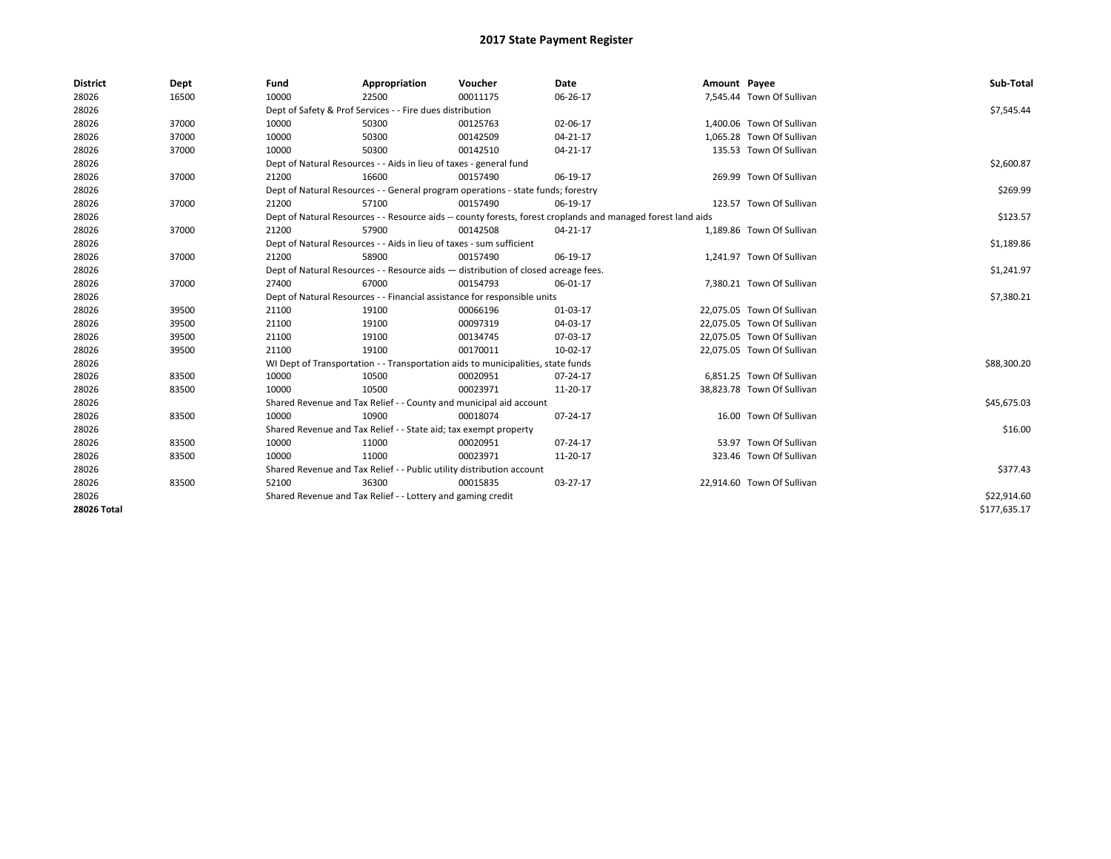| <b>District</b> | Dept  | Fund  | Appropriation                                                                      | Voucher  | Date                                                                                                         | Amount Payee |                            | Sub-Total    |
|-----------------|-------|-------|------------------------------------------------------------------------------------|----------|--------------------------------------------------------------------------------------------------------------|--------------|----------------------------|--------------|
| 28026           | 16500 | 10000 | 22500                                                                              | 00011175 | 06-26-17                                                                                                     |              | 7,545.44 Town Of Sullivan  |              |
| 28026           |       |       | Dept of Safety & Prof Services - - Fire dues distribution                          |          |                                                                                                              |              |                            | \$7,545.44   |
| 28026           | 37000 | 10000 | 50300                                                                              | 00125763 | 02-06-17                                                                                                     |              | 1,400.06 Town Of Sullivan  |              |
| 28026           | 37000 | 10000 | 50300                                                                              | 00142509 | $04 - 21 - 17$                                                                                               |              | 1,065.28 Town Of Sullivan  |              |
| 28026           | 37000 | 10000 | 50300                                                                              | 00142510 | $04 - 21 - 17$                                                                                               |              | 135.53 Town Of Sullivan    |              |
| 28026           |       |       | Dept of Natural Resources - - Aids in lieu of taxes - general fund                 |          |                                                                                                              |              |                            | \$2,600.87   |
| 28026           | 37000 | 21200 | 16600                                                                              | 00157490 | 06-19-17                                                                                                     |              | 269.99 Town Of Sullivan    |              |
| 28026           |       |       | Dept of Natural Resources - - General program operations - state funds; forestry   |          |                                                                                                              |              |                            | \$269.99     |
| 28026           | 37000 | 21200 | 57100                                                                              | 00157490 | 06-19-17                                                                                                     |              | 123.57 Town Of Sullivan    |              |
| 28026           |       |       |                                                                                    |          | Dept of Natural Resources - - Resource aids -- county forests, forest croplands and managed forest land aids |              |                            | \$123.57     |
| 28026           | 37000 | 21200 | 57900                                                                              | 00142508 | 04-21-17                                                                                                     |              | 1,189.86 Town Of Sullivan  |              |
| 28026           |       |       | Dept of Natural Resources - - Aids in lieu of taxes - sum sufficient               |          |                                                                                                              |              |                            | \$1,189.86   |
| 28026           | 37000 | 21200 | 58900                                                                              | 00157490 | 06-19-17                                                                                                     |              | 1,241.97 Town Of Sullivan  |              |
| 28026           |       |       | Dept of Natural Resources - - Resource aids - distribution of closed acreage fees. |          |                                                                                                              |              |                            | \$1,241.97   |
| 28026           | 37000 | 27400 | 67000                                                                              | 00154793 | 06-01-17                                                                                                     |              | 7,380.21 Town Of Sullivan  |              |
| 28026           |       |       | Dept of Natural Resources - - Financial assistance for responsible units           |          |                                                                                                              |              |                            | \$7,380.21   |
| 28026           | 39500 | 21100 | 19100                                                                              | 00066196 | 01-03-17                                                                                                     |              | 22,075.05 Town Of Sullivan |              |
| 28026           | 39500 | 21100 | 19100                                                                              | 00097319 | 04-03-17                                                                                                     |              | 22,075.05 Town Of Sullivan |              |
| 28026           | 39500 | 21100 | 19100                                                                              | 00134745 | 07-03-17                                                                                                     |              | 22,075.05 Town Of Sullivan |              |
| 28026           | 39500 | 21100 | 19100                                                                              | 00170011 | 10-02-17                                                                                                     |              | 22,075.05 Town Of Sullivan |              |
| 28026           |       |       | WI Dept of Transportation - - Transportation aids to municipalities, state funds   |          |                                                                                                              |              |                            | \$88,300.20  |
| 28026           | 83500 | 10000 | 10500                                                                              | 00020951 | 07-24-17                                                                                                     |              | 6,851.25 Town Of Sullivan  |              |
| 28026           | 83500 | 10000 | 10500                                                                              | 00023971 | 11-20-17                                                                                                     |              | 38,823.78 Town Of Sullivan |              |
| 28026           |       |       | Shared Revenue and Tax Relief - - County and municipal aid account                 |          |                                                                                                              |              |                            | \$45,675.03  |
| 28026           | 83500 | 10000 | 10900                                                                              | 00018074 | 07-24-17                                                                                                     |              | 16.00 Town Of Sullivan     |              |
| 28026           |       |       | Shared Revenue and Tax Relief - - State aid; tax exempt property                   |          |                                                                                                              |              |                            | \$16.00      |
| 28026           | 83500 | 10000 | 11000                                                                              | 00020951 | 07-24-17                                                                                                     |              | 53.97 Town Of Sullivan     |              |
| 28026           | 83500 | 10000 | 11000                                                                              | 00023971 | 11-20-17                                                                                                     |              | 323.46 Town Of Sullivan    |              |
| 28026           |       |       | Shared Revenue and Tax Relief - - Public utility distribution account              |          |                                                                                                              |              |                            | \$377.43     |
| 28026           | 83500 | 52100 | 36300                                                                              | 00015835 | 03-27-17                                                                                                     |              | 22,914.60 Town Of Sullivan |              |
| 28026           |       |       | Shared Revenue and Tax Relief - - Lottery and gaming credit                        |          |                                                                                                              |              |                            | \$22,914.60  |
| 28026 Total     |       |       |                                                                                    |          |                                                                                                              |              |                            | \$177,635.17 |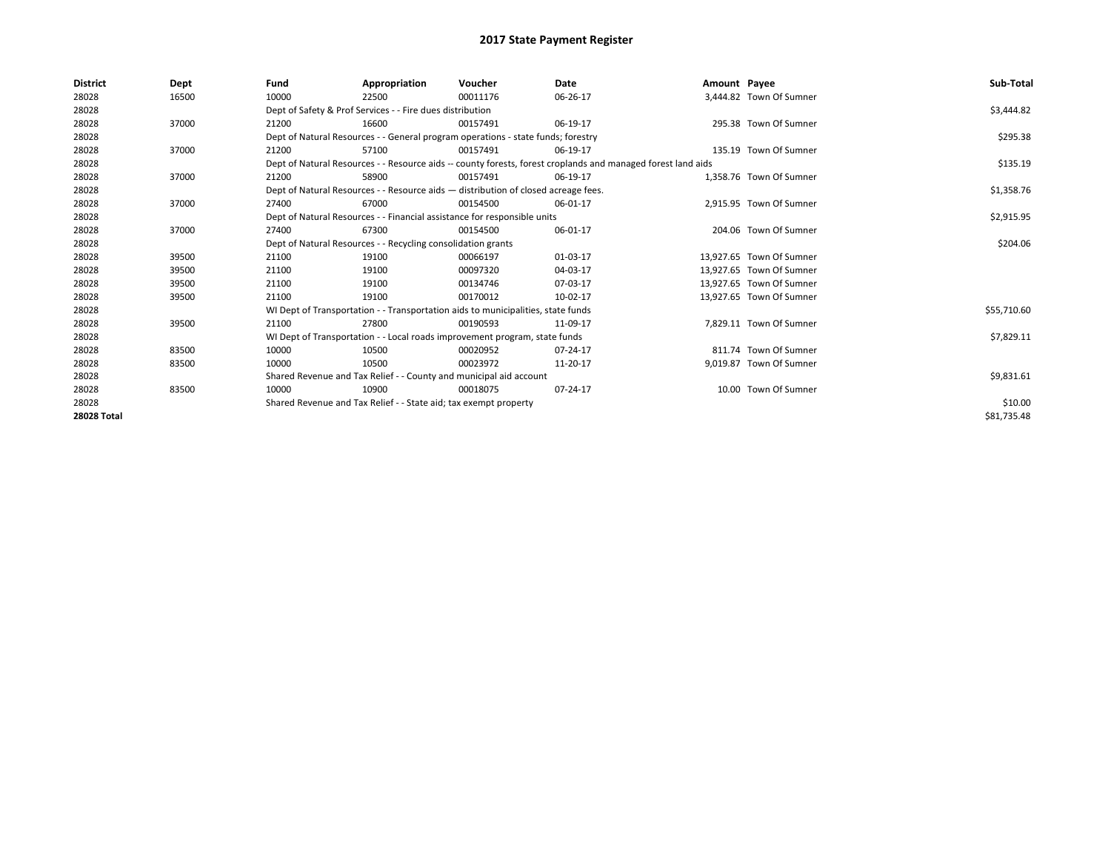| <b>District</b>    | Dept  | Fund  | Appropriation                                                      | Voucher                                                                            | Date                                                                                                         | Amount Payee |                          | Sub-Total   |
|--------------------|-------|-------|--------------------------------------------------------------------|------------------------------------------------------------------------------------|--------------------------------------------------------------------------------------------------------------|--------------|--------------------------|-------------|
| 28028              | 16500 | 10000 | 22500                                                              | 00011176                                                                           | 06-26-17                                                                                                     |              | 3,444.82 Town Of Sumner  |             |
| 28028              |       |       | Dept of Safety & Prof Services - - Fire dues distribution          |                                                                                    |                                                                                                              |              |                          | \$3,444.82  |
| 28028              | 37000 | 21200 | 16600                                                              | 00157491                                                                           | 06-19-17                                                                                                     |              | 295.38 Town Of Sumner    |             |
| 28028              |       |       |                                                                    | Dept of Natural Resources - - General program operations - state funds; forestry   |                                                                                                              |              |                          | \$295.38    |
| 28028              | 37000 | 21200 | 57100                                                              | 00157491                                                                           | 06-19-17                                                                                                     |              | 135.19 Town Of Sumner    |             |
| 28028              |       |       |                                                                    |                                                                                    | Dept of Natural Resources - - Resource aids -- county forests, forest croplands and managed forest land aids |              |                          | \$135.19    |
| 28028              | 37000 | 21200 | 58900                                                              | 00157491                                                                           | 06-19-17                                                                                                     |              | 1,358.76 Town Of Sumner  |             |
| 28028              |       |       |                                                                    | Dept of Natural Resources - - Resource aids - distribution of closed acreage fees. |                                                                                                              |              |                          | \$1,358.76  |
| 28028              | 37000 | 27400 | 67000                                                              | 00154500                                                                           | 06-01-17                                                                                                     |              | 2,915.95 Town Of Sumner  |             |
| 28028              |       |       |                                                                    | Dept of Natural Resources - - Financial assistance for responsible units           |                                                                                                              |              |                          | \$2,915.95  |
| 28028              | 37000 | 27400 | 67300                                                              | 00154500                                                                           | 06-01-17                                                                                                     |              | 204.06 Town Of Sumner    |             |
| 28028              |       |       | Dept of Natural Resources - - Recycling consolidation grants       |                                                                                    |                                                                                                              |              |                          | \$204.06    |
| 28028              | 39500 | 21100 | 19100                                                              | 00066197                                                                           | 01-03-17                                                                                                     |              | 13,927.65 Town Of Sumner |             |
| 28028              | 39500 | 21100 | 19100                                                              | 00097320                                                                           | 04-03-17                                                                                                     |              | 13,927.65 Town Of Sumner |             |
| 28028              | 39500 | 21100 | 19100                                                              | 00134746                                                                           | 07-03-17                                                                                                     |              | 13.927.65 Town Of Sumner |             |
| 28028              | 39500 | 21100 | 19100                                                              | 00170012                                                                           | 10-02-17                                                                                                     |              | 13,927.65 Town Of Sumner |             |
| 28028              |       |       |                                                                    | WI Dept of Transportation - - Transportation aids to municipalities, state funds   |                                                                                                              |              |                          | \$55,710.60 |
| 28028              | 39500 | 21100 | 27800                                                              | 00190593                                                                           | 11-09-17                                                                                                     |              | 7,829.11 Town Of Sumner  |             |
| 28028              |       |       |                                                                    | WI Dept of Transportation - - Local roads improvement program, state funds         |                                                                                                              |              |                          | \$7,829.11  |
| 28028              | 83500 | 10000 | 10500                                                              | 00020952                                                                           | 07-24-17                                                                                                     |              | 811.74 Town Of Sumner    |             |
| 28028              | 83500 | 10000 | 10500                                                              | 00023972                                                                           | 11-20-17                                                                                                     |              | 9,019.87 Town Of Sumner  |             |
| 28028              |       |       | Shared Revenue and Tax Relief - - County and municipal aid account |                                                                                    |                                                                                                              |              |                          | \$9,831.61  |
| 28028              | 83500 | 10000 | 10900                                                              | 00018075                                                                           | 07-24-17                                                                                                     |              | 10.00 Town Of Sumner     |             |
| 28028              |       |       | Shared Revenue and Tax Relief - - State aid; tax exempt property   |                                                                                    |                                                                                                              |              |                          | \$10.00     |
| <b>28028 Total</b> |       |       |                                                                    |                                                                                    |                                                                                                              |              |                          | \$81,735.48 |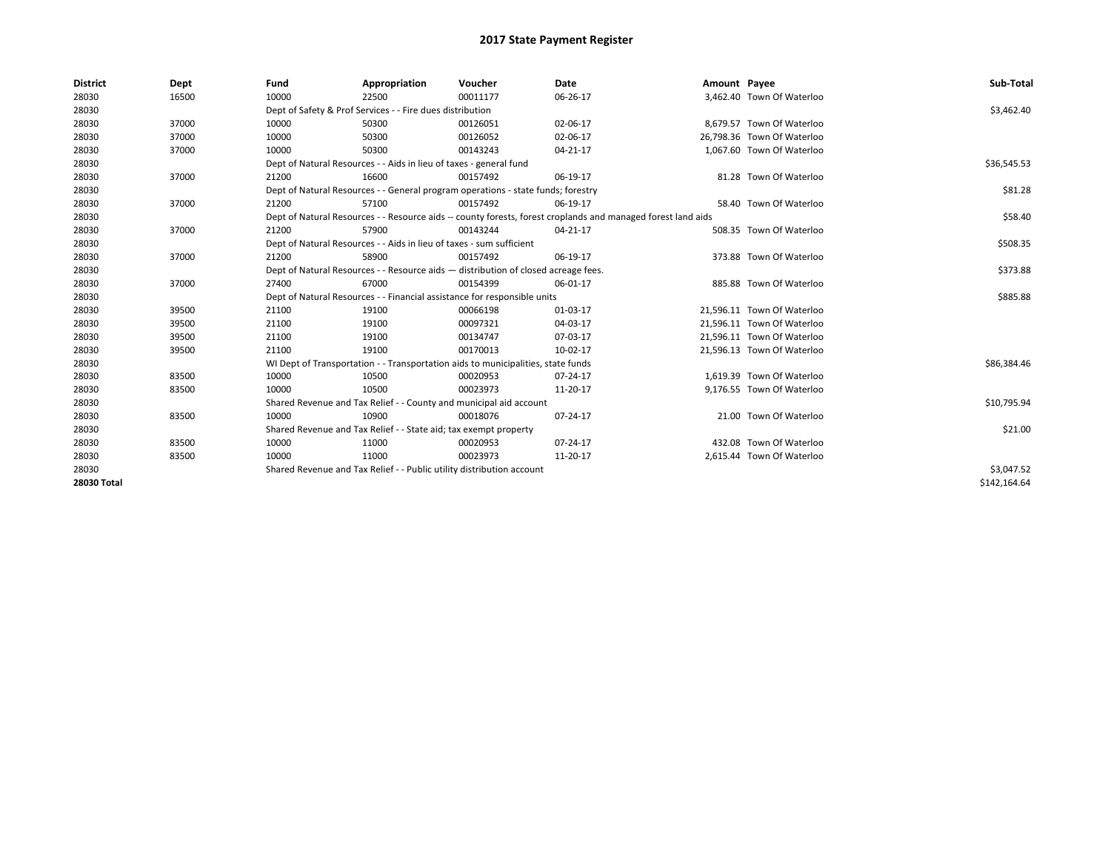| <b>District</b> | Dept  | Fund  | Appropriation                                                                      | Voucher  | Date                                                                                                         | Amount Payee |                            | Sub-Total    |
|-----------------|-------|-------|------------------------------------------------------------------------------------|----------|--------------------------------------------------------------------------------------------------------------|--------------|----------------------------|--------------|
| 28030           | 16500 | 10000 | 22500                                                                              | 00011177 | 06-26-17                                                                                                     |              | 3,462.40 Town Of Waterloo  |              |
| 28030           |       |       | Dept of Safety & Prof Services - - Fire dues distribution                          |          |                                                                                                              |              |                            | \$3,462.40   |
| 28030           | 37000 | 10000 | 50300                                                                              | 00126051 | 02-06-17                                                                                                     |              | 8.679.57 Town Of Waterloo  |              |
| 28030           | 37000 | 10000 | 50300                                                                              | 00126052 | 02-06-17                                                                                                     |              | 26,798.36 Town Of Waterloo |              |
| 28030           | 37000 | 10000 | 50300                                                                              | 00143243 | 04-21-17                                                                                                     |              | 1,067.60 Town Of Waterloo  |              |
| 28030           |       |       | Dept of Natural Resources - - Aids in lieu of taxes - general fund                 |          |                                                                                                              |              |                            | \$36,545.53  |
| 28030           | 37000 | 21200 | 16600                                                                              | 00157492 | 06-19-17                                                                                                     |              | 81.28 Town Of Waterloo     |              |
| 28030           |       |       | Dept of Natural Resources - - General program operations - state funds; forestry   |          |                                                                                                              |              |                            | \$81.28      |
| 28030           | 37000 | 21200 | 57100                                                                              | 00157492 | 06-19-17                                                                                                     |              | 58.40 Town Of Waterloo     |              |
| 28030           |       |       |                                                                                    |          | Dept of Natural Resources - - Resource aids -- county forests, forest croplands and managed forest land aids |              |                            | \$58.40      |
| 28030           | 37000 | 21200 | 57900                                                                              | 00143244 | 04-21-17                                                                                                     |              | 508.35 Town Of Waterloo    |              |
| 28030           |       |       | Dept of Natural Resources - - Aids in lieu of taxes - sum sufficient               |          |                                                                                                              |              |                            | \$508.35     |
| 28030           | 37000 | 21200 | 58900                                                                              | 00157492 | 06-19-17                                                                                                     |              | 373.88 Town Of Waterloo    |              |
| 28030           |       |       | Dept of Natural Resources - - Resource aids - distribution of closed acreage fees. |          |                                                                                                              |              |                            | \$373.88     |
| 28030           | 37000 | 27400 | 67000                                                                              | 00154399 | 06-01-17                                                                                                     |              | 885.88 Town Of Waterloo    |              |
| 28030           |       |       | Dept of Natural Resources - - Financial assistance for responsible units           |          |                                                                                                              |              |                            | \$885.88     |
| 28030           | 39500 | 21100 | 19100                                                                              | 00066198 | 01-03-17                                                                                                     |              | 21,596.11 Town Of Waterloo |              |
| 28030           | 39500 | 21100 | 19100                                                                              | 00097321 | 04-03-17                                                                                                     |              | 21,596.11 Town Of Waterloo |              |
| 28030           | 39500 | 21100 | 19100                                                                              | 00134747 | 07-03-17                                                                                                     |              | 21,596.11 Town Of Waterloo |              |
| 28030           | 39500 | 21100 | 19100                                                                              | 00170013 | 10-02-17                                                                                                     |              | 21,596.13 Town Of Waterloo |              |
| 28030           |       |       | WI Dept of Transportation - - Transportation aids to municipalities, state funds   |          |                                                                                                              |              |                            | \$86,384.46  |
| 28030           | 83500 | 10000 | 10500                                                                              | 00020953 | 07-24-17                                                                                                     |              | 1.619.39 Town Of Waterloo  |              |
| 28030           | 83500 | 10000 | 10500                                                                              | 00023973 | 11-20-17                                                                                                     |              | 9,176.55 Town Of Waterloo  |              |
| 28030           |       |       | Shared Revenue and Tax Relief - - County and municipal aid account                 |          |                                                                                                              |              |                            | \$10,795.94  |
| 28030           | 83500 | 10000 | 10900                                                                              | 00018076 | 07-24-17                                                                                                     |              | 21.00 Town Of Waterloo     |              |
| 28030           |       |       | Shared Revenue and Tax Relief - - State aid; tax exempt property                   |          |                                                                                                              |              |                            | \$21.00      |
| 28030           | 83500 | 10000 | 11000                                                                              | 00020953 | $07 - 24 - 17$                                                                                               |              | 432.08 Town Of Waterloo    |              |
| 28030           | 83500 | 10000 | 11000                                                                              | 00023973 | 11-20-17                                                                                                     |              | 2,615.44 Town Of Waterloo  |              |
| 28030           |       |       | Shared Revenue and Tax Relief - - Public utility distribution account              |          |                                                                                                              |              |                            | \$3,047.52   |
| 28030 Total     |       |       |                                                                                    |          |                                                                                                              |              |                            | \$142,164.64 |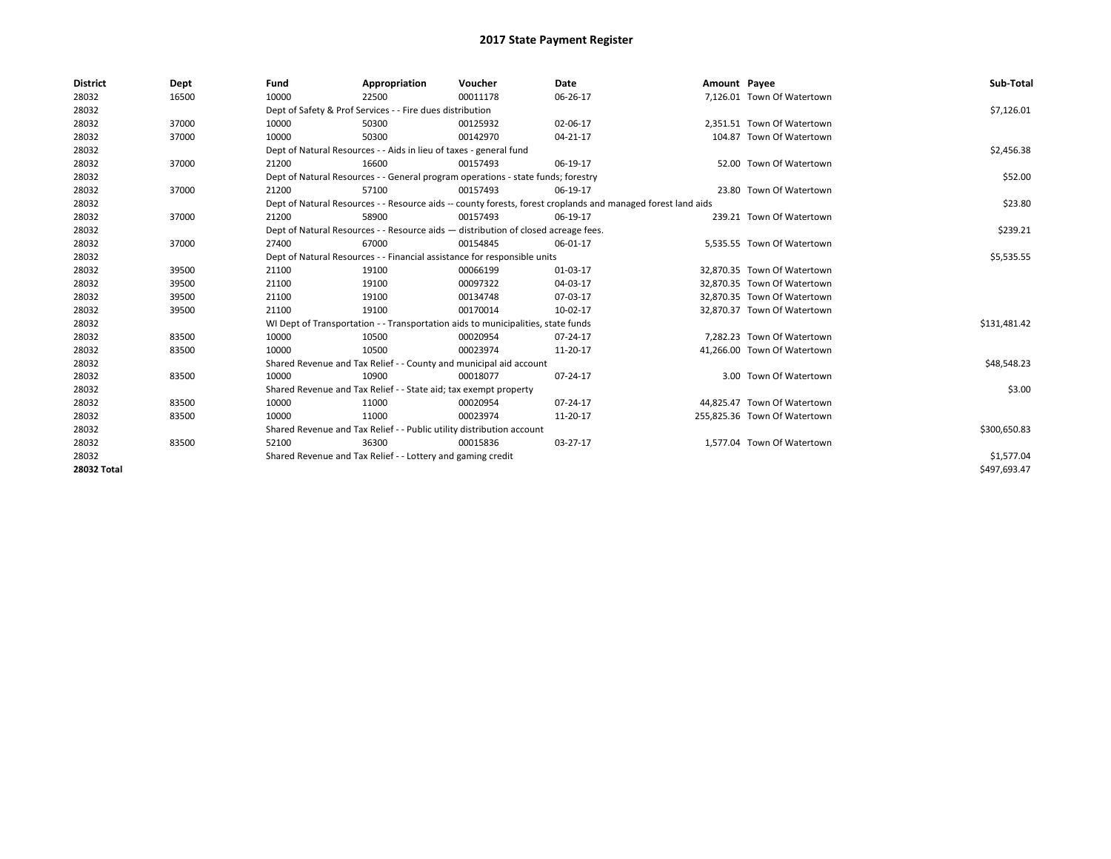| <b>District</b> | Dept  | Fund                                                                     | Appropriation                                                                      | Voucher    | Date                                                                                                         | Amount Payee |                              | Sub-Total    |
|-----------------|-------|--------------------------------------------------------------------------|------------------------------------------------------------------------------------|------------|--------------------------------------------------------------------------------------------------------------|--------------|------------------------------|--------------|
| 28032           | 16500 | 10000                                                                    | 22500                                                                              | 00011178   | 06-26-17                                                                                                     |              | 7,126.01 Town Of Watertown   |              |
| 28032           |       |                                                                          | Dept of Safety & Prof Services - - Fire dues distribution                          |            |                                                                                                              |              |                              | \$7,126.01   |
| 28032           | 37000 | 10000                                                                    | 50300                                                                              | 00125932   | 02-06-17                                                                                                     |              | 2,351.51 Town Of Watertown   |              |
| 28032           | 37000 | 10000                                                                    | 50300                                                                              | 00142970   | 04-21-17                                                                                                     |              | 104.87 Town Of Watertown     |              |
| 28032           |       |                                                                          | Dept of Natural Resources - - Aids in lieu of taxes - general fund                 |            |                                                                                                              |              |                              | \$2,456.38   |
| 28032           | 37000 | 21200                                                                    | 16600                                                                              | 00157493   | 06-19-17                                                                                                     |              | 52.00 Town Of Watertown      |              |
| 28032           |       |                                                                          | Dept of Natural Resources - - General program operations - state funds; forestry   |            |                                                                                                              |              |                              | \$52.00      |
| 28032           | 37000 | 21200                                                                    | 57100                                                                              | 00157493   | 06-19-17                                                                                                     |              | 23.80 Town Of Watertown      |              |
| 28032           |       |                                                                          |                                                                                    |            | Dept of Natural Resources - - Resource aids -- county forests, forest croplands and managed forest land aids |              |                              | \$23.80      |
| 28032           | 37000 | 21200                                                                    | 58900                                                                              | 00157493   | 06-19-17                                                                                                     |              | 239.21 Town Of Watertown     |              |
| 28032           |       |                                                                          | Dept of Natural Resources - - Resource aids - distribution of closed acreage fees. |            |                                                                                                              |              |                              | \$239.21     |
| 28032           | 37000 | 27400                                                                    | 67000                                                                              | 00154845   | 06-01-17                                                                                                     |              | 5,535.55 Town Of Watertown   |              |
| 28032           |       | Dept of Natural Resources - - Financial assistance for responsible units |                                                                                    | \$5,535.55 |                                                                                                              |              |                              |              |
| 28032           | 39500 | 21100                                                                    | 19100                                                                              | 00066199   | 01-03-17                                                                                                     |              | 32,870.35 Town Of Watertown  |              |
| 28032           | 39500 | 21100                                                                    | 19100                                                                              | 00097322   | 04-03-17                                                                                                     |              | 32.870.35 Town Of Watertown  |              |
| 28032           | 39500 | 21100                                                                    | 19100                                                                              | 00134748   | 07-03-17                                                                                                     |              | 32,870.35 Town Of Watertown  |              |
| 28032           | 39500 | 21100                                                                    | 19100                                                                              | 00170014   | 10-02-17                                                                                                     |              | 32.870.37 Town Of Watertown  |              |
| 28032           |       |                                                                          | WI Dept of Transportation - - Transportation aids to municipalities, state funds   |            |                                                                                                              |              |                              | \$131,481.42 |
| 28032           | 83500 | 10000                                                                    | 10500                                                                              | 00020954   | 07-24-17                                                                                                     |              | 7.282.23 Town Of Watertown   |              |
| 28032           | 83500 | 10000                                                                    | 10500                                                                              | 00023974   | 11-20-17                                                                                                     |              | 41,266.00 Town Of Watertown  |              |
| 28032           |       |                                                                          | Shared Revenue and Tax Relief - - County and municipal aid account                 |            |                                                                                                              |              |                              | \$48,548.23  |
| 28032           | 83500 | 10000                                                                    | 10900                                                                              | 00018077   | 07-24-17                                                                                                     |              | 3.00 Town Of Watertown       |              |
| 28032           |       |                                                                          | Shared Revenue and Tax Relief - - State aid; tax exempt property                   |            |                                                                                                              |              |                              | \$3.00       |
| 28032           | 83500 | 10000                                                                    | 11000                                                                              | 00020954   | 07-24-17                                                                                                     |              | 44,825.47 Town Of Watertown  |              |
| 28032           | 83500 | 10000                                                                    | 11000                                                                              | 00023974   | 11-20-17                                                                                                     |              | 255,825.36 Town Of Watertown |              |
| 28032           |       |                                                                          | Shared Revenue and Tax Relief - - Public utility distribution account              |            |                                                                                                              |              |                              | \$300,650.83 |
| 28032           | 83500 | 52100                                                                    | 36300                                                                              | 00015836   | 03-27-17                                                                                                     |              | 1,577.04 Town Of Watertown   |              |
| 28032           |       |                                                                          | Shared Revenue and Tax Relief - - Lottery and gaming credit                        |            |                                                                                                              |              |                              | \$1,577.04   |
| 28032 Total     |       |                                                                          |                                                                                    |            |                                                                                                              |              |                              | \$497,693.47 |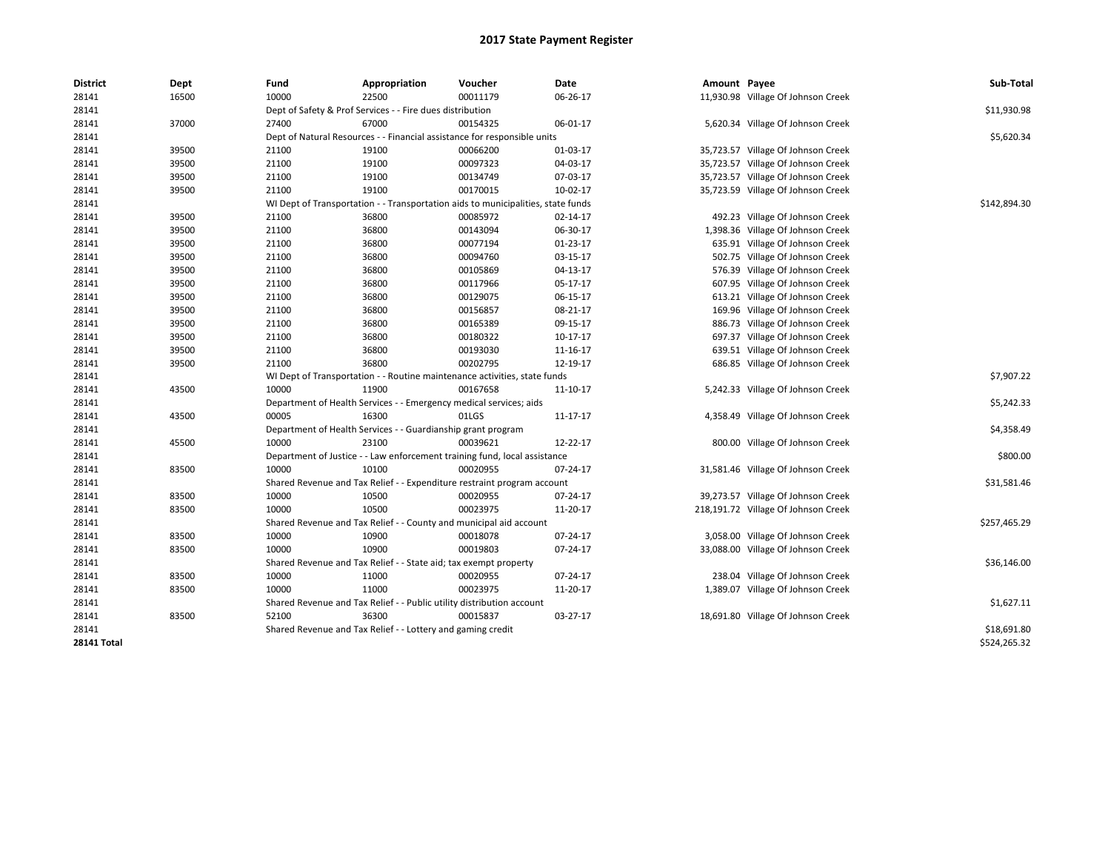| <b>District</b>    | Dept  | Fund  | Appropriation                                                                    | Voucher  | <b>Date</b> | Amount Payee |                                     | Sub-Total    |
|--------------------|-------|-------|----------------------------------------------------------------------------------|----------|-------------|--------------|-------------------------------------|--------------|
| 28141              | 16500 | 10000 | 22500                                                                            | 00011179 | 06-26-17    |              | 11,930.98 Village Of Johnson Creek  |              |
| 28141              |       |       | Dept of Safety & Prof Services - - Fire dues distribution                        |          |             |              |                                     | \$11,930.98  |
| 28141              | 37000 | 27400 | 67000                                                                            | 00154325 | 06-01-17    |              | 5,620.34 Village Of Johnson Creek   |              |
| 28141              |       |       | Dept of Natural Resources - - Financial assistance for responsible units         |          |             |              |                                     | \$5,620.34   |
| 28141              | 39500 | 21100 | 19100                                                                            | 00066200 | 01-03-17    |              | 35,723.57 Village Of Johnson Creek  |              |
| 28141              | 39500 | 21100 | 19100                                                                            | 00097323 | 04-03-17    |              | 35,723.57 Village Of Johnson Creek  |              |
| 28141              | 39500 | 21100 | 19100                                                                            | 00134749 | 07-03-17    |              | 35,723.57 Village Of Johnson Creek  |              |
| 28141              | 39500 | 21100 | 19100                                                                            | 00170015 | 10-02-17    |              | 35,723.59 Village Of Johnson Creek  |              |
| 28141              |       |       | WI Dept of Transportation - - Transportation aids to municipalities, state funds |          |             |              |                                     | \$142,894.30 |
| 28141              | 39500 | 21100 | 36800                                                                            | 00085972 | 02-14-17    |              | 492.23 Village Of Johnson Creek     |              |
| 28141              | 39500 | 21100 | 36800                                                                            | 00143094 | 06-30-17    |              | 1,398.36 Village Of Johnson Creek   |              |
| 28141              | 39500 | 21100 | 36800                                                                            | 00077194 | $01-23-17$  |              | 635.91 Village Of Johnson Creek     |              |
| 28141              | 39500 | 21100 | 36800                                                                            | 00094760 | 03-15-17    |              | 502.75 Village Of Johnson Creek     |              |
| 28141              | 39500 | 21100 | 36800                                                                            | 00105869 | 04-13-17    |              | 576.39 Village Of Johnson Creek     |              |
| 28141              | 39500 | 21100 | 36800                                                                            | 00117966 | 05-17-17    |              | 607.95 Village Of Johnson Creek     |              |
| 28141              | 39500 | 21100 | 36800                                                                            | 00129075 | 06-15-17    |              | 613.21 Village Of Johnson Creek     |              |
| 28141              | 39500 | 21100 | 36800                                                                            | 00156857 | 08-21-17    |              | 169.96 Village Of Johnson Creek     |              |
| 28141              | 39500 | 21100 | 36800                                                                            | 00165389 | 09-15-17    |              | 886.73 Village Of Johnson Creek     |              |
| 28141              | 39500 | 21100 | 36800                                                                            | 00180322 | 10-17-17    |              | 697.37 Village Of Johnson Creek     |              |
| 28141              | 39500 | 21100 | 36800                                                                            | 00193030 | 11-16-17    |              | 639.51 Village Of Johnson Creek     |              |
| 28141              | 39500 | 21100 | 36800                                                                            | 00202795 | 12-19-17    |              | 686.85 Village Of Johnson Creek     |              |
| 28141              |       |       | WI Dept of Transportation - - Routine maintenance activities, state funds        |          |             |              |                                     | \$7,907.22   |
| 28141              | 43500 | 10000 | 11900                                                                            | 00167658 | 11-10-17    |              | 5,242.33 Village Of Johnson Creek   |              |
| 28141              |       |       | Department of Health Services - - Emergency medical services; aids               |          |             |              |                                     | \$5,242.33   |
| 28141              | 43500 | 00005 | 16300                                                                            | 01LGS    | 11-17-17    |              | 4,358.49 Village Of Johnson Creek   |              |
| 28141              |       |       | Department of Health Services - - Guardianship grant program                     |          |             |              |                                     | \$4,358.49   |
| 28141              | 45500 | 10000 | 23100                                                                            | 00039621 | 12-22-17    |              | 800.00 Village Of Johnson Creek     |              |
| 28141              |       |       | Department of Justice - - Law enforcement training fund, local assistance        |          |             |              |                                     | \$800.00     |
| 28141              | 83500 | 10000 | 10100                                                                            | 00020955 | 07-24-17    |              | 31,581.46 Village Of Johnson Creek  |              |
| 28141              |       |       | Shared Revenue and Tax Relief - - Expenditure restraint program account          |          |             |              |                                     | \$31,581.46  |
| 28141              | 83500 | 10000 | 10500                                                                            | 00020955 | 07-24-17    |              | 39,273.57 Village Of Johnson Creek  |              |
| 28141              | 83500 | 10000 | 10500                                                                            | 00023975 | 11-20-17    |              | 218,191.72 Village Of Johnson Creek |              |
| 28141              |       |       | Shared Revenue and Tax Relief - - County and municipal aid account               |          |             |              |                                     | \$257,465.29 |
| 28141              | 83500 | 10000 | 10900                                                                            | 00018078 | 07-24-17    |              | 3,058.00 Village Of Johnson Creek   |              |
| 28141              | 83500 | 10000 | 10900                                                                            | 00019803 | 07-24-17    |              | 33,088.00 Village Of Johnson Creek  |              |
| 28141              |       |       | Shared Revenue and Tax Relief - - State aid; tax exempt property                 |          |             |              |                                     | \$36,146.00  |
| 28141              | 83500 | 10000 | 11000                                                                            | 00020955 | 07-24-17    |              | 238.04 Village Of Johnson Creek     |              |
| 28141              | 83500 | 10000 | 11000                                                                            | 00023975 | 11-20-17    |              | 1,389.07 Village Of Johnson Creek   |              |
| 28141              |       |       | Shared Revenue and Tax Relief - - Public utility distribution account            |          |             |              |                                     | \$1,627.11   |
| 28141              | 83500 | 52100 | 36300                                                                            | 00015837 | 03-27-17    |              | 18,691.80 Village Of Johnson Creek  |              |
| 28141              |       |       | Shared Revenue and Tax Relief - - Lottery and gaming credit                      |          |             |              |                                     | \$18,691.80  |
| <b>28141 Total</b> |       |       |                                                                                  |          |             |              |                                     | \$524,265.32 |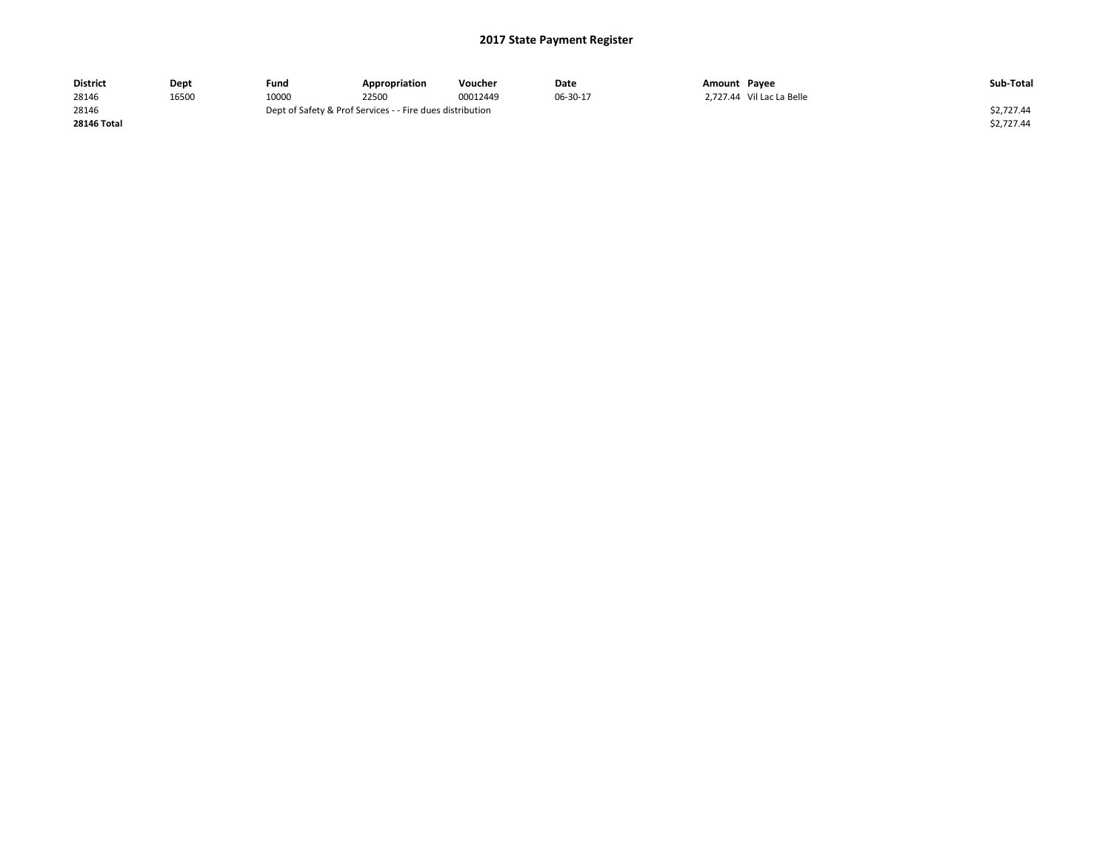| <b>District</b>    | Dept  | Fund  | Appropriation                                             | Voucher  | Date     | Amount Payee              | Sub-Total  |  |
|--------------------|-------|-------|-----------------------------------------------------------|----------|----------|---------------------------|------------|--|
| 28146              | 16500 | 10000 | 22500                                                     | 00012449 | 06-30-17 | 2.727.44 Vil Lac La Belle |            |  |
| 28146              |       |       | Dept of Safety & Prof Services - - Fire dues distribution |          |          |                           |            |  |
| <b>28146 Total</b> |       |       |                                                           |          |          |                           | \$2,727.44 |  |
|                    |       |       |                                                           |          |          |                           |            |  |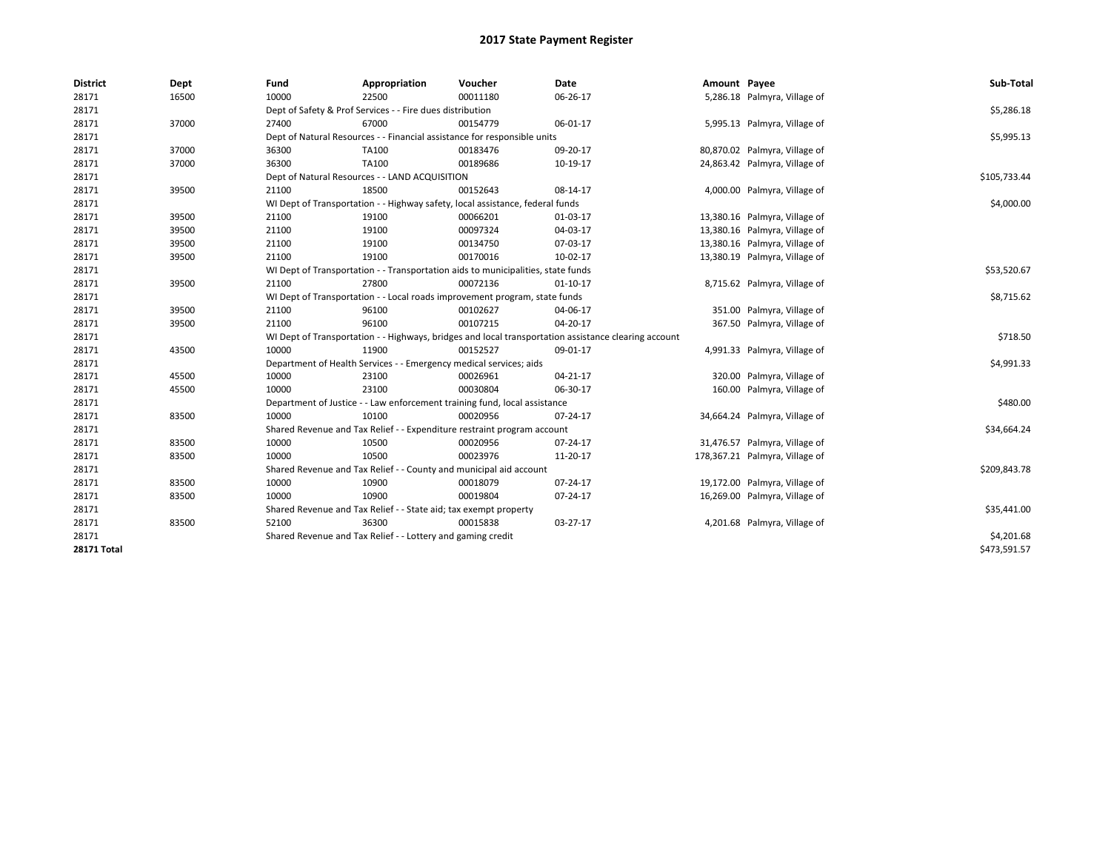| <b>District</b>    | Dept  | Fund  | Appropriation                                                                                        | Voucher  | <b>Date</b> | Amount Payee |                                | Sub-Total    |
|--------------------|-------|-------|------------------------------------------------------------------------------------------------------|----------|-------------|--------------|--------------------------------|--------------|
| 28171              | 16500 | 10000 | 22500                                                                                                | 00011180 | 06-26-17    |              | 5,286.18 Palmyra, Village of   |              |
| 28171              |       |       | Dept of Safety & Prof Services - - Fire dues distribution                                            |          |             |              |                                | \$5,286.18   |
| 28171              | 37000 | 27400 | 67000                                                                                                | 00154779 | 06-01-17    |              | 5,995.13 Palmyra, Village of   |              |
| 28171              |       |       | Dept of Natural Resources - - Financial assistance for responsible units                             |          |             |              |                                | \$5,995.13   |
| 28171              | 37000 | 36300 | TA100                                                                                                | 00183476 | 09-20-17    |              | 80,870.02 Palmyra, Village of  |              |
| 28171              | 37000 | 36300 | <b>TA100</b>                                                                                         | 00189686 | 10-19-17    |              | 24,863.42 Palmyra, Village of  |              |
| 28171              |       |       | Dept of Natural Resources - - LAND ACQUISITION                                                       |          |             |              |                                | \$105,733.44 |
| 28171              | 39500 | 21100 | 18500                                                                                                | 00152643 | 08-14-17    |              | 4,000.00 Palmyra, Village of   |              |
| 28171              |       |       | WI Dept of Transportation - - Highway safety, local assistance, federal funds                        |          |             |              |                                | \$4,000.00   |
| 28171              | 39500 | 21100 | 19100                                                                                                | 00066201 | 01-03-17    |              | 13,380.16 Palmyra, Village of  |              |
| 28171              | 39500 | 21100 | 19100                                                                                                | 00097324 | 04-03-17    |              | 13,380.16 Palmyra, Village of  |              |
| 28171              | 39500 | 21100 | 19100                                                                                                | 00134750 | 07-03-17    |              | 13,380.16 Palmyra, Village of  |              |
| 28171              | 39500 | 21100 | 19100                                                                                                | 00170016 | 10-02-17    |              | 13,380.19 Palmyra, Village of  |              |
| 28171              |       |       | WI Dept of Transportation - - Transportation aids to municipalities, state funds                     |          |             |              |                                | \$53,520.67  |
| 28171              | 39500 | 21100 | 27800                                                                                                | 00072136 | $01-10-17$  |              | 8,715.62 Palmyra, Village of   |              |
| 28171              |       |       | WI Dept of Transportation - - Local roads improvement program, state funds                           |          |             |              |                                | \$8,715.62   |
| 28171              | 39500 | 21100 | 96100                                                                                                | 00102627 | 04-06-17    |              | 351.00 Palmyra, Village of     |              |
| 28171              | 39500 | 21100 | 96100                                                                                                | 00107215 | 04-20-17    |              | 367.50 Palmyra, Village of     |              |
| 28171              |       |       | WI Dept of Transportation - - Highways, bridges and local transportation assistance clearing account |          |             |              |                                | \$718.50     |
| 28171              | 43500 | 10000 | 11900                                                                                                | 00152527 | 09-01-17    |              | 4,991.33 Palmyra, Village of   |              |
| 28171              |       |       | Department of Health Services - - Emergency medical services; aids                                   |          |             |              |                                | \$4,991.33   |
| 28171              | 45500 | 10000 | 23100                                                                                                | 00026961 | 04-21-17    |              | 320.00 Palmyra, Village of     |              |
| 28171              | 45500 | 10000 | 23100                                                                                                | 00030804 | 06-30-17    |              | 160.00 Palmyra, Village of     |              |
| 28171              |       |       | Department of Justice - - Law enforcement training fund, local assistance                            |          |             |              |                                | \$480.00     |
| 28171              | 83500 | 10000 | 10100                                                                                                | 00020956 | 07-24-17    |              | 34,664.24 Palmyra, Village of  |              |
| 28171              |       |       | Shared Revenue and Tax Relief - - Expenditure restraint program account                              |          |             |              |                                | \$34,664.24  |
| 28171              | 83500 | 10000 | 10500                                                                                                | 00020956 | 07-24-17    |              | 31,476.57 Palmyra, Village of  |              |
| 28171              | 83500 | 10000 | 10500                                                                                                | 00023976 | 11-20-17    |              | 178,367.21 Palmyra, Village of |              |
| 28171              |       |       | Shared Revenue and Tax Relief - - County and municipal aid account                                   |          |             |              |                                | \$209,843.78 |
| 28171              | 83500 | 10000 | 10900                                                                                                | 00018079 | 07-24-17    |              | 19,172.00 Palmyra, Village of  |              |
| 28171              | 83500 | 10000 | 10900                                                                                                | 00019804 | 07-24-17    |              | 16,269.00 Palmyra, Village of  |              |
| 28171              |       |       | Shared Revenue and Tax Relief - - State aid; tax exempt property                                     |          |             |              |                                | \$35,441.00  |
| 28171              | 83500 | 52100 | 36300                                                                                                | 00015838 | 03-27-17    |              | 4,201.68 Palmyra, Village of   |              |
| 28171              |       |       | Shared Revenue and Tax Relief - - Lottery and gaming credit                                          |          |             |              |                                | \$4,201.68   |
| <b>28171 Total</b> |       |       |                                                                                                      |          |             |              |                                | \$473,591.57 |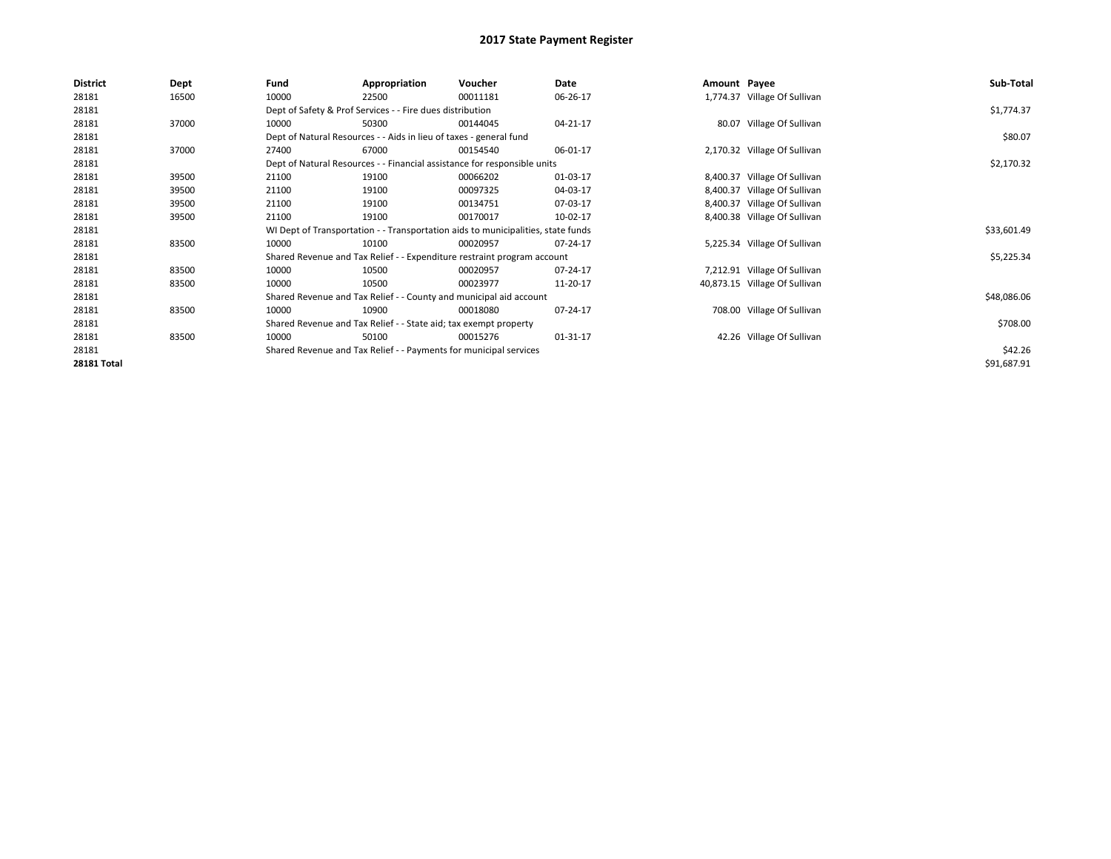| <b>District</b> | Dept  | Fund  | Appropriation                                                      | Voucher                                                                          | Date     | Amount Payee |                               | Sub-Total   |
|-----------------|-------|-------|--------------------------------------------------------------------|----------------------------------------------------------------------------------|----------|--------------|-------------------------------|-------------|
| 28181           | 16500 | 10000 | 22500                                                              | 00011181                                                                         | 06-26-17 |              | 1,774.37 Village Of Sullivan  |             |
| 28181           |       |       | Dept of Safety & Prof Services - - Fire dues distribution          |                                                                                  |          |              |                               | \$1,774.37  |
| 28181           | 37000 | 10000 | 50300                                                              | 00144045                                                                         | 04-21-17 |              | 80.07 Village Of Sullivan     |             |
| 28181           |       |       | Dept of Natural Resources - - Aids in lieu of taxes - general fund |                                                                                  |          |              |                               | \$80.07     |
| 28181           | 37000 | 27400 | 67000                                                              | 00154540                                                                         | 06-01-17 |              | 2,170.32 Village Of Sullivan  |             |
| 28181           |       |       |                                                                    | Dept of Natural Resources - - Financial assistance for responsible units         |          |              |                               | \$2,170.32  |
| 28181           | 39500 | 21100 | 19100                                                              | 00066202                                                                         | 01-03-17 |              | 8,400.37 Village Of Sullivan  |             |
| 28181           | 39500 | 21100 | 19100                                                              | 00097325                                                                         | 04-03-17 |              | 8,400.37 Village Of Sullivan  |             |
| 28181           | 39500 | 21100 | 19100                                                              | 00134751                                                                         | 07-03-17 |              | 8,400.37 Village Of Sullivan  |             |
| 28181           | 39500 | 21100 | 19100                                                              | 00170017                                                                         | 10-02-17 |              | 8,400.38 Village Of Sullivan  |             |
| 28181           |       |       |                                                                    | WI Dept of Transportation - - Transportation aids to municipalities, state funds |          |              |                               | \$33,601.49 |
| 28181           | 83500 | 10000 | 10100                                                              | 00020957                                                                         | 07-24-17 |              | 5,225.34 Village Of Sullivan  |             |
| 28181           |       |       |                                                                    | Shared Revenue and Tax Relief - - Expenditure restraint program account          |          |              |                               | \$5,225.34  |
| 28181           | 83500 | 10000 | 10500                                                              | 00020957                                                                         | 07-24-17 |              | 7,212.91 Village Of Sullivan  |             |
| 28181           | 83500 | 10000 | 10500                                                              | 00023977                                                                         | 11-20-17 |              | 40,873.15 Village Of Sullivan |             |
| 28181           |       |       |                                                                    | Shared Revenue and Tax Relief - - County and municipal aid account               |          |              |                               | \$48,086.06 |
| 28181           | 83500 | 10000 | 10900                                                              | 00018080                                                                         | 07-24-17 |              | 708.00 Village Of Sullivan    |             |
| 28181           |       |       | Shared Revenue and Tax Relief - - State aid; tax exempt property   |                                                                                  |          |              |                               | \$708.00    |
| 28181           | 83500 | 10000 | 50100                                                              | 00015276                                                                         | 01-31-17 |              | 42.26 Village Of Sullivan     |             |
| 28181           |       |       | Shared Revenue and Tax Relief - - Payments for municipal services  |                                                                                  |          |              |                               | \$42.26     |
| 28181 Total     |       |       |                                                                    |                                                                                  |          |              |                               | \$91,687.91 |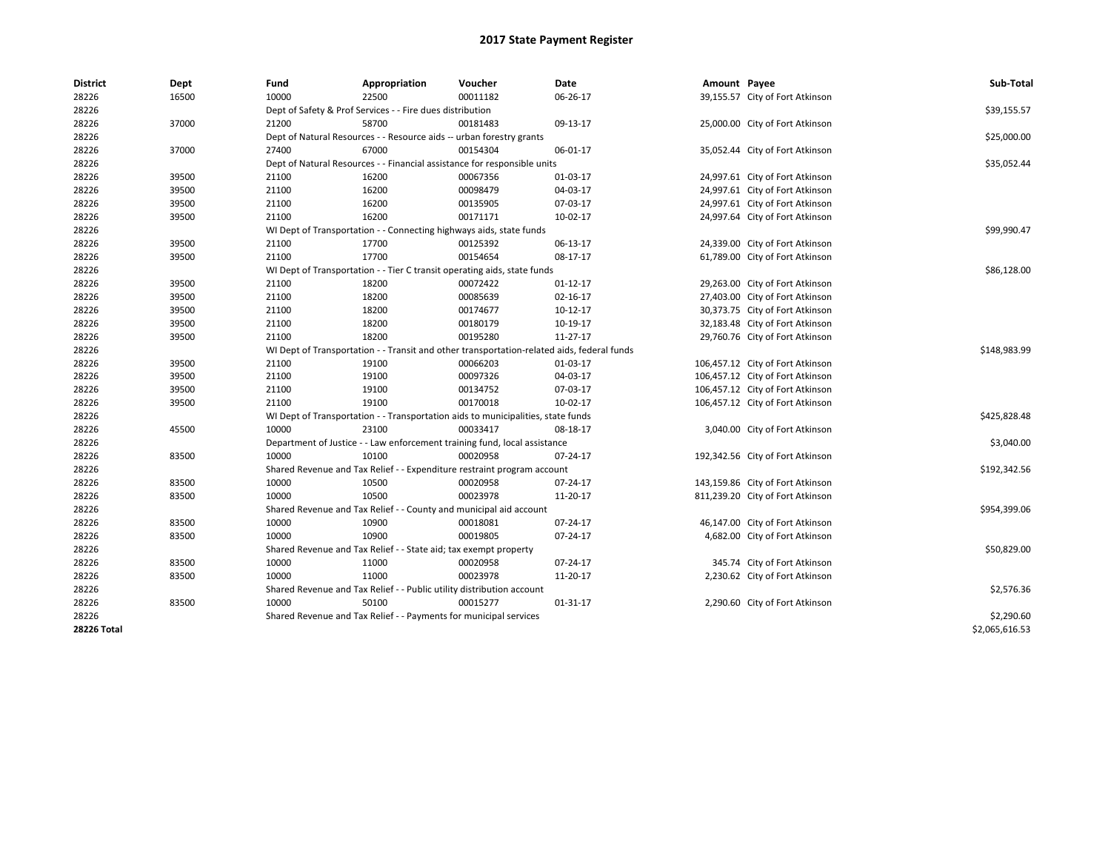| <b>District</b> | Dept  | Fund  | Appropriation                                                                              | Voucher  | Date           | Amount Payee |                                  | Sub-Total      |
|-----------------|-------|-------|--------------------------------------------------------------------------------------------|----------|----------------|--------------|----------------------------------|----------------|
| 28226           | 16500 | 10000 | 22500                                                                                      | 00011182 | 06-26-17       |              | 39,155.57 City of Fort Atkinson  |                |
| 28226           |       |       | Dept of Safety & Prof Services - - Fire dues distribution                                  |          |                |              |                                  | \$39,155.57    |
| 28226           | 37000 | 21200 | 58700                                                                                      | 00181483 | 09-13-17       |              | 25,000.00 City of Fort Atkinson  |                |
| 28226           |       |       | Dept of Natural Resources - - Resource aids -- urban forestry grants                       |          |                |              |                                  | \$25,000.00    |
| 28226           | 37000 | 27400 | 67000                                                                                      | 00154304 | 06-01-17       |              | 35,052.44 City of Fort Atkinson  |                |
| 28226           |       |       | Dept of Natural Resources - - Financial assistance for responsible units                   |          |                |              |                                  | \$35,052.44    |
| 28226           | 39500 | 21100 | 16200                                                                                      | 00067356 | 01-03-17       |              | 24,997.61 City of Fort Atkinson  |                |
| 28226           | 39500 | 21100 | 16200                                                                                      | 00098479 | 04-03-17       |              | 24,997.61 City of Fort Atkinson  |                |
| 28226           | 39500 | 21100 | 16200                                                                                      | 00135905 | 07-03-17       |              | 24,997.61 City of Fort Atkinson  |                |
| 28226           | 39500 | 21100 | 16200                                                                                      | 00171171 | 10-02-17       |              | 24,997.64 City of Fort Atkinson  |                |
| 28226           |       |       | WI Dept of Transportation - - Connecting highways aids, state funds                        |          |                |              |                                  | \$99,990.47    |
| 28226           | 39500 | 21100 | 17700                                                                                      | 00125392 | 06-13-17       |              | 24,339.00 City of Fort Atkinson  |                |
| 28226           | 39500 | 21100 | 17700                                                                                      | 00154654 | 08-17-17       |              | 61,789.00 City of Fort Atkinson  |                |
| 28226           |       |       | WI Dept of Transportation - - Tier C transit operating aids, state funds                   |          |                |              |                                  | \$86,128.00    |
| 28226           | 39500 | 21100 | 18200                                                                                      | 00072422 | $01 - 12 - 17$ |              | 29,263.00 City of Fort Atkinson  |                |
| 28226           | 39500 | 21100 | 18200                                                                                      | 00085639 | 02-16-17       |              | 27,403.00 City of Fort Atkinson  |                |
| 28226           | 39500 | 21100 | 18200                                                                                      | 00174677 | $10-12-17$     |              | 30,373.75 City of Fort Atkinson  |                |
| 28226           | 39500 | 21100 | 18200                                                                                      | 00180179 | 10-19-17       |              | 32,183.48 City of Fort Atkinson  |                |
| 28226           | 39500 | 21100 | 18200                                                                                      | 00195280 | 11-27-17       |              | 29,760.76 City of Fort Atkinson  |                |
| 28226           |       |       | WI Dept of Transportation - - Transit and other transportation-related aids, federal funds |          |                |              |                                  | \$148,983.99   |
| 28226           | 39500 | 21100 | 19100                                                                                      | 00066203 | 01-03-17       |              | 106,457.12 City of Fort Atkinson |                |
| 28226           | 39500 | 21100 | 19100                                                                                      | 00097326 | 04-03-17       |              | 106,457.12 City of Fort Atkinson |                |
| 28226           | 39500 | 21100 | 19100                                                                                      | 00134752 | 07-03-17       |              | 106,457.12 City of Fort Atkinson |                |
| 28226           | 39500 | 21100 | 19100                                                                                      | 00170018 | 10-02-17       |              | 106,457.12 City of Fort Atkinson |                |
| 28226           |       |       | WI Dept of Transportation - - Transportation aids to municipalities, state funds           |          |                |              |                                  | \$425,828.48   |
| 28226           | 45500 | 10000 | 23100                                                                                      | 00033417 | 08-18-17       |              | 3,040.00 City of Fort Atkinson   |                |
| 28226           |       |       | Department of Justice - - Law enforcement training fund, local assistance                  |          |                |              |                                  | \$3,040.00     |
| 28226           | 83500 | 10000 | 10100                                                                                      | 00020958 | 07-24-17       |              | 192,342.56 City of Fort Atkinson |                |
| 28226           |       |       | Shared Revenue and Tax Relief - - Expenditure restraint program account                    |          |                |              |                                  | \$192,342.56   |
| 28226           | 83500 | 10000 | 10500                                                                                      | 00020958 | 07-24-17       |              | 143,159.86 City of Fort Atkinson |                |
| 28226           | 83500 | 10000 | 10500                                                                                      | 00023978 | 11-20-17       |              | 811,239.20 City of Fort Atkinson |                |
| 28226           |       |       | Shared Revenue and Tax Relief - - County and municipal aid account                         |          |                |              |                                  | \$954,399.06   |
| 28226           | 83500 | 10000 | 10900                                                                                      | 00018081 | 07-24-17       |              | 46,147.00 City of Fort Atkinson  |                |
| 28226           | 83500 | 10000 | 10900                                                                                      | 00019805 | 07-24-17       |              | 4,682.00 City of Fort Atkinson   |                |
| 28226           |       |       | Shared Revenue and Tax Relief - - State aid; tax exempt property                           |          |                |              |                                  | \$50,829.00    |
| 28226           | 83500 | 10000 | 11000                                                                                      | 00020958 | 07-24-17       |              | 345.74 City of Fort Atkinson     |                |
| 28226           | 83500 | 10000 | 11000                                                                                      | 00023978 | 11-20-17       |              | 2,230.62 City of Fort Atkinson   |                |
| 28226           |       |       | Shared Revenue and Tax Relief - - Public utility distribution account                      |          |                |              |                                  | \$2,576.36     |
| 28226           | 83500 | 10000 | 50100                                                                                      | 00015277 | 01-31-17       |              | 2,290.60 City of Fort Atkinson   |                |
| 28226           |       |       | Shared Revenue and Tax Relief - - Payments for municipal services                          |          |                |              |                                  | \$2,290.60     |
| 28226 Total     |       |       |                                                                                            |          |                |              |                                  | \$2,065,616.53 |
|                 |       |       |                                                                                            |          |                |              |                                  |                |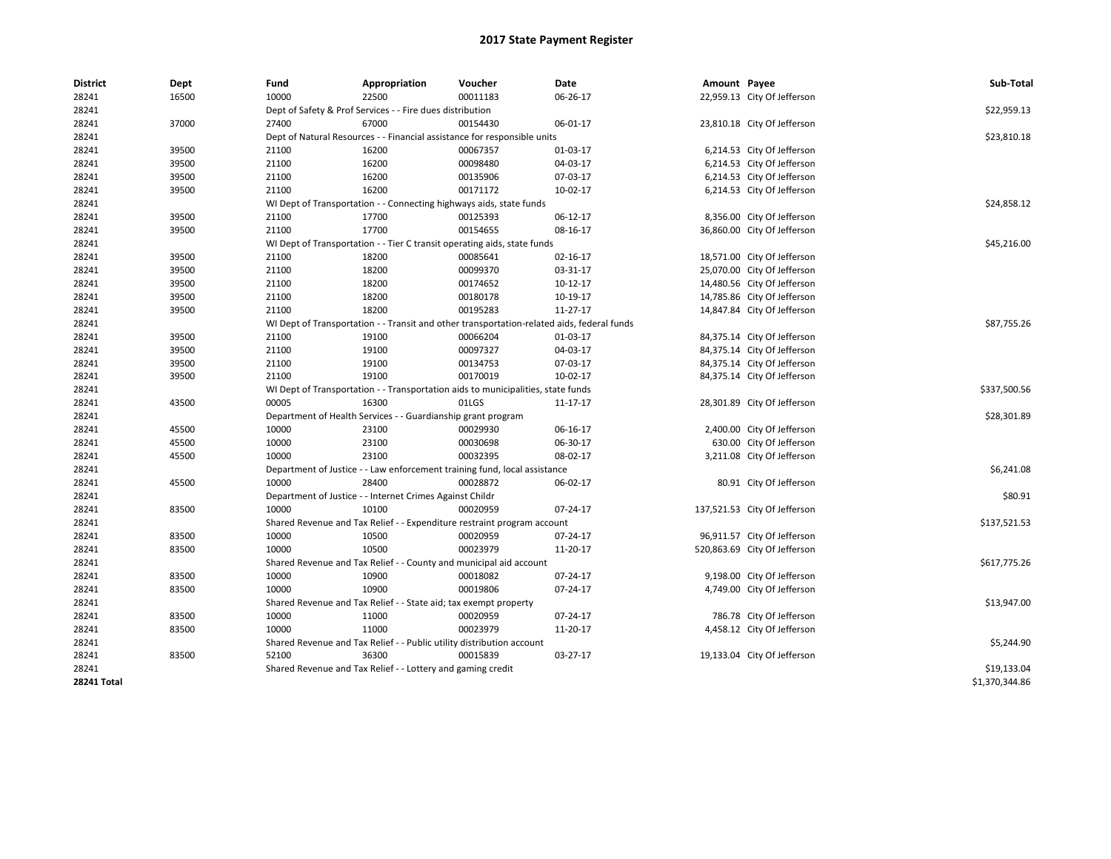| <b>District</b>    | Dept  | Fund  | Appropriation                                                                              | Voucher  | Date       | Amount Payee |                              | Sub-Total      |
|--------------------|-------|-------|--------------------------------------------------------------------------------------------|----------|------------|--------------|------------------------------|----------------|
| 28241              | 16500 | 10000 | 22500                                                                                      | 00011183 | 06-26-17   |              | 22,959.13 City Of Jefferson  |                |
| 28241              |       |       | Dept of Safety & Prof Services - - Fire dues distribution                                  |          |            |              |                              | \$22,959.13    |
| 28241              | 37000 | 27400 | 67000                                                                                      | 00154430 | 06-01-17   |              | 23,810.18 City Of Jefferson  |                |
| 28241              |       |       | Dept of Natural Resources - - Financial assistance for responsible units                   |          |            |              |                              | \$23,810.18    |
| 28241              | 39500 | 21100 | 16200                                                                                      | 00067357 | 01-03-17   |              | 6,214.53 City Of Jefferson   |                |
| 28241              | 39500 | 21100 | 16200                                                                                      | 00098480 | 04-03-17   |              | 6,214.53 City Of Jefferson   |                |
| 28241              | 39500 | 21100 | 16200                                                                                      | 00135906 | 07-03-17   |              | 6,214.53 City Of Jefferson   |                |
| 28241              | 39500 | 21100 | 16200                                                                                      | 00171172 | 10-02-17   |              | 6,214.53 City Of Jefferson   |                |
| 28241              |       |       | WI Dept of Transportation - - Connecting highways aids, state funds                        |          |            |              |                              | \$24,858.12    |
| 28241              | 39500 | 21100 | 17700                                                                                      | 00125393 | 06-12-17   |              | 8,356.00 City Of Jefferson   |                |
| 28241              | 39500 | 21100 | 17700                                                                                      | 00154655 | 08-16-17   |              | 36,860.00 City Of Jefferson  |                |
| 28241              |       |       | WI Dept of Transportation - - Tier C transit operating aids, state funds                   |          |            |              |                              | \$45,216.00    |
| 28241              | 39500 | 21100 | 18200                                                                                      | 00085641 | 02-16-17   |              | 18,571.00 City Of Jefferson  |                |
| 28241              | 39500 | 21100 | 18200                                                                                      | 00099370 | 03-31-17   |              | 25,070.00 City Of Jefferson  |                |
| 28241              | 39500 | 21100 | 18200                                                                                      | 00174652 | $10-12-17$ |              | 14,480.56 City Of Jefferson  |                |
| 28241              | 39500 | 21100 | 18200                                                                                      | 00180178 | 10-19-17   |              | 14,785.86 City Of Jefferson  |                |
| 28241              | 39500 | 21100 | 18200                                                                                      | 00195283 | 11-27-17   |              | 14,847.84 City Of Jefferson  |                |
| 28241              |       |       | WI Dept of Transportation - - Transit and other transportation-related aids, federal funds |          |            |              |                              | \$87,755.26    |
| 28241              | 39500 | 21100 | 19100                                                                                      | 00066204 | 01-03-17   |              | 84,375.14 City Of Jefferson  |                |
| 28241              | 39500 | 21100 | 19100                                                                                      | 00097327 | 04-03-17   |              | 84,375.14 City Of Jefferson  |                |
| 28241              | 39500 | 21100 | 19100                                                                                      | 00134753 | 07-03-17   |              | 84,375.14 City Of Jefferson  |                |
| 28241              | 39500 | 21100 | 19100                                                                                      | 00170019 | 10-02-17   |              | 84,375.14 City Of Jefferson  |                |
| 28241              |       |       | WI Dept of Transportation - - Transportation aids to municipalities, state funds           |          |            |              |                              | \$337,500.56   |
| 28241              | 43500 | 00005 | 16300                                                                                      | 01LGS    | 11-17-17   |              | 28,301.89 City Of Jefferson  |                |
| 28241              |       |       | Department of Health Services - - Guardianship grant program                               |          |            |              |                              | \$28,301.89    |
| 28241              | 45500 | 10000 | 23100                                                                                      | 00029930 | 06-16-17   |              | 2,400.00 City Of Jefferson   |                |
| 28241              | 45500 | 10000 | 23100                                                                                      | 00030698 | 06-30-17   |              | 630.00 City Of Jefferson     |                |
| 28241              | 45500 | 10000 | 23100                                                                                      | 00032395 | 08-02-17   |              | 3,211.08 City Of Jefferson   |                |
| 28241              |       |       | Department of Justice - - Law enforcement training fund, local assistance                  |          |            |              |                              | \$6,241.08     |
| 28241              | 45500 | 10000 | 28400                                                                                      | 00028872 | 06-02-17   |              | 80.91 City Of Jefferson      |                |
| 28241              |       |       | Department of Justice - - Internet Crimes Against Childr                                   |          |            |              |                              | \$80.91        |
| 28241              | 83500 | 10000 | 10100                                                                                      | 00020959 | 07-24-17   |              | 137,521.53 City Of Jefferson |                |
| 28241              |       |       | Shared Revenue and Tax Relief - - Expenditure restraint program account                    |          |            |              |                              | \$137,521.53   |
| 28241              | 83500 | 10000 | 10500                                                                                      | 00020959 | 07-24-17   |              | 96,911.57 City Of Jefferson  |                |
| 28241              | 83500 | 10000 | 10500                                                                                      | 00023979 | 11-20-17   |              | 520,863.69 City Of Jefferson |                |
| 28241              |       |       | Shared Revenue and Tax Relief - - County and municipal aid account                         |          |            |              |                              | \$617,775.26   |
| 28241              | 83500 | 10000 | 10900                                                                                      | 00018082 | 07-24-17   |              | 9,198.00 City Of Jefferson   |                |
| 28241              | 83500 | 10000 | 10900                                                                                      | 00019806 | 07-24-17   |              | 4,749.00 City Of Jefferson   |                |
| 28241              |       |       | Shared Revenue and Tax Relief - - State aid; tax exempt property                           |          |            |              |                              | \$13,947.00    |
| 28241              | 83500 | 10000 | 11000                                                                                      | 00020959 | 07-24-17   |              | 786.78 City Of Jefferson     |                |
| 28241              | 83500 | 10000 | 11000                                                                                      | 00023979 | 11-20-17   |              | 4,458.12 City Of Jefferson   |                |
| 28241              |       |       | Shared Revenue and Tax Relief - - Public utility distribution account                      |          |            |              |                              | \$5,244.90     |
| 28241              | 83500 | 52100 | 36300                                                                                      | 00015839 | 03-27-17   |              | 19,133.04 City Of Jefferson  |                |
| 28241              |       |       | Shared Revenue and Tax Relief - - Lottery and gaming credit                                |          |            |              |                              | \$19,133.04    |
| <b>28241 Total</b> |       |       |                                                                                            |          |            |              |                              | \$1,370,344.86 |
|                    |       |       |                                                                                            |          |            |              |                              |                |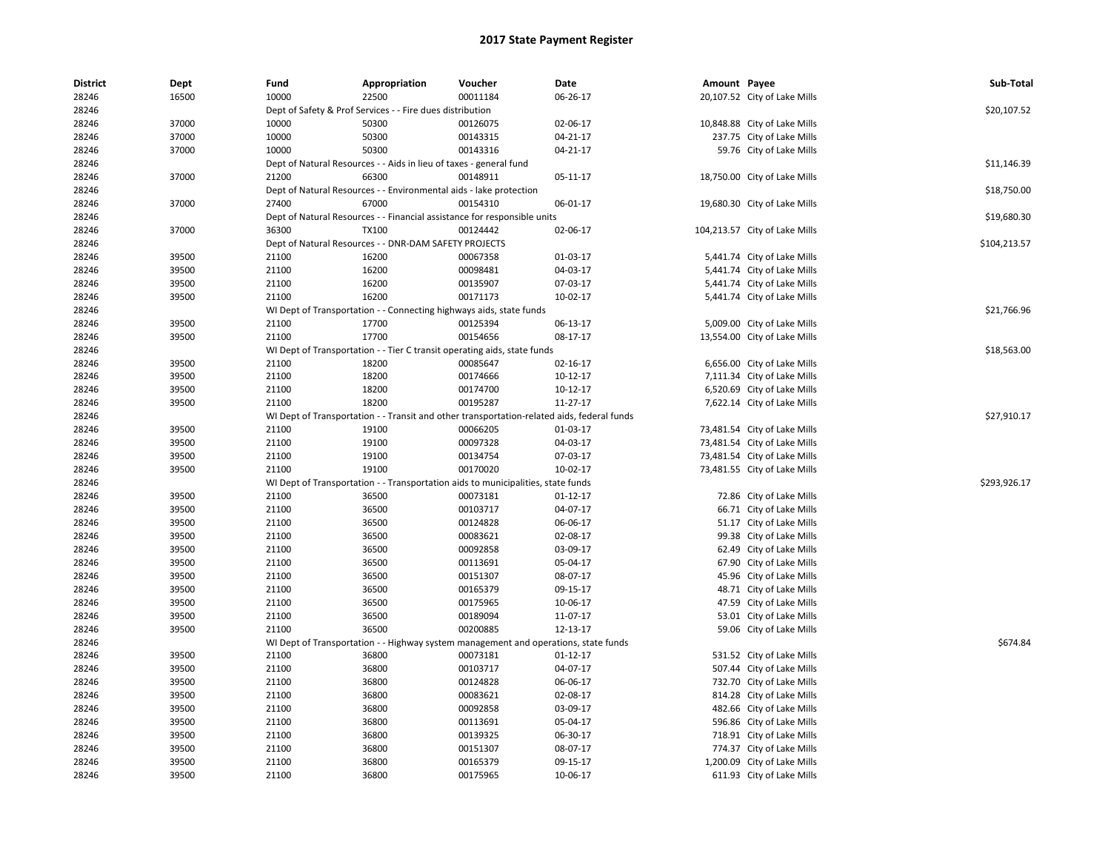| <b>District</b> | Dept  | Fund  | Appropriation                                                      | Voucher                                                                                    | Date           | Amount Payee |                               | Sub-Total    |
|-----------------|-------|-------|--------------------------------------------------------------------|--------------------------------------------------------------------------------------------|----------------|--------------|-------------------------------|--------------|
| 28246           | 16500 | 10000 | 22500                                                              | 00011184                                                                                   | 06-26-17       |              | 20,107.52 City of Lake Mills  |              |
| 28246           |       |       | Dept of Safety & Prof Services - - Fire dues distribution          |                                                                                            |                |              |                               | \$20,107.52  |
| 28246           | 37000 | 10000 | 50300                                                              | 00126075                                                                                   | 02-06-17       |              | 10,848.88 City of Lake Mills  |              |
| 28246           | 37000 | 10000 | 50300                                                              | 00143315                                                                                   | 04-21-17       |              | 237.75 City of Lake Mills     |              |
| 28246           | 37000 | 10000 | 50300                                                              | 00143316                                                                                   | 04-21-17       |              | 59.76 City of Lake Mills      |              |
| 28246           |       |       | Dept of Natural Resources - - Aids in lieu of taxes - general fund |                                                                                            |                |              |                               | \$11,146.39  |
| 28246           | 37000 | 21200 | 66300                                                              | 00148911                                                                                   | 05-11-17       |              | 18,750.00 City of Lake Mills  |              |
| 28246           |       |       | Dept of Natural Resources - - Environmental aids - lake protection |                                                                                            |                |              |                               | \$18,750.00  |
| 28246           | 37000 | 27400 | 67000                                                              | 00154310                                                                                   | 06-01-17       |              | 19,680.30 City of Lake Mills  |              |
| 28246           |       |       |                                                                    | Dept of Natural Resources - - Financial assistance for responsible units                   |                |              |                               | \$19,680.30  |
| 28246           | 37000 | 36300 | <b>TX100</b>                                                       | 00124442                                                                                   | 02-06-17       |              | 104,213.57 City of Lake Mills |              |
| 28246           |       |       | Dept of Natural Resources - - DNR-DAM SAFETY PROJECTS              |                                                                                            |                |              |                               | \$104,213.57 |
| 28246           | 39500 | 21100 | 16200                                                              | 00067358                                                                                   | 01-03-17       |              | 5,441.74 City of Lake Mills   |              |
| 28246           | 39500 | 21100 | 16200                                                              | 00098481                                                                                   | 04-03-17       |              | 5,441.74 City of Lake Mills   |              |
| 28246           | 39500 | 21100 | 16200                                                              | 00135907                                                                                   | 07-03-17       |              | 5,441.74 City of Lake Mills   |              |
| 28246           | 39500 | 21100 | 16200                                                              | 00171173                                                                                   | 10-02-17       |              | 5,441.74 City of Lake Mills   |              |
| 28246           |       |       |                                                                    | WI Dept of Transportation - - Connecting highways aids, state funds                        |                |              |                               | \$21,766.96  |
| 28246           | 39500 | 21100 | 17700                                                              | 00125394                                                                                   | 06-13-17       |              | 5,009.00 City of Lake Mills   |              |
| 28246           | 39500 | 21100 | 17700                                                              | 00154656                                                                                   | 08-17-17       |              | 13,554.00 City of Lake Mills  |              |
| 28246           |       |       |                                                                    | WI Dept of Transportation - - Tier C transit operating aids, state funds                   |                |              |                               | \$18,563.00  |
| 28246           | 39500 | 21100 | 18200                                                              | 00085647                                                                                   | 02-16-17       |              | 6,656.00 City of Lake Mills   |              |
| 28246           | 39500 | 21100 | 18200                                                              | 00174666                                                                                   | 10-12-17       |              | 7,111.34 City of Lake Mills   |              |
| 28246           | 39500 | 21100 | 18200                                                              | 00174700                                                                                   | $10-12-17$     |              | 6,520.69 City of Lake Mills   |              |
| 28246           | 39500 | 21100 | 18200                                                              | 00195287                                                                                   | 11-27-17       |              | 7,622.14 City of Lake Mills   |              |
| 28246           |       |       |                                                                    | WI Dept of Transportation - - Transit and other transportation-related aids, federal funds |                |              |                               | \$27,910.17  |
| 28246           | 39500 | 21100 | 19100                                                              | 00066205                                                                                   | 01-03-17       |              | 73,481.54 City of Lake Mills  |              |
| 28246           | 39500 | 21100 | 19100                                                              | 00097328                                                                                   | 04-03-17       |              | 73,481.54 City of Lake Mills  |              |
| 28246           | 39500 | 21100 | 19100                                                              | 00134754                                                                                   | 07-03-17       |              | 73,481.54 City of Lake Mills  |              |
| 28246           | 39500 | 21100 | 19100                                                              | 00170020                                                                                   | 10-02-17       |              | 73,481.55 City of Lake Mills  |              |
| 28246           |       |       |                                                                    | WI Dept of Transportation - - Transportation aids to municipalities, state funds           |                |              |                               | \$293,926.17 |
| 28246           | 39500 | 21100 | 36500                                                              | 00073181                                                                                   | $01 - 12 - 17$ |              | 72.86 City of Lake Mills      |              |
| 28246           | 39500 | 21100 | 36500                                                              | 00103717                                                                                   | 04-07-17       |              | 66.71 City of Lake Mills      |              |
| 28246           | 39500 | 21100 | 36500                                                              | 00124828                                                                                   | 06-06-17       |              | 51.17 City of Lake Mills      |              |
| 28246           | 39500 | 21100 | 36500                                                              | 00083621                                                                                   | 02-08-17       |              | 99.38 City of Lake Mills      |              |
| 28246           | 39500 | 21100 | 36500                                                              | 00092858                                                                                   | 03-09-17       |              | 62.49 City of Lake Mills      |              |
| 28246           | 39500 | 21100 | 36500                                                              | 00113691                                                                                   | 05-04-17       |              | 67.90 City of Lake Mills      |              |
| 28246           | 39500 | 21100 | 36500                                                              | 00151307                                                                                   | 08-07-17       |              | 45.96 City of Lake Mills      |              |
| 28246           | 39500 | 21100 | 36500                                                              | 00165379                                                                                   | 09-15-17       |              | 48.71 City of Lake Mills      |              |
| 28246           | 39500 | 21100 | 36500                                                              | 00175965                                                                                   | 10-06-17       |              | 47.59 City of Lake Mills      |              |
| 28246           | 39500 | 21100 | 36500                                                              | 00189094                                                                                   | 11-07-17       |              | 53.01 City of Lake Mills      |              |
| 28246           | 39500 | 21100 | 36500                                                              | 00200885                                                                                   | 12-13-17       |              | 59.06 City of Lake Mills      |              |
| 28246           |       |       |                                                                    | WI Dept of Transportation - - Highway system management and operations, state funds        |                |              |                               | \$674.84     |
| 28246           | 39500 | 21100 | 36800                                                              | 00073181                                                                                   | 01-12-17       |              | 531.52 City of Lake Mills     |              |
| 28246           | 39500 | 21100 | 36800                                                              | 00103717                                                                                   | 04-07-17       |              | 507.44 City of Lake Mills     |              |
| 28246           | 39500 | 21100 | 36800                                                              | 00124828                                                                                   | 06-06-17       |              | 732.70 City of Lake Mills     |              |
| 28246           | 39500 | 21100 | 36800                                                              | 00083621                                                                                   | 02-08-17       |              | 814.28 City of Lake Mills     |              |
| 28246           | 39500 | 21100 | 36800                                                              | 00092858                                                                                   | 03-09-17       |              | 482.66 City of Lake Mills     |              |
| 28246           | 39500 | 21100 | 36800                                                              | 00113691                                                                                   | 05-04-17       |              | 596.86 City of Lake Mills     |              |
| 28246           | 39500 | 21100 | 36800                                                              | 00139325                                                                                   | 06-30-17       |              | 718.91 City of Lake Mills     |              |
| 28246           | 39500 | 21100 | 36800                                                              | 00151307                                                                                   | 08-07-17       |              | 774.37 City of Lake Mills     |              |
| 28246           | 39500 | 21100 | 36800                                                              | 00165379                                                                                   | 09-15-17       |              | 1,200.09 City of Lake Mills   |              |
| 28246           | 39500 | 21100 | 36800                                                              | 00175965                                                                                   | 10-06-17       |              | 611.93 City of Lake Mills     |              |
|                 |       |       |                                                                    |                                                                                            |                |              |                               |              |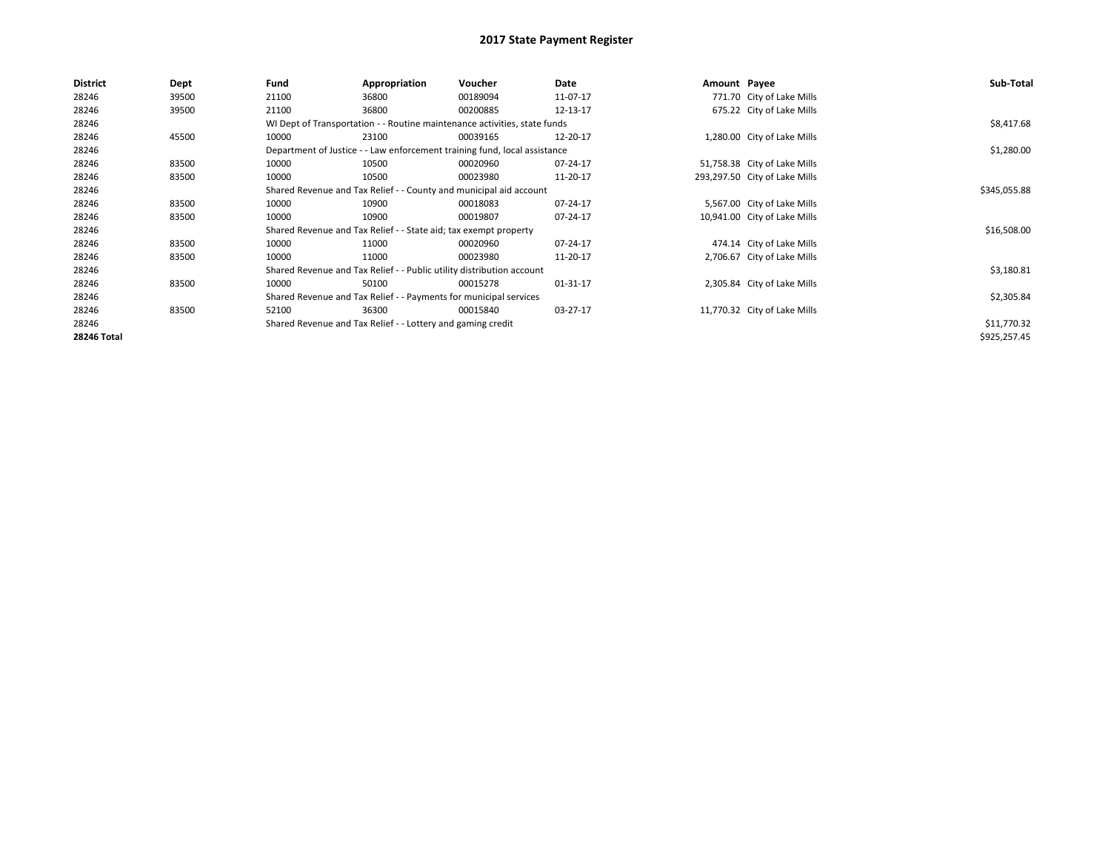| <b>District</b> | Dept  | Fund                                                              | Appropriation                                                             | <b>Voucher</b>                                                            | Date     | Amount Payee |                               | Sub-Total    |  |  |
|-----------------|-------|-------------------------------------------------------------------|---------------------------------------------------------------------------|---------------------------------------------------------------------------|----------|--------------|-------------------------------|--------------|--|--|
| 28246           | 39500 | 21100                                                             | 36800                                                                     | 00189094                                                                  | 11-07-17 |              | 771.70 City of Lake Mills     |              |  |  |
| 28246           | 39500 | 21100                                                             | 36800                                                                     | 00200885                                                                  | 12-13-17 |              | 675.22 City of Lake Mills     |              |  |  |
| 28246           |       |                                                                   |                                                                           | WI Dept of Transportation - - Routine maintenance activities, state funds |          |              |                               | \$8,417.68   |  |  |
| 28246           | 45500 | 10000                                                             | 23100                                                                     | 00039165                                                                  | 12-20-17 |              | 1,280.00 City of Lake Mills   |              |  |  |
| 28246           |       |                                                                   | Department of Justice - - Law enforcement training fund, local assistance |                                                                           |          |              |                               |              |  |  |
| 28246           | 83500 | 10000                                                             | 10500                                                                     | 00020960                                                                  | 07-24-17 |              | 51,758.38 City of Lake Mills  |              |  |  |
| 28246           | 83500 | 10000                                                             | 10500                                                                     | 00023980                                                                  | 11-20-17 |              | 293,297.50 City of Lake Mills |              |  |  |
| 28246           |       |                                                                   |                                                                           | Shared Revenue and Tax Relief - - County and municipal aid account        |          |              |                               | \$345,055.88 |  |  |
| 28246           | 83500 | 10000                                                             | 10900                                                                     | 00018083                                                                  | 07-24-17 |              | 5,567.00 City of Lake Mills   |              |  |  |
| 28246           | 83500 | 10000                                                             | 10900                                                                     | 00019807                                                                  | 07-24-17 |              | 10,941.00 City of Lake Mills  |              |  |  |
| 28246           |       |                                                                   | Shared Revenue and Tax Relief - - State aid; tax exempt property          |                                                                           |          |              |                               | \$16,508.00  |  |  |
| 28246           | 83500 | 10000                                                             | 11000                                                                     | 00020960                                                                  | 07-24-17 |              | 474.14 City of Lake Mills     |              |  |  |
| 28246           | 83500 | 10000                                                             | 11000                                                                     | 00023980                                                                  | 11-20-17 |              | 2,706.67 City of Lake Mills   |              |  |  |
| 28246           |       |                                                                   | Shared Revenue and Tax Relief - - Public utility distribution account     |                                                                           |          |              |                               | \$3,180.81   |  |  |
| 28246           | 83500 | 10000                                                             | 50100                                                                     | 00015278                                                                  | 01-31-17 |              | 2,305.84 City of Lake Mills   |              |  |  |
| 28246           |       | Shared Revenue and Tax Relief - - Payments for municipal services |                                                                           | \$2,305.84                                                                |          |              |                               |              |  |  |
| 28246           | 83500 | 52100                                                             | 36300                                                                     | 00015840                                                                  | 03-27-17 |              | 11,770.32 City of Lake Mills  |              |  |  |
| 28246           |       |                                                                   | Shared Revenue and Tax Relief - - Lottery and gaming credit               |                                                                           |          |              |                               | \$11,770.32  |  |  |
| 28246 Total     |       |                                                                   |                                                                           |                                                                           |          |              |                               | \$925,257.45 |  |  |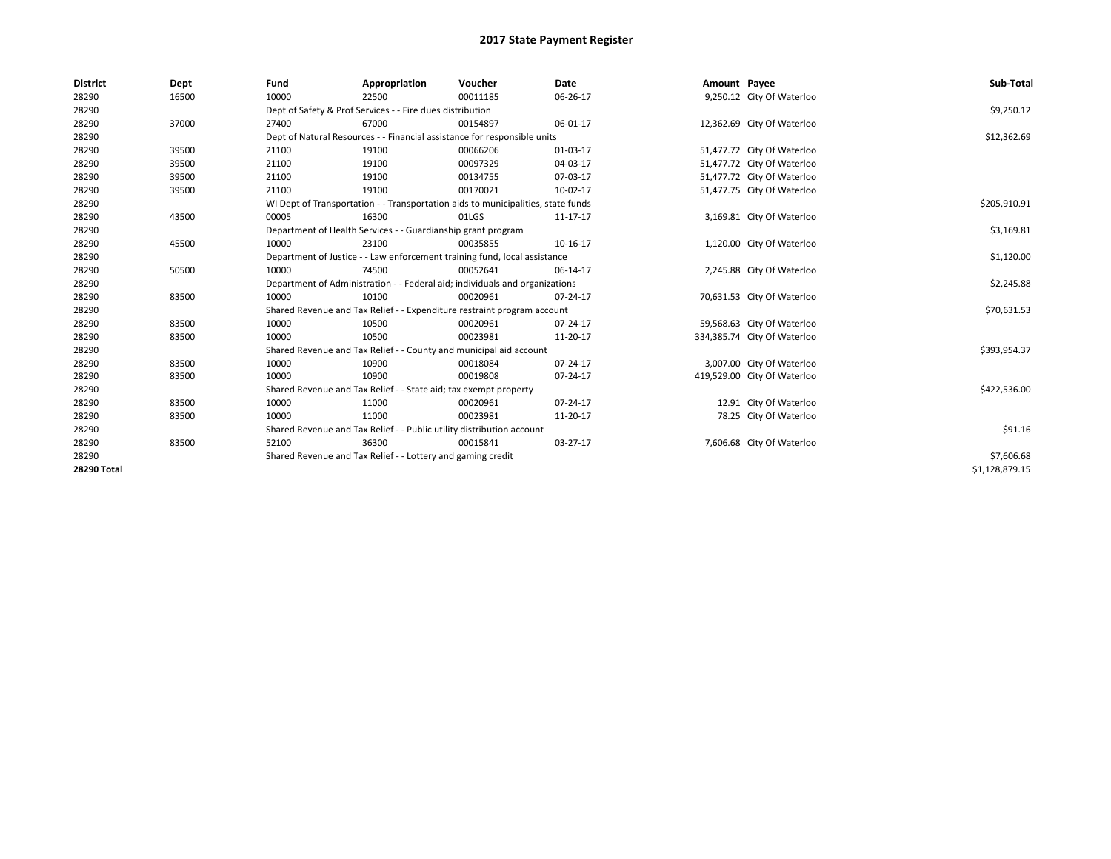| <b>District</b> | Dept  | Fund                                                                      | Appropriation                                                                    | Voucher    | <b>Date</b> | Amount Payee |                             | Sub-Total      |
|-----------------|-------|---------------------------------------------------------------------------|----------------------------------------------------------------------------------|------------|-------------|--------------|-----------------------------|----------------|
| 28290           | 16500 | 10000                                                                     | 22500                                                                            | 00011185   | 06-26-17    |              | 9,250.12 City Of Waterloo   |                |
| 28290           |       |                                                                           | Dept of Safety & Prof Services - - Fire dues distribution                        |            |             |              |                             | \$9,250.12     |
| 28290           | 37000 | 27400                                                                     | 67000                                                                            | 00154897   | 06-01-17    |              | 12,362.69 City Of Waterloo  |                |
| 28290           |       |                                                                           | Dept of Natural Resources - - Financial assistance for responsible units         |            |             |              |                             | \$12,362.69    |
| 28290           | 39500 | 21100                                                                     | 19100                                                                            | 00066206   | 01-03-17    |              | 51,477.72 City Of Waterloo  |                |
| 28290           | 39500 | 21100                                                                     | 19100                                                                            | 00097329   | 04-03-17    |              | 51,477.72 City Of Waterloo  |                |
| 28290           | 39500 | 21100                                                                     | 19100                                                                            | 00134755   | 07-03-17    |              | 51,477.72 City Of Waterloo  |                |
| 28290           | 39500 | 21100                                                                     | 19100                                                                            | 00170021   | 10-02-17    |              | 51,477.75 City Of Waterloo  |                |
| 28290           |       |                                                                           | WI Dept of Transportation - - Transportation aids to municipalities, state funds |            |             |              |                             | \$205,910.91   |
| 28290           | 43500 | 00005                                                                     | 16300                                                                            | 01LGS      | 11-17-17    |              | 3,169.81 City Of Waterloo   |                |
| 28290           |       |                                                                           | Department of Health Services - - Guardianship grant program                     |            |             |              |                             | \$3,169.81     |
| 28290           | 45500 | 10000                                                                     | 23100                                                                            | 00035855   | 10-16-17    |              | 1,120.00 City Of Waterloo   |                |
| 28290           |       | Department of Justice - - Law enforcement training fund, local assistance |                                                                                  | \$1,120.00 |             |              |                             |                |
| 28290           | 50500 | 10000                                                                     | 74500                                                                            | 00052641   | 06-14-17    |              | 2,245.88 City Of Waterloo   |                |
| 28290           |       |                                                                           | Department of Administration - - Federal aid; individuals and organizations      |            |             |              |                             | \$2,245.88     |
| 28290           | 83500 | 10000                                                                     | 10100                                                                            | 00020961   | 07-24-17    |              | 70,631.53 City Of Waterloo  |                |
| 28290           |       |                                                                           | Shared Revenue and Tax Relief - - Expenditure restraint program account          |            |             |              |                             | \$70,631.53    |
| 28290           | 83500 | 10000                                                                     | 10500                                                                            | 00020961   | 07-24-17    |              | 59,568.63 City Of Waterloo  |                |
| 28290           | 83500 | 10000                                                                     | 10500                                                                            | 00023981   | 11-20-17    |              | 334,385.74 City Of Waterloo |                |
| 28290           |       |                                                                           | Shared Revenue and Tax Relief - - County and municipal aid account               |            |             |              |                             | \$393,954.37   |
| 28290           | 83500 | 10000                                                                     | 10900                                                                            | 00018084   | 07-24-17    |              | 3,007.00 City Of Waterloo   |                |
| 28290           | 83500 | 10000                                                                     | 10900                                                                            | 00019808   | 07-24-17    |              | 419,529.00 City Of Waterloo |                |
| 28290           |       |                                                                           | Shared Revenue and Tax Relief - - State aid; tax exempt property                 |            |             |              |                             | \$422,536.00   |
| 28290           | 83500 | 10000                                                                     | 11000                                                                            | 00020961   | 07-24-17    |              | 12.91 City Of Waterloo      |                |
| 28290           | 83500 | 10000                                                                     | 11000                                                                            | 00023981   | 11-20-17    |              | 78.25 City Of Waterloo      |                |
| 28290           |       |                                                                           | Shared Revenue and Tax Relief - - Public utility distribution account            |            |             |              |                             | \$91.16        |
| 28290           | 83500 | 52100                                                                     | 36300                                                                            | 00015841   | 03-27-17    |              | 7,606.68 City Of Waterloo   |                |
| 28290           |       |                                                                           | Shared Revenue and Tax Relief - - Lottery and gaming credit                      |            |             |              |                             | \$7,606.68     |
| 28290 Total     |       |                                                                           |                                                                                  |            |             |              |                             | \$1,128,879.15 |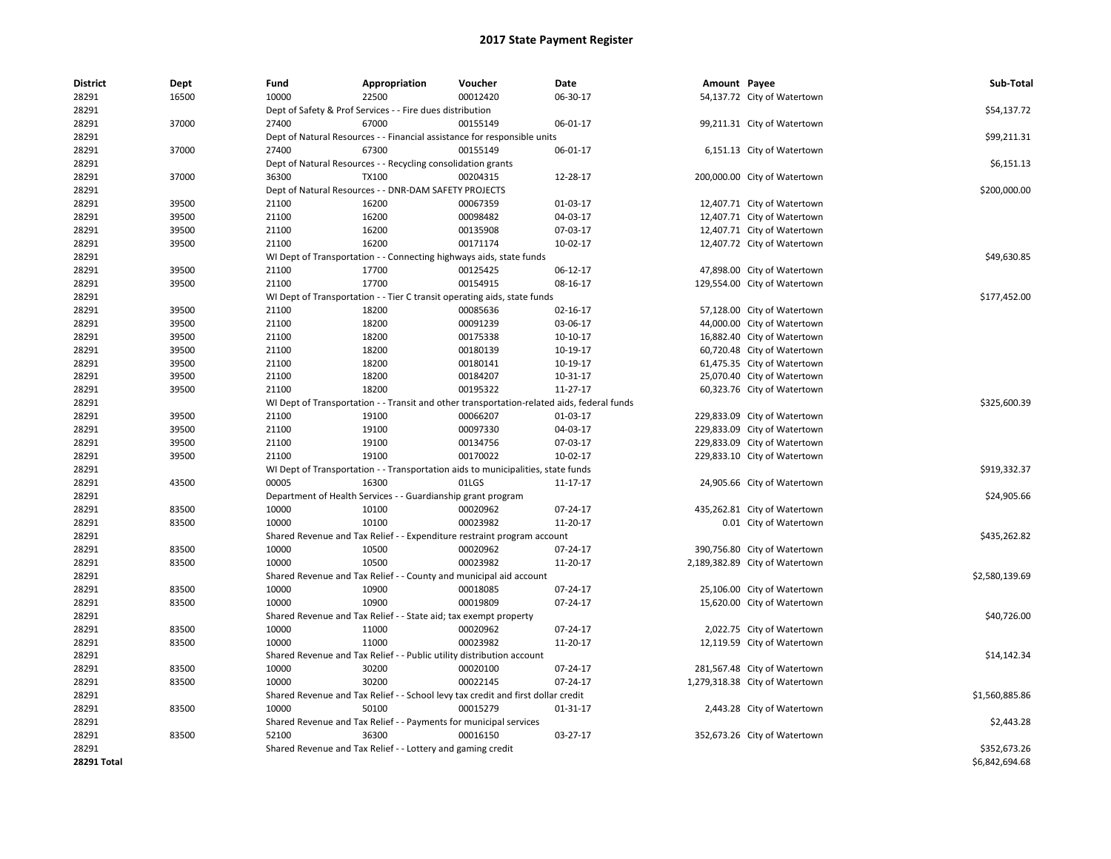| 28291<br>16500<br>10000<br>22500<br>00012420<br>06-30-17<br>54,137.72 City of Watertown             |                |
|-----------------------------------------------------------------------------------------------------|----------------|
| 28291<br>Dept of Safety & Prof Services - - Fire dues distribution                                  | \$54,137.72    |
| 28291<br>37000<br>27400<br>67000<br>00155149<br>06-01-17<br>99,211.31 City of Watertown             |                |
| 28291<br>Dept of Natural Resources - - Financial assistance for responsible units                   | \$99,211.31    |
| 28291<br>37000<br>27400<br>67300<br>00155149<br>06-01-17<br>6,151.13 City of Watertown              |                |
| 28291<br>Dept of Natural Resources - - Recycling consolidation grants                               | \$6,151.13     |
| TX100<br>28291<br>37000<br>36300<br>00204315<br>12-28-17<br>200,000.00 City of Watertown            |                |
| 28291<br>Dept of Natural Resources - - DNR-DAM SAFETY PROJECTS                                      | \$200,000.00   |
| 00067359<br>28291<br>39500<br>21100<br>16200<br>01-03-17<br>12,407.71 City of Watertown             |                |
| 28291<br>39500<br>21100<br>16200<br>00098482<br>04-03-17<br>12,407.71 City of Watertown             |                |
| 28291<br>39500<br>21100<br>16200<br>00135908<br>07-03-17<br>12,407.71 City of Watertown             |                |
| 16200<br>00171174<br>28291<br>39500<br>21100<br>10-02-17<br>12,407.72 City of Watertown             |                |
| 28291<br>WI Dept of Transportation - - Connecting highways aids, state funds                        | \$49,630.85    |
| 28291<br>39500<br>21100<br>17700<br>00125425<br>06-12-17<br>47,898.00 City of Watertown             |                |
| 00154915<br>28291<br>39500<br>21100<br>17700<br>08-16-17<br>129,554.00 City of Watertown            |                |
| 28291<br>WI Dept of Transportation - - Tier C transit operating aids, state funds                   | \$177,452.00   |
| 28291<br>39500<br>18200<br>00085636<br>21100<br>02-16-17<br>57,128.00 City of Watertown             |                |
| 28291<br>39500<br>21100<br>18200<br>00091239<br>03-06-17<br>44,000.00 City of Watertown             |                |
| 28291<br>39500<br>21100<br>18200<br>00175338<br>10-10-17<br>16,882.40 City of Watertown             |                |
| 28291<br>39500<br>21100<br>18200<br>00180139<br>10-19-17<br>60,720.48 City of Watertown             |                |
| 18200<br>00180141<br>28291<br>39500<br>21100<br>10-19-17<br>61,475.35 City of Watertown             |                |
| 28291<br>39500<br>21100<br>18200<br>00184207<br>10-31-17<br>25,070.40 City of Watertown             |                |
| 18200<br>00195322<br>11-27-17<br>28291<br>39500<br>21100<br>60,323.76 City of Watertown             |                |
| 28291<br>WI Dept of Transportation - - Transit and other transportation-related aids, federal funds | \$325,600.39   |
| 28291<br>19100<br>00066207<br>39500<br>21100<br>01-03-17<br>229,833.09 City of Watertown            |                |
| 28291<br>39500<br>21100<br>19100<br>00097330<br>04-03-17<br>229,833.09 City of Watertown            |                |
| 00134756<br>28291<br>39500<br>21100<br>19100<br>07-03-17<br>229,833.09 City of Watertown            |                |
| 00170022<br>28291<br>39500<br>21100<br>19100<br>10-02-17<br>229,833.10 City of Watertown            |                |
| 28291<br>WI Dept of Transportation - - Transportation aids to municipalities, state funds           | \$919,332.37   |
| 28291<br>43500<br>00005<br>16300<br>01LGS<br>11-17-17<br>24,905.66 City of Watertown                |                |
| 28291<br>Department of Health Services - - Guardianship grant program                               | \$24,905.66    |
| 28291<br>83500<br>10000<br>10100<br>00020962<br>07-24-17<br>435,262.81 City of Watertown            |                |
| 10000<br>00023982<br>11-20-17<br>28291<br>83500<br>10100<br>0.01 City of Watertown                  |                |
| 28291<br>Shared Revenue and Tax Relief - - Expenditure restraint program account                    | \$435,262.82   |
| 28291<br>83500<br>10000<br>10500<br>00020962<br>07-24-17<br>390,756.80 City of Watertown            |                |
| 28291<br>83500<br>10000<br>10500<br>00023982<br>11-20-17<br>2,189,382.89 City of Watertown          |                |
| 28291<br>Shared Revenue and Tax Relief - - County and municipal aid account                         | \$2,580,139.69 |
| 28291<br>83500<br>10000<br>10900<br>00018085<br>07-24-17<br>25,106.00 City of Watertown             |                |
| 10000<br>10900<br>28291<br>83500<br>00019809<br>07-24-17<br>15,620.00 City of Watertown             |                |
| 28291<br>Shared Revenue and Tax Relief - - State aid; tax exempt property                           | \$40,726.00    |
| 10000<br>00020962<br>28291<br>83500<br>11000<br>07-24-17<br>2,022.75 City of Watertown              |                |
| 00023982<br>28291<br>83500<br>10000<br>11000<br>11-20-17<br>12,119.59 City of Watertown             |                |
| 28291<br>Shared Revenue and Tax Relief - - Public utility distribution account                      | \$14,142.34    |
| 28291<br>83500<br>10000<br>30200<br>00020100<br>07-24-17<br>281,567.48 City of Watertown            |                |
| 00022145<br>28291<br>83500<br>10000<br>30200<br>07-24-17<br>1,279,318.38 City of Watertown          |                |
| 28291<br>Shared Revenue and Tax Relief - - School levy tax credit and first dollar credit           | \$1,560,885.86 |
| 28291<br>83500<br>10000<br>50100<br>00015279<br>01-31-17<br>2,443.28 City of Watertown              |                |
| 28291<br>Shared Revenue and Tax Relief - - Payments for municipal services                          | \$2,443.28     |
| 83500<br>52100<br>03-27-17<br>28291<br>36300<br>00016150<br>352,673.26 City of Watertown            |                |
| 28291<br>Shared Revenue and Tax Relief - - Lottery and gaming credit                                | \$352,673.26   |
| 28291 Total                                                                                         | \$6,842,694.68 |